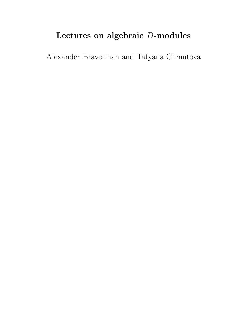# Lectures on algebraic D-modules

Alexander Braverman and Tatyana Chmutova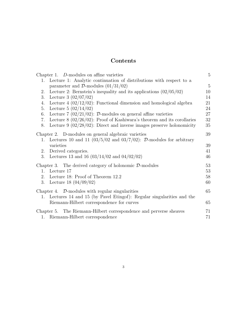# Contents

|                                                                           | Chapter 1. D-modules on affine varieties                                 | $5\overline{)}$ |
|---------------------------------------------------------------------------|--------------------------------------------------------------------------|-----------------|
|                                                                           | 1. Lecture 1: Analytic continuation of distributions with respect to a   |                 |
|                                                                           | parameter and $\mathcal{D}\text{-modules}$ (01/31/02)                    | $5\,$           |
| 2.                                                                        | Lecture 2: Bernstein's inequality and its applications $(02/05/02)$      | 10              |
| 3.                                                                        | Lecture 3 $(02/07/02)$                                                   | 14              |
| 4.                                                                        | Lecture $4(02/12/02)$ : Functional dimension and homological algebra     | 21              |
| 5.                                                                        | Lecture 5 $(02/14/02)$                                                   | 24              |
| 6.                                                                        | Lecture 7 (02/21/02): $\mathcal{D}$ -modules on general affine varieties | 27              |
| 7.                                                                        | Lecture $8(02/26/02)$ : Proof of Kashiwara's theorem and its corollaries | 32              |
| 8.                                                                        | Lecture $9$ (02/28/02): Direct and inverse images preserve holonomicity  | 35              |
| Chapter 2. D-modules on general algebraic varieties                       |                                                                          | 39              |
| 1.                                                                        | Lectures 10 and 11 $(03/5/02$ and $03/7/02)$ : D-modules for arbitrary   |                 |
|                                                                           | varieties                                                                | 39              |
| 2.                                                                        | Derived categories.                                                      | 41              |
| 3.                                                                        | Lectures 13 and 16 $(03/14/02 \text{ and } 04/02/02)$                    | 46              |
| Chapter 3. The derived category of holonomic $\mathcal{D}\text{-modules}$ |                                                                          | 53              |
| $1_{-}$                                                                   | Lecture 17                                                               | 53              |
| 2.                                                                        | Lecture 18: Proof of Theorem 12.2                                        | 58              |
| 3.                                                                        | Lecture 18 $(04/09/02)$                                                  | 60              |
| Chapter 4. $\mathcal{D}\text{-modules}$ with regular singularities        |                                                                          | 65              |
| 1.                                                                        | Lectures 14 and 15 (by Pavel Etingof): Regular singularities and the     |                 |
|                                                                           | Riemann-Hilbert correspondence for curves                                | 65              |
|                                                                           | Chapter 5. The Riemann-Hilbert correspondence and perverse sheaves       |                 |
| 1.                                                                        | Riemann-Hilbert correspondence                                           | 71              |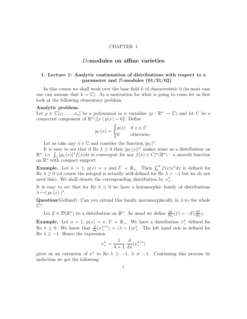#### CHAPTER 1

# D-modules on affine varieties

# 1. Lecture 1: Analytic continuation of distributions with respect to a parameter and D-modules  $(01/31/02)$

In this course we shall work over the base field  $k$  of characteristic  $0$  (in most case one can assume that  $k = \mathbb{C}$ . As a motivation for what is going to come let us first look at the following elementary problem.

#### Analytic problem.

Let  $p \in \mathbb{C}[x_1,\ldots,x_n]$  be a polynomial in *n* variables  $(p : \mathbb{R}^n \to \mathbb{C})$  and let U be a connected component of  $\mathbb{R}^n \setminus \{x \mid p(x) = 0\}$ . Define

$$
p_U(x) = \begin{cases} p(x) & \text{if } x \in U \\ 0 & \text{otherwise.} \end{cases}
$$

Let us take any  $\lambda \in \mathbb{C}$  and consider the function  $|p_U|^{\lambda}$ .

It is easy to see that if Re  $\lambda \geq 0$  then  $|p_U(x)|^{\lambda}$  makes sense as a distribution on  $\mathbb{R}^n$ , i.e.  $\int_U |p_U(x)|^{\lambda} f(x) dx$  is convergent for any  $f(x) \in C_c^{\infty}(\mathbb{R}^n)$  – a smooth function on  $\mathbb{R}^n$  with compact support.

**Example.** Let  $n = 1$ ,  $p(x) = x$  and  $U = \mathbb{R}_+$ . Then  $\int_0^\infty f(x)x^{\lambda} dx$  is defined for Re  $\lambda \geq 0$  (of course the integral is actually well-defined for Re  $\lambda > -1$  but we do not need this). We shall denote the corresponding distribution by  $x^{\lambda}_{+}$ .

It is easy to see that for Re  $\lambda \geq 0$  we have a holomorphic family of distributions  $\lambda \mapsto |p_U(x)|^{\lambda}$ .

**Question**(Gelfand): Can you extend this family meromorphically in  $\lambda$  to the whole C?

Let  $\mathcal{E} \in \mathcal{D}(\mathbb{R}^n)$  be a distribution on  $\mathbb{R}^n$ . As usual we define  $\frac{\partial \mathcal{E}}{\partial x_i}(f) = -\mathcal{E}(\frac{\partial f}{\partial x_i})$  $rac{\partial f}{\partial x_i}$ .

**Example.** Let  $n = 1$ ,  $p(x) = x$ ,  $U = \mathbb{R}_+$ . We have a distribution  $x^{\lambda}_+$  defined for  $\text{Re } \lambda \geq 0$ . We know that  $\frac{d}{dx}(x_+^{\lambda+1}) = (\lambda+1)x_+^{\lambda}$ . The left hand side is defined for Re  $\lambda \geq -1$ . Hence the expression

$$
x_{+}^{\lambda} = \frac{1}{\lambda + 1} \frac{d}{dx} (x_{+}^{\lambda + 1})
$$

gives us an extention of  $x^{\lambda}$  to Re  $\lambda \geq -1$ ,  $\lambda \neq -1$ . Continuing this process by induction we get the following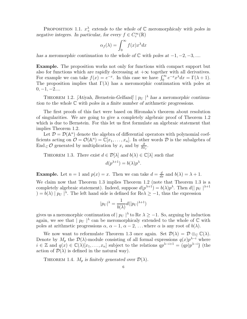PROPOSITION 1.1.  $x^{\lambda}_+$  extends to the whole of  $\mathbb C$  meromorphicaly with poles in negative integers. In particular, for every  $f \in C_c^{\infty}(\mathbb{R})$ 

$$
\alpha_f(\lambda) = \int_0^\infty f(x) x^\lambda dx
$$

has a meromorphic continuation to the whole of  $\mathbb C$  with poles at  $-1, -2, -3, \dots$ .

Example. The proposition works not only for functions with compact support but also for functions which are rapidly decreasing at  $+\infty$  together with all derivatives. For example we can take  $f(x) = e^{-x}$ . In this case we have  $\int_0^\infty e^{-x} x^\lambda dx = \Gamma(\lambda + 1)$ . The proposition implies that  $\Gamma(\lambda)$  has a meromorphic continuation with poles at  $0, -1, -2...$ 

THEOREM 1.2. [Atiyah, Bernstein-Gelfand]  $|p_U|^{\lambda}$  has a meromorphic continuation to the whole  $\mathbb C$  with poles in a finite number of arithmetic progressions.

The first proofs of this fact were based on Hironaka's theorem about resolution of singularities. We are going to give a completely algebraic proof of Theorem 1.2 which is due to Bernstein. For this let us first formulate an algebraic statement that implies Theorem 1.2.

Let  $\mathcal{D} = \mathcal{D}(\mathbb{A}^n)$  denote the algebra of differential operators with polynomial coefficients acting on  $\mathcal{O} = \mathcal{O}(\mathbb{A}^n) = \mathbb{C}[x_1, \dots, x_n]$ . In other words  $\mathcal D$  is the subalgebra of End  $\mathcal{C}$  Q generated by multiplication by  $x_i$  and by  $\frac{\partial}{\partial x_i}$  $\frac{\partial}{\partial x_j}$ .

THEOREM 1.3. There exist  $d \in \mathcal{D}[\lambda]$  and  $b(\lambda) \in \mathbb{C}[\lambda]$  such that  $d(p^{\lambda+1}) = b(\lambda)p^{\lambda}.$ 

**Example.** Let  $n = 1$  and  $p(x) = x$ . Then we can take  $d = \frac{d}{dx}$  and  $b(\lambda) = \lambda + 1$ .

We claim now that Theorem 1.3 implies Theorem 1.2 (note that Theorem 1.3 is a completely algebraic statement). Indeed, suppose  $d(p^{\lambda+1}) = b(\lambda)p^{\lambda}$ . Then  $d(|p_U|^{\lambda+1})$  $= b(\lambda) | p_U |^{\lambda}$ . The left hand side is defined for Re $\lambda \ge -1$ , thus the expression

$$
|p_U|^{\lambda} = \frac{1}{b(\lambda)} d(|p_U|^{\lambda+1})
$$

gives us a meromorphic continuation of  $|p_U|^{\lambda}$  to Re  $\lambda \ge -1$ . So, arguing by induction again, we see that  $|p_U|^{\lambda}$  can be meromorphicaly extended to the whole of  $\mathbb C$  with poles at arithmetic progressions  $\alpha$ ,  $\alpha - 1$ ,  $\alpha - 2$ , ... where  $\alpha$  is any root of  $b(\lambda)$ .

We now want to reformulate Theorem 1.3 once again. Set  $\mathcal{D}(\lambda) = \mathcal{D} \otimes_{\mathbb{C}} \mathbb{C}(\lambda)$ . Denote by  $M_p$  the  $\mathcal{D}(\lambda)$ -module consisting of all formal expressions  $q(x)p^{\lambda-i}$  where  $i \in \mathbb{Z}$  and  $q(x) \in \mathbb{C}(\lambda)[x_1, \ldots, x_n]$  subject to the relations  $qp^{\lambda-i+1} = (qp)p^{\lambda-i}$  (the action of  $\mathcal{D}(\lambda)$  is defined in the natural way).

THEOREM 1.4.  $M_p$  is finitely generated over  $\mathcal{D}(\lambda)$ .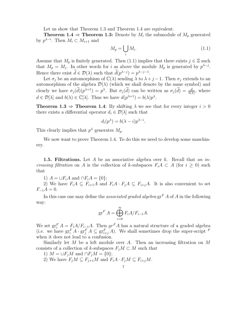Let us show that Theorem 1.3 and Theorem 1.4 are equivalent.

**Theorem 1.4**  $\Rightarrow$  **Theorem 1.3:** Denote by  $M_i$  the submodule of  $M_p$  generated by  $p^{\lambda-i}$ . Then  $M_i \subset M_{i+1}$  and

$$
M_p = \bigcup_i M_i. \tag{1.1}
$$

Assume that  $M_p$  is finitely generated. Then (1.1) implies that there exists  $j \in \mathbb{Z}$  such that  $M_p = M_j$ . In other words for i as above the module  $M_p$  is generated by  $p^{\lambda-j}$ . Hence there exist  $d \in \mathcal{D}(\lambda)$  such that  $d(p^{\lambda-j}) = p^{\lambda-j-1}$ .

Let  $\sigma_j$  be an automorphism of  $\mathbb{C}(\lambda)$  sending  $\lambda$  to  $\lambda + j - 1$ . Then  $\sigma_j$  extends to an automorphism of the algebra  $\mathcal{D}(\lambda)$  (which we shall denote by the same symbol) and clearly we have  $\sigma_j(\tilde{d})(p^{\lambda+1}) = p^{\lambda}$ . But  $\sigma_j(\tilde{d})$  can be written as  $\sigma_j(\tilde{d}) = \frac{d}{b\sqrt{2}}$  $\frac{d}{b(\lambda)}$ , where  $d \in \mathcal{D}[\lambda]$  and  $b(\lambda) \in \mathbb{C}[\lambda]$ . Thus we have  $d(p^{\lambda+1}) = b(\lambda)p^{\lambda}$ .

**Theorem 1.3**  $\Rightarrow$  **Theorem 1.4**: By shifting  $\lambda$  we see that for every integer  $i > 0$ there exists a differential operator  $d_i \in \mathcal{D}[\lambda]$  such that

$$
d_i(p^{\lambda}) = b(\lambda - i)p^{\lambda - i}.
$$

This clearly implies that  $p^{\lambda}$  generates  $M_p$ .

We now want to prove Theorem 1.4. To do this we need to develop some maschinery.

**1.5. Filtrations.** Let A be an associative algebra over k. Recall that an increasing filtration on A is the collection of k-subspaces  $F_iA \subset A$  (for  $i \geq 0$ ) such that

1)  $A = \bigcup F_i A$  and  $\bigcap F_i A = \{0\};$ 

2) We have  $F_iA \subseteq F_{i+1}A$  and  $F_iA \cdot F_jA \subseteq F_{i+j}A$ . It is also convenient to set  $F_{-1}A = 0.$ 

In this case one may define the *associated graded algebra*  $gr<sup>F</sup> A$  of A in the following way:

$$
\operatorname{gr}^F A = \bigoplus_{i=0}^{\infty} F_i A / F_{i-1} A.
$$

We set  $gr_i^F A = F_i A/F_{i-1}A$ . Then  $gr^F A$  has a natural structure of a graded algebra (i.e. we have  $gr_i^F A \cdot gr_j^F A \subseteq gr_{i+j}^F A$ ). We shall sometimes drop the super-script  $F$ when it does not lead to a confusion.

Similarly let M be a left module over A. Then an increasing filtration on  $M$ consists of a collection of k-subspaces  $F_jM\subset M$  such that

1)  $M = \bigcup F_j M$  and  $\bigcap F_j M = \{0\};$ 

2) We have  $F_iM \subseteq F_{i+1}M$  and  $F_iA \cdot F_jM \subseteq F_{i+j}M$ .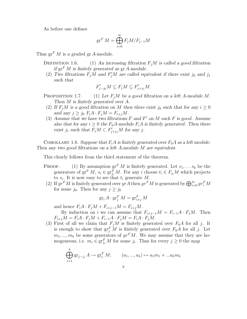As before one defines

$$
\operatorname{gr}^F M = \bigoplus_{i=0}^{\infty} F_j M / F_{j-1} M
$$

Thus  $gr<sup>F</sup> M$  is a graded gr A-module.

- DEFINITION 1.6. (1) An increasing filtration  $F_iM$  is called a good filtration if  $gr<sup>F</sup> M$  is finitely generated as  $gr A$ -module.
	- (2) Two filtrations  $F_jM$  and  $F'_jM$  are called equivalent if there exist  $j_0$  and  $j_1$ such that

$$
F'_{j-j_0}M \subseteq F_jM \subseteq F'_{j+j_1}M.
$$

- PROPOSITION 1.7. (1) Let  $F_jM$  be a good filtration on a left A-module M. Then M is finitely generated over A.
- (2) If  $F_iM$  is a good filtration on M then there exist  $j_0$  such that for any  $i \geq 0$ and any  $j \geq j_0$   $F_iA \cdot F_jM = F_{i+j}M$ .
- (3) Assume that we have two filtrations  $F$  and  $F'$  on  $M$  such  $F$  is good. Assume also that for any  $i \geq 0$  the  $F_0A$ -module  $F_iA$  is finitely generated. Then there exist  $j_1$  such that  $F_jM \subset F'_{j+j_1}M$  for any  $j$ .

COROLLARY 1.8. Suppose that  $F_iA$  is finitely generated over  $F_0A$  as a left module. Then any two good filtrations on a left A-module M are equivalent.

This clearly follows from the third statement of the theorem.

- **PROOF.** (1) By assumption  $\operatorname{gr}^F M$  is finitely generated. Let  $s_1, \ldots s_k$  be the generators of  $gr^F M$ ,  $s_i \in gr^F_{j_i} M$ . For any i choose  $t_i \in F_{j_i} M$  which projects to  $s_i$ . It is now easy to see that  $t_i$  generate  $M$ .
	- (2) If  $gr^F M$  is finitely generated over  $grA$  then  $gr^F M$  is generated by  $\bigoplus_{i=0}^{j_0} gr^F_i M$ for some  $j_0$ . Then for any  $j \geq j_0$

$$
\operatorname{gr}_i A \cdot \operatorname{gr}^F_j M = \operatorname{gr}^F_{i+j} M
$$

and hence  $F_iA \cdot F_jM + F_{i+j-1}M = F_{i+j}M$ .

By induction on i we can assume that  $F_{i+j-1}M = F_{i-1}A \cdot F_iM$ . Then  $F_{i+j}M = F_iA \cdot F_jM + F_{i-1}A \cdot F_jM = F_iA \cdot F_jM.$ 

(3) First of all we claim that  $F_jM$  is finitely generated over  $F_0A$  for all j. It is enough to show that  $gr_j^F M$  is finitely generated over  $F_0A$  for all j. Let  $m_1, ..., m_k$  be some generators of  $gr^F M$ . We may assume that they are homogeneous, i.e.  $m_i \in \operatorname{gr}^F_{j_i} M$  for some  $j_i$ . Thus for every  $j \geq 0$  the map

$$
\bigoplus_{i=1}^{k} \text{gr}_{j-j_i} A \to \text{gr}_j^F M; \qquad (a_1, ..., a_k) \mapsto a_1 m_1 + ... a_k m_k
$$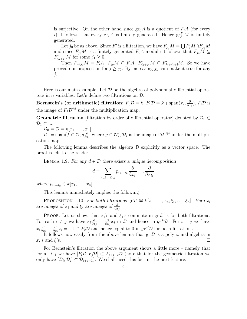is surjective. On the other hand since  $gr_i A$  is a quotient of  $F_i A$  (for every i) it follows that every  $\operatorname{gr}_i A$  is finitely generated. Hence  $\operatorname{gr}_j^F M$  is finitely generated.

Let  $j_0$  be as above. Since F' is a filtration, we have  $F_{j_0}M = \bigcup F'_jM\cap F_{j_0}M$ and since  $F_{j_0}M$  is a finitely generated  $F_0A$ -module it follows that  $F_{j_0}M \subseteq$  $F'_{j_0+j_1}M$  for some  $j_1 \geq 0$ .

Then  $F_{i+j_0}M = F_iA \cdot F_{j_0}M \subseteq F_iA \cdot F'_{j_0+j_1}M \subseteq F'_{j_0+j_1+i}M$ . So we have proved our proposition for  $j \geq j_0$ . By increasing  $j_1$  cam make it true for any  $j$ .

 $\Box$ 

Here is our main example. Let  $\mathcal D$  be the algebra of polynomial differential operators in *n* variables. Let's define two filtrations on  $\mathcal{D}$ :

Bernstein's (or arithmetic) filtration:  $F_0D = k$ ,  $F_1D = k + \text{span}(x_i, \frac{\partial D}{\partial x_i})$  $\frac{\partial}{\partial x_j}$ ),  $F_i \mathcal{D}$  is the image of  $F_1 \mathcal{D}^{\otimes i}$  under the multiplication map.

Geometric filtration (filtration by order of differential operator) denoted by  $\mathcal{D}_0 \subset$  $\mathcal{D}_1 \subset ...$ :

 $\mathcal{D}_0 = \mathcal{O} = k[x_1, \ldots, x_n]$ 

 $\mathcal{D}_1 = \text{span}(f \in \mathcal{O}; g \frac{\partial}{\partial x})$  $\frac{\partial}{\partial x_i}$  where  $g \in \mathcal{O}$ ,  $\mathcal{D}_i$  is the image of  $\mathcal{D}_1^{\otimes i}$  under the multiplication map.

The following lemma describes the algebra  $\mathcal D$  explicitly as a vector space. The proof is left to the reader.

LEMMA 1.9. For any  $d \in \mathcal{D}$  there exists a unique decomposition

$$
d = \sum_{i_1 \leq \dots \leq i_k} p_{i_1, \dots i_k} \frac{\partial}{\partial x_{i_1}} \dots \frac{\partial}{\partial x_{i_k}}
$$

where  $p_{i_1...i_k} \in k[x_1,...,x_n]$ .

This lemma immediately implies the following

PROPOSITION 1.10. For both filtrations  $gr \mathcal{D} \cong k[x_1,\ldots,x_n,\xi_1,\ldots,\xi_n]$ . Here  $x_i$ are images of  $x_i$  and  $\xi_j$  are images of  $\frac{\partial}{\partial x_j}$ .

PROOF. Let us show, that  $x_i$ 's and  $\xi_j$ 's commute in gr  $\mathcal{D}$  is for both filtrations. For each  $i \neq j$  we have  $x_i \frac{\partial}{\partial x_i}$  $\frac{\partial}{\partial x_j} = \frac{\partial}{\partial x_j}$  $\frac{\partial}{\partial x_j} x_i$  in  $\mathcal D$  and hence in  $gr^F \mathcal D$ . For  $i = j$  we have  $x_i\frac{\partial}{\partial x}$  $\frac{\partial}{\partial x_i} - \frac{\partial}{\partial x_i}$  $\frac{\partial}{\partial x_i} x_i = -1 \in F_0 \mathcal{D}$  and hence equal to 0 in  $gr^F \mathcal{D}$  for both filtrations.

It follows now easily from the above lemma that  $gr \mathcal{D}$  is a polynomial algebra in and  $\mathcal{E}$ 's.  $x_i$ 's and  $\xi$ 's. 's and  $\xi$ 's.

For Bernstein's filtration the above argument shows a little more – namely that for all i, j we have  $[F_i\mathcal{D}, F_j\mathcal{D}] \subset F_{i+j-2}\mathcal{D}$  (note that for the geometric filtration we only have  $[\mathcal{D}_i, \mathcal{D}_j] \subset \mathcal{D}_{i+j-1}$ . We shall need this fact in the next lecture.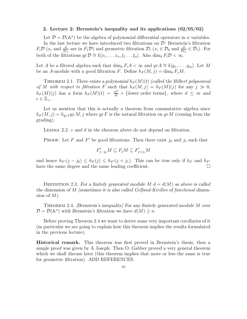## 2. Lecture 2: Bernstein's inequality and its applications (02/05/02)

Let  $\mathcal{D} = \mathcal{D}(\mathbb{A}^n)$  be the algebra of polynomial differential operators in *n* variables. In the last lecture we have introduced two filtrations on  $\mathcal{D}$ : Bernstein's filtration  $F_i\mathcal{D}$  ( $x_i$  and  $\frac{\partial}{\partial x_j}$  are in  $F_1\mathcal{D}$ ) and geometric filtration  $\mathcal{D}_i$  ( $x_i \in \mathcal{D}_0$  and  $\frac{\partial}{\partial x_j} \in \mathcal{D}_1$ ). For both of the filtrations gr  $\mathcal{D} \cong k[x_1, \ldots x_n, \xi_1 \ldots \xi_n]$ . Also  $\dim_k F_i \mathcal{D} < \infty$ .

Let A be a filtered algebra such that  $\dim_k F_iA < \infty$  and  $gr A \cong k[y_1, \ldots, y_m]$ . Let M be an A-module with a good filtration F. Define  $h_F(M, j) = \dim_k F_i M$ .

THEOREM 2.1. There exists a polynomial  $h_F(M)(t)$  (called the Hilbert polynomial of M with respect to filtration F such that  $h_F(M, j) = h_F(M)(j)$  for any  $j \gg 0$ ,  $h_F(M)(j)$  has a form  $h_F(M)(t) = \frac{ct^d}{d!} + \{\text{lower order terms}\},\$  where  $d \leq m$  and  $c \in \mathbb{Z}_{+}.$ 

Let us mention that this is actually a theorem from commutative algebra since  $h_F(M, j) = h_{\rm gr\, F}$ gr M, j where gr F is the natural filtration on gr M (coming from the grading).

Lemma 2.2. c and d in the theorem above do not depend on filtration.

**PROOF.** Let F and F' be good filtrations. Then there exist  $j_0$  and  $j_1$  such that

$$
F'_{j-j_0}M \subseteq F_jM \subseteq F'_{j+j_1}M
$$

and hence  $h_{F'}(j - j_0) \leq h_F(j) \leq h_{F'}(j + j_1)$ . This can be true only if  $h_F$  and  $h_{F'}$  have the same degree and the same leading coefficient. have the same degree and the same leading coefficient.

DEFINITION 2.3. For a finitely generated module  $M$   $d = d(M)$  as above is called the dimension of M (sometimes it is also called Gelfand-Kirillov of functional dimension of M).

THEOREM 2.4. *[Bernstein's inequality] For any finitely generated module M over*  $\mathcal{D} = \mathcal{D}(\mathbb{A}^n)$  with Bernstein's filtration we have  $d(M) \geq n$ .

Before proving Theorem 2.4 we want to derive some very important corollaries of it (in particular we are going to explain how this theorem implies the results formulated in the previous lecture).

Historical remark. This theorem was first proved in Bernstein's thesis, then a simple proof was given by A Joseph. Then O. Gabber proved a very general theorem which we shall discuss later (this theorem implies that more or less the same is true for geometric filtration). ADD REFERENCES.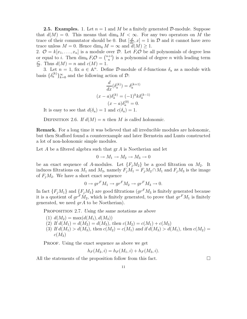**2.5. Examples.** 1. Let  $n = 1$  and M be a finitely generated D-module. Suppose that  $d(M) = 0$ . This means that  $\dim_k M < \infty$ . For any two operators on M the trace of their commutator should be 0. But  $\left[\frac{d}{dx}, x\right] = 1$  in  $\mathcal D$  and it cannot have zero trace unless  $M = 0$ . Hence  $\dim_k M = \infty$  and  $d(M) \geq 1$ .

2.  $\mathcal{O} = k[x_1, \ldots, x_n]$  is a module over  $\mathcal{D}$ . Let  $F_i\mathcal{O}$  be all polynomials of degree less or equal to *i*. Then dim<sub>k</sub>  $F_i \mathcal{O} = \binom{n+i}{n}$  $n^{(+)}$  is a polynomial of degree n with leading term i n  $\frac{i^n}{n!}$ . Thus  $d(M) = n$  and  $c(M) = 1$ .

3. Let  $n = 1$ , fix  $a \in \mathbb{A}^n$ . Define D-module of  $\delta$ -functions  $\delta_a$  as a module with basis  $\{\delta_a^{(k)}\}_{k=0}^{\infty}$  and the following action of  $\mathcal{D}$ :

$$
\frac{d}{dx}(\delta_a^{(k)}) = \delta_a^{(k+1)}
$$

$$
(x-a)\delta_a^{(k)} = (-1)^k k \delta_a^{(k-1)}
$$

$$
(x-a)\delta_a^{(0)} = 0.
$$

It is easy to see that  $d(\delta_a) = 1$  and  $c(\delta_a) = 1$ .

DEFINITION 2.6. If  $d(M) = n$  then M is called holonomic.

Remark. For a long time it was believed that all irreducible modules are holonomic, but then Stafford found a counterexample and later Bernstein and Lunts constructed a lot of non-holonomic simple modules.

Let A be a filtered algebra such that  $gr A$  is Noetherian and let

$$
0 \to M_1 \to M_2 \to M_3 \to 0
$$

be an exact sequence of A-modules. Let  ${F_iM_2}$  be a good filtration on  $M_2$ . It induces filtrations on  $M_1$  and  $M_3$ , namely  $F_jM_1 = F_jM_2 \cap M_1$  and  $F_jM_3$  is the image of  $F_iM_2$ . We have a short exact sequence

$$
0 \to gr^F M_1 \to gr^F M_2 \to gr^F M_3 \to 0.
$$

In fact  $\{F_jM_1\}$  and  $\{F_jM_3\}$  are good filtrations  $(gr^FM_3$  is finitely generated because it is a quotient of  $gr^F M_2$ , which is finitely generated, to prove that  $gr^F M_1$  is finitely generated, we need  $q r A$  to be Noetherian).

PROPOSITION 2.7. Using the same notations as above

- (1)  $d(M_2) = \max(d(M_1), d(M_3))$
- (2) If  $d(M_1) = d(M_2) = d(M_3)$ , then  $c(M_2) = c(M_1) + c(M_3)$
- (3) If  $d(M_1) > d(M_3)$ , then  $c(M_2) = c(M_1)$  and if  $d(M_3) > d(M_1)$ , then  $c(M_2) =$  $c(M_3)$

PROOF. Using the exact sequence as above we get

$$
h_F(M_2, i) = h_F(M_1, i) + h_F(M_3, i).
$$

All the statements of the proposition follow from this fact.  $\Box$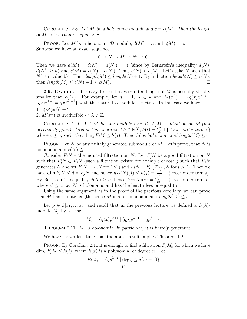COROLLARY 2.8. Let M be a holonomic module and  $c = c(M)$ . Then the length of  $M$  is less than or equal to  $c$ .

**PROOF.** Let M be a holonomic D-module,  $d(M) = n$  and  $c(M) = c$ . Suppose we have an exact sequence

$$
0 \to N \to M \to N' \to 0.
$$

Then we have  $d(M) = d(N) = d(N') = n$  (since by Bernstein's inequality  $d(N)$ ,  $d(N') \geq n$  and  $c(M) = c(N) + c(N')$ . Thus  $c(N) < c(M)$ . Let's take N such that N' is irreducible. Then  $length(M) \leq length(N) + 1$ . By induction  $length(N) \leq c(N)$ , then  $length(M) \leq c(N) + 1 \leq c(M)$ .

**2.9. Example.** It is easy to see that very often length of  $M$  is actually strictly smaller than  $c(M)$ . For example, let  $n = 1, \lambda \in k$  and  $M(x^{\lambda}) = \{q(x)x^{\lambda+i} \mid$  $(qx)x^{\lambda+i} = qx^{\lambda+i+1}$  with the natural D-module structure. In this case we have 1.  $c(M(x^{\lambda})) = 2$ 2.  $M(x^{\lambda})$  is irreducible  $\Leftrightarrow \lambda \notin \mathbb{Z}$ .

COROLLARY 2.10. Let M be any module over  $\mathcal{D}, F_iM$  – filtration on M (not necessarily good). Assume that there exist  $h \in \mathbb{R}[t]$ ,  $h(t) = \frac{ct^n}{n!} + \{$  lower order terms  $\}$ where  $c \geq 0$ , such that  $\dim_k F_j M \leq h(j)$ . Then M is holonomic and length $(M) \leq c$ .

**PROOF.** Let N be any finitely generated submodule of M. Let's prove, that N is holonomic and  $c(N) \leq c$ .

Consider  $F_jN$  – the induced filtration on N. Let  $F'_jN$  be a good filtration on N such that  $F_j'N \subset F_jN$  (such a filtration exists: for example choose j such that  $F_jN$ generates N and set  $F_i'N = F_iN$  for  $i \leq j$  and  $F_i'N = F_{i-j}\mathcal{D}_i F_jN$  for  $i > j$ ). Then we have dim  $F'_jN \leq \dim F_jN$  and hence  $h_{F'}(N)(j) \leq h(j) = \frac{cj^n}{n!} + {\text{lower order terms}}$ . By Bernstein's inequality  $d(N) \geq n$ , hence  $h_{F}(N)(j) = \frac{c_j^{n}}{n!} + \{\text{lower order terms}\},\$ where  $c' \leq c$ , i.e. N is holonomic and has the length less or equal to c.

Using the same argument as in the proof of the previous corollary, we can prove that M has a finite length, hence M is also holonomic and  $length(M) \leq c$ .

Let  $p \in k[x_1, \ldots, x_n]$  and recall that in the previous lecture we defined a  $\mathcal{D}(\lambda)$ module  $M_p$  by setting

$$
M_p = \{ q(x) p^{\lambda + i} \mid (qp) p^{\lambda + 1} = qp^{\lambda + 1} \}.
$$

THEOREM 2.11.  $M_p$  is holonomic. In particular, it is finitely generated.

We have shown last time that the above result implies Theorem 1.2.

**PROOF.** By Corollary 2.10 it is enough to find a filtration  $F_jM_p$  for which we have  $\dim_k F_i M \leq h(j)$ , where  $h(x)$  is a polynomial of degree n. Let

$$
F_j M_p = \{qp^{\lambda - j} \mid \deg q \le j(m+1)\}
$$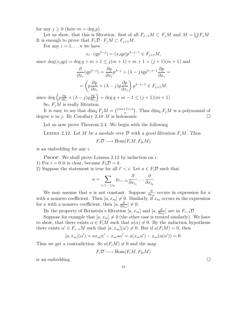for any  $j \geq 0$  (here  $m = \deg p$ ).

Let us show, that this is filtration: first of all  $F_{j-1}M \subset F_jM$  and  $M = \bigcup F_jM$ . It is enough to prove that  $F_1 \mathcal{D} \cdot F_j M \subset F_{j+1} M$ .

For any  $i = 1, \ldots n$  we have

$$
x_i \cdot (qp^{\lambda-j}) = (x_iqp)p^{\lambda-j-1} \in F_{j+1}M,
$$

since  $\deg(x_iqp) = \deg q + m + 1 \leq j(m+1) + m + 1 = (j+1)(m+1)$  and

$$
\frac{\partial}{\partial x_i}(qp^{\lambda-j}) = \frac{\partial q}{\partial x_i}p^{\lambda-j} + (\lambda - j)qp^{\lambda-j-1}\frac{\partial p}{\partial x_i} =
$$

$$
= \left(p\frac{\partial q}{\partial x_i} + (\lambda - j)q\frac{\partial p}{\partial x_i}\right)p^{\lambda-j-1} \in F_{j+1}M,
$$

since deg  $\left(p\frac{\partial q}{\partial x}\right)$  $\frac{\partial q}{\partial x_i} + (\lambda - j)q \frac{\partial p}{\partial x_i}$  $\partial x_i$  $= \deg q + m - 1 \le (j + 1)(m + 1).$ So,  $F_iM$  is really filtration.

It is easy to see that  $\dim_k F_j M = \binom{j(m+1)+n}{n}$  $\binom{n+1+n}{n}$ . Thus  $\dim_k F_jM$  is a polynomial of degree *n* in j. By Corollary 2.10 *M* is holonomic.

Let us now prove Theorem 2.4. We begin with the following

LEMMA 2.12. Let M be a module over  $\mathcal D$  with a good filtration  $F_iM$ . Then

$$
F_i \mathcal{D} \longrightarrow \text{Hom}(F_i M, F_{2i} M)
$$

is an embedding for any i.

**PROOF.** We shall prove Lemma 2.12 by induction on i.

1) For  $i = 0$  it is clear, because  $F_0 \mathcal{D} = k$ .

2) Suppose the statement is true for all  $i' < i$ . Let  $a \in F_i \mathcal{D}$  such that

$$
a = \sum_{i_1 \leq \dots \leq i_k} p_{i_1, \dots i_k} \frac{\partial}{\partial x_{i_1}} \dots \frac{\partial}{\partial x_{i_k}}
$$

We may assume that a is not constant. Suppose  $\frac{\partial}{\partial x_m}$  occurs in expression for a with a nonzero coefficient. Then  $[a, x_m] \neq 0$ . Similarly, if  $x_m$  occurs in the expression for a with a nonzero coefficient, then  $[a, \frac{\partial}{\partial x_m}] \neq 0$ .

By the property of Bernstein's filtration  $[a, x_m]$  and  $[a, \frac{\partial}{\partial x_m}]$  are in  $F_{i-1}D$ .

Suppose for example that  $[a, x_m] \neq 0$  (the other case is treated similarly). We have to show, that there exists  $\alpha \in F_iM$  such that  $a(\alpha) \neq 0$ . By the induction hypothesis there exists  $\alpha' \in F_{i-1}M$  such that  $[a, x_m](\alpha') \neq 0$ . But if  $a(F_iM) = 0$ , then

$$
[a, x_m](\alpha') = ax_m \alpha' - x_m a \alpha' = a(x_m \alpha') - x_m(a(\alpha')) = 0.
$$

Thus we get a contradiction. So  $a(F_iM) \neq 0$  and the map

$$
F_i \mathcal{D} \longrightarrow \text{Hom}(F_i M, F_{2i} M)
$$

is an embedding.  $\Box$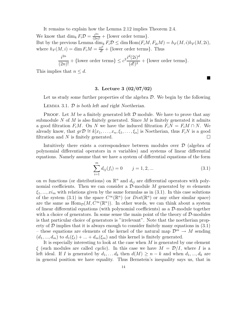It remains to explain how the Lemma 2.12 implies Theorem 2.4.

We know that  $\dim_k F_i \mathcal{D} = \frac{i^{2n}}{(2n)!} + {\text{lower order terms}}.$ But by the previous Lemma  $\dim_k F_i \mathcal{D} \leq \dim \text{Hom}(F_i M, F_{2i} M) = h_F(M, i)h_F(M, 2i),$ where  $h_F(M, i) = \dim F_i M = \frac{ci^d}{d!} + \{\text{lower order terms}\}.$  Thus

$$
\frac{i^{2n}}{(2n)!} + {\text{lower order terms}} \le c^2 \frac{i^d (2i)^d}{(d!)^2} + {\text{lower order terms}}.
$$

This implies that  $n \leq d$ .

#### 3. Lecture 3 (02/07/02)

Let us study some further properties of the algebra  $\mathcal D$ . We begin by the following

LEMMA 3.1.  $D$  is both left and right Noetherian.

**PROOF.** Let M be a finitely generated left  $\mathcal D$  module. We have to prove that any submodule N of M is also finitely generated. Since M is finitely generated it admits a good filtration  $F_iM$ . On N we have the induced filtration  $F_iN = F_iM \cap N$ . We already know, that  $gr\mathcal{D} \cong k[x_1, \ldots, x_n, \xi_1, \ldots, \xi_n]$  is Noetherian, thus  $F_iN$  is a good filtration and N is finitely generated. filtration and  $N$  is finitely generated.

Intuitively there exists a correspondence between modules over D (algebra of polynomial differential operators in  $n$  variables) and systems of linear differential equations. Namely assume that we have a system of differential equations of the form

$$
\sum_{i=1}^{m} d_{ij}(f_i) = 0 \t j = 1, 2, ... \t (3.1)
$$

 $\blacksquare$ 

on m functions (or distributions) on  $\mathbb{R}^n$  and  $d_{ij}$  are differential operators with polynomial coefficients. Then we can consider a  $\mathcal{D}\text{-module }M$  generated by m elements  $\xi_1, ..., \xi_m$  with relations given by the same formulas as in (3.1). In this case solutions of the system (3.1) in the space  $C^{\infty}(\mathbb{R}^n)$  (or  $Dist(\mathbb{R}^n)$  or any other similar space) are the same as  $\text{Hom}_{\mathcal{D}}(M, C^{\infty}(\mathbb{R}^n))$ . In other words, we can think about a system of linear differential equations (with polynomial coefficients) as a  $\mathcal{D}$ -module together with a choice of generators. In some sense the main point of the theory of  $\mathcal{D}\text{-modules}$ is that particular choice of generators is "irrelevant". Note that the noetherian property of  $D$  implies that it is always enough to consider finitely many equations in  $(3.1)$ – these equations are elements of the kernel of the natural map  $\mathcal{D}^m \to M$  sending  $(d_1, ..., d_m)$  to  $d_1(\xi_1) + ... + d_m(\xi_m)$  and this kernel is finitely generated.

It is especially interesting to look at the case when M is generated by one element  $\xi$  (such modules are called *cyclic*). In this case we have  $M = \mathcal{D}/I$ , where I is a left ideal. If I is generated by  $d_1, \ldots, d_k$  then  $d(M) \geq n - k$  and when  $d_1, \ldots, d_k$  are in general position we have equality. Thus Bernstein's inequality says us, that in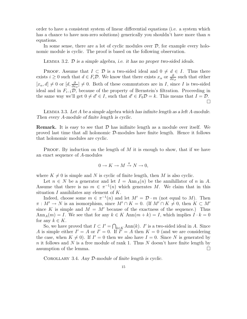order to have a consistent system of linear differential equations (i.e. a system which has a chance to have non-zero solutions) generically you shouldn't have more than  $n$ equations.

In some sense, there are a lot of cyclic modules over  $\mathcal{D}$ , for example every holonomic module is cyclic. The proof is based on the following observation.

LEMMA 3.2.  $\mathcal{D}$  is a simple algebra, i.e. it has no proper two-sided ideals.

PROOF. Assume that  $I \subset \mathcal{D}$  is a two-sided ideal and  $0 \neq d \in I$ . Thus there exists  $i \geq 0$  such that  $d \in F_i \mathcal{D}$ . We know that there exists  $x_\alpha$  or  $\frac{\partial}{\partial x_\beta}$  such that either  $[x_{\alpha}, d] \neq 0$  or  $[d, \frac{\partial}{\partial x_{\beta}}] \neq 0$ . Both of these commutators are in *I*, since *I* is two-sided ideal and in  $F_{i-1}\mathcal{D}$ , because of the property of Bernstein's filtration. Proceeding in the same way we'll get  $0 \neq d' \in I$ , such that  $d' \in F_0\mathcal{D} = k$ . This means that  $I = \mathcal{D}$ .  $\Box$ 

Lemma 3.3. Let A be a simple algebra which has infinite length as a left A-module. Then every A-module of finite length is cyclic.

**Remark.** It is easy to see that  $\mathcal{D}$  has inifinite length as a module over itself. We proved last time that all holonomic  $\mathcal{D}$ -modules have finite length. Hence it follows that holonomic modules are cyclic.

**PROOF.** By induction on the length of  $M$  it is enough to show, that if we have an exact sequence of A-modules

$$
0 \to K \to M \xrightarrow{\pi} N \to 0,
$$

where  $K \neq 0$  is simple and N is cyclic of finite length, then M is also cyclic.

Let  $n \in N$  be a generator and let  $I = \text{Ann}_{A}(n)$  be the annihillator of n in A. Assume that there is no  $m \in \pi^{-1}(n)$  which generates M. We claim that in this situation  $I$  annihilates any element of  $K$ .

Indeed, choose some  $m \in \pi^{-1}(n)$  and let  $M' = \mathcal{D} \cdot m$  (not equal to M). Then  $\pi : M' \to N$  is an isomorphism, since  $M' \cap K = 0$ . (If  $M' \cap K \neq 0$ , then  $K \subset M'$ since K is simple and  $M = M'$  because of the exactness of the sequence.) Thus  $\text{Ann}_A(m) = I$ . We see that for any  $k \in K$   $\text{Ann}(m + k) = I$ , which implies  $I \cdot k = 0$ for any  $k \in K$ .

So, we have proved that  $I \subset I' = \bigcap_{k \in K} \text{Ann}(k)$ . I' is a two-sided ideal in A. Since A is simple either  $I' = A$  or  $I' = 0$ . If  $\tilde{I'} = A$  then  $K = 0$  (and we are considering the case, when  $K \neq 0$ ). If  $I' = 0$  then we also have  $I = 0$ . Since N is generated by n it follows and N is a free module of rank 1. Thus N doesn't have finite length by assumption of the lemma.

COROLLARY 3.4. Any D-module of finite length is cyclic.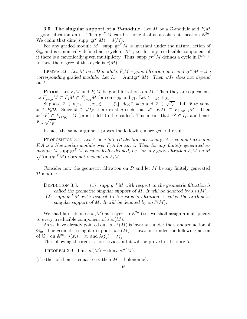**3.5. The singular support of a D-module.** Let M be a D-module and  $F_iM$ - good filtration on it. Then  $gr^F M$  can be thought of as a coherent sheaf on  $\mathbb{A}^{2n}$ . We claim that dim( supp  $gr<sup>F</sup> M$ ) =  $d(M)$ .

For any graded module M, supp  $\mathrm{gr}^F M$  is invariant under the natural action of  $\mathbb{G}_m$  and is canonically defined as a cycle in  $\mathbb{A}^{2n}$ , i.e. for any irreducible component of it there is a canonically given multiplicity. Thus supp  $gr<sup>F</sup>M$  defines a cycle in  $\mathbb{P}^{2n-1}$ . In fact, the degree of this cycle is  $c(M)$ .

LEMMA 3.6. Let M be a D-module,  $F_iM$  – good filtration on it and  $gr^F M$  – the corresponding graded module. Let  $I_F = \text{Ann}(\text{gr}^F M)$ . Then  $\sqrt{I_F}$  does not depend on F.

PROOF. Let  $F_iM$  and  $F'_iM$  be good filtrations on M. Then they are equivalent, i.e  $F'_{j-j_0}M \subset F_jM \subset F'_{j+j_1}M$  for some j<sub>0</sub> and j<sub>1</sub>. Let  $t = j_0 + j_1 + 1$ .

Suppose  $\bar{x} \in k[x_1, \ldots, x_n, \xi_1, \ldots, \xi_n]$ ,  $\deg \bar{x} = p$  and  $\bar{x} \in \sqrt{I_F}$ . Lift  $\bar{x}$  to some  $x \in F_p$ D. Since  $\bar{x} \in \sqrt{I_F}$  there exist q such that  $x^q \cdot F_i M \subset F_{i+pq-1}M$ . Then  $x^{qt} \cdot F_i' \subset F_{i+tpq-1}'M$  (proof is left to the reader). This means that  $\bar{x}^{qt} \in I_{F'}$  and hence  $\bar{x} \in \sqrt{I_F}$  $\overline{\phantom{a}}$  . The contract of the contract of the contract of the contract of the contract of  $\Box$ 

In fact, the same argument proves the following more general result:

PROPOSITION 3.7. Let A be a filtered algebra such that  $\operatorname{gr} A$  is commutative and  $F_iA$  is a Noetherian module over  $F_0A$  for any i. Then for any finitely generated Amodule M supp  $gr^F M$  is canonically defined, i.e. for any good filtration  $F_iM$  on M  $\sqrt{\text{Ann}(gr^F M)}$  does not depend on  $F_i M$ .

Consider now the geometric filtration on  $\mathcal D$  and let M be any finitely generated D-module.

DEFINITION 3.8. (1) supp  $gr^F M$  with respect to the geometric filtration is called the geometric singular support of M. It will be denoted by  $s.s.(M)$ .

(2) supp  $gr<sup>F</sup>M$  with respect to Bernstein's filtration is called the arithmetic singular support of M. It will be denoted by  $s.s.^{a}(M)$ .

We shall later define s.s.  $(M)$  as a cycle in  $\mathbb{A}^{2n}$  (i.e. we shall assign a multiplicity to every irreducible component of  $s.s.(M)$ .

As we have already pointed out,  $s.s.^{a}(M)$  is invariant under the standard action of  $\mathbb{G}_m$ . The geometric singular support s.s. $(M)$  is invariant under the following action of  $\mathbb{G}_m$  on  $\mathbb{A}^{2n}$ :  $\lambda(x_i) = x_i$  and  $\lambda(\xi_i) = \lambda \xi_i$ .

The following theorem is non-trivial and it will be proved in Lecture 5.

THEOREM 3.9. dim  $s.s.(M) = \dim s.s.^{a}(M)$ .

(if either of them is equal to n, then  $M$  is holonomic).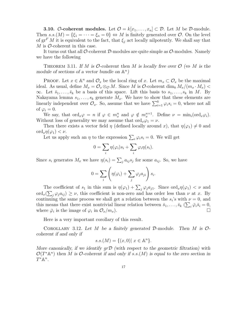**3.10.** O-coherent modules. Let  $\mathcal{O} = k[x_1, \ldots, x_n] \subset \mathcal{D}$ . Let M be D-module. Then  $s.s.(M) = \{\xi_1 = \cdots = \xi_n = 0\} \Leftrightarrow M$  is finitely generated over  $\mathcal{O}$ . On the level of  $gr<sup>F</sup> M$  it is equivalent to the fact, that  $\xi_j$  act locally nilpotently. We shall say that  $M$  is  $\mathcal{O}\text{-coherent}$  in this case.

It turns out that all  $\mathcal{O}\text{-coherent }\mathcal{D}\text{-modules}$  are quite simple as  $\mathcal{O}\text{-modules}$ . Namely we have the following

THEOREM 3.11. If M is  $\mathcal{O}\text{-coherent}$  then M is locally free over  $\mathcal{O} \Leftrightarrow M$  is the module of sections of a vector bundle on  $\mathbb{A}^n$ )

PROOF. Let  $x \in \mathbb{A}^n$  and  $\mathcal{O}_x$  be the local ring of x. Let  $m_x \subset \mathcal{O}_x$  be the maximal ideal. As usual, define  $M_x = \mathcal{O}_x \otimes_{\mathcal{O}} M$ . Since M is  $\mathcal{O}\text{-coherent dim}_k M_x/(m_x \cdot M_x)$  $\infty$ . Let  $\bar{s}_1, \ldots, \bar{s}_k$  be a basis of this space. Lift this basis to  $s_1, \ldots, s_k$  in M. By Nakayama lemma  $s_1, \ldots, s_k$  generate  $M_x$ . We have to show that these elements are linearly independent over  $\mathcal{O}_x$ . So, assume that we have  $\sum_{i=1}^k \varphi_i s_i = 0$ , where not all of  $\varphi_i = 0$ .

We say, that  $\text{ord}_x\varphi = n$  if  $\varphi \in m_x^n$  and  $\varphi \notin m_x^{n+1}$ . Define  $\nu = \min_i (\text{ord}_x \varphi_i)$ . Without loss of generality we may assume that  $\text{ord}_x\varphi_1=\nu$ .

Then there exists a vector field  $\eta$  (defined locally around x), that  $\eta(\varphi_1) \neq 0$  and  $\text{ord}_x \eta(\varphi_1) < \nu.$ 

Let us apply such an  $\eta$  to the expression  $\sum_i \varphi_i s_i = 0$ . We will get

$$
0 = \sum_{i} \eta(\varphi_i) s_i + \sum_{i} \varphi_i \eta(s_i).
$$

Since  $s_i$  generates  $M_x$  we have  $\eta(s_i) = \sum_j a_{ij} s_j$  for some  $a_{ij}$ . So, we have

$$
0 = \sum_{i} \left( \eta(\varphi_i) + \sum_{j} \varphi_j a_{ji} \right) s_i.
$$

The coefficient of  $s_1$  in this sum is  $\eta(\varphi_1) + \sum_j \varphi_j a_{j1}$ . Since  $\text{ord}_x \eta(\varphi_1) < \nu$  and  $\text{ord}_x(\sum_j \varphi_j a_{ij}) \geq \nu$ , this coefficient is non-zero and has order less than  $\nu$  at x. By continuing the same process we shall get a relation between the  $s_i$ 's with  $\nu = 0$ , and this means that there exist nontrivial linear relation between  $\bar{s}_1, \ldots, \bar{s}_k$  ( $\sum_i \bar{\varphi}_i \bar{s}_i = 0$ , where  $\bar{\varphi}_i$  is the image of  $\varphi_i$  in  $\mathcal{O}_x/m_x$ ).

Here is a very important corollary of this result.

COROLLARY 3.12. Let M be a finitely generated  $\mathcal{D}\text{-module}$ . Then M is  $\mathcal{O}\text{-}$ coherent if and only if

$$
s.s.(M) = \{(x, 0) | x \in \mathbb{A}^n\}.
$$

More canonically, if we identify  $q\tau\mathcal{D}$  (with respect to the geometric filtration) with  $\mathcal{O}(T^*\mathbb{A}^n)$  then M is O-coherent if and only if s.s.(M) is equal to the zero section in  $T^*\mathbb{A}^n$ .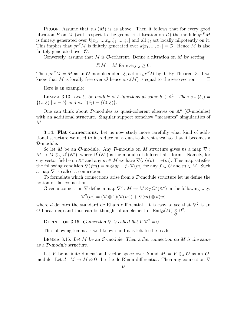**PROOF.** Assume that  $s.s.(M)$  is as above. Then it follows that for every good filtration F on M (with respect to the geometric filtration on D) the module  $gr<sup>F</sup>M$ is finitely generated over  $k[x_1, ..., x_n, \xi_1, ..., \xi_n]$  and all  $\xi_i$  act locally nilpotently on it. This implies that  $gr^F M$  is finitely generated over  $k[x_1, ..., x_n] = \mathcal{O}$ . Hence M is also finitely generated over  $\mathcal{O}$ .

Conversely, assume that M is  $\mathcal{O}\text{-coherent}$ . Define a filtration on M by setting

$$
F_j M = M
$$
 for every  $j \ge 0$ .

Then  $gr^F M = M$  as an  $\mathcal{O}$ -module and all  $\xi_i$  act on  $gr^F M$  by 0. By Theorem 3.11 we know that M is locally free over  $\mathcal O$  hence  $s.s.(M)$  is equal to the zero section.  $\Box$ 

Here is an example:

LEMMA 3.13. Let  $\delta_b$  be module of  $\delta$ -functions at some  $b \in \mathbb{A}^1$ . Then  $s.s.(\delta_b) =$  $\{(x,\xi) \mid x=b\}$  and  $s.s.^a(\delta_b) = \{(0,\xi)\}.$ 

One can think about  $\mathcal{D}$ -modules as quasi-coherent sheaves on  $\mathbb{A}^n$  ( $\mathcal{O}$ -modules) with an additional structure. Singular support somehow "measures" singularities of  $M$ .

3.14. Flat connections. Let us now study more carefully what kind of additional structure we need to introduce on a quasi-coherent sheaf so that it becomes a D-module.

So let M be an  $\mathcal{O}\text{-module}$ . Any  $\mathcal{D}\text{-module}$  on M structure gives us a map  $\nabla$ :  $M \to M \otimes_{\mathcal{O}} \Omega^1(\mathbb{A}^n)$ , where  $\Omega^1(\mathbb{A}^n)$  is the module of differential 1-forms. Namely, for eny vector field v on  $\mathbb{A}^n$  and any  $m \in M$  we have  $\nabla(m)(v) = v(m)$ . This map satisfies the following condition  $\nabla(f_m) = m \otimes df + f \cdot \nabla(m)$  for any  $f \in \mathcal{O}$  and  $m \in M$ . Such a map  $\nabla$  is called a connection.

To formulate which connections arise from a D-module structure let us define the notion of flat connection.

Given a connection  $\nabla$  define a map  $\nabla^2 : M \to M \otimes_{\mathcal{O}} \Omega^2(\mathbb{A}^n)$  in the following way:

$$
\nabla^2(m) = (\nabla \otimes 1)(\nabla(m)) + \nabla(m) \otimes d(w)
$$

where d denotes the standard de Rham differential. It is easy to see that  $\nabla^2$  is an O-linear map and thus can be thought of an element of  $\text{End}_{\mathcal{O}}(M) \underset{\mathcal{O}}{\otimes} \Omega^2$ .

DEFINITION 3.15. Connection  $\nabla$  is called flat if  $\nabla^2 = 0$ .

The following lemma is well-known and it is left to the reader.

LEMMA 3.16. Let M be an  $\mathcal{O}\text{-module}$ . Then a flat connection on M is the same as a D-module structure.

Let V be a finite dimensional vector space over k and  $M = V \otimes_k \mathcal{O}$  as an  $\mathcal{O}$ module. Let  $d: M \to M \otimes \Omega^1$  be the de Rham differential. Then any connection  $\nabla$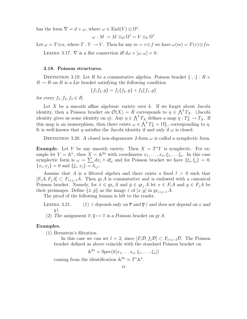has the form  $\nabla = d + \omega$ , where  $\omega \in \text{End}(V) \otimes \Omega^1$ .

$$
\omega: M \to M \otimes_{\mathcal{O}} \Omega^1 = V \otimes_k \Omega^1
$$

Let  $\omega = T \otimes \alpha$ , where  $T : V \to V$ . Then for any  $m = v \otimes f$  we have  $\omega(m) = T(v) \otimes f \alpha$ .

LEMMA 3.17.  $\nabla$  is a flat connection iff  $d\omega + [\omega, \omega] = 0$ .

# 3.18. Poisson structures.

DEFINITION 3.19. Let R be a commutative algebra. Poisson bracket  $\{\cdot,\cdot\}: R \times$  $R \to R$  on R is a Lie bracket satisfying the following condition

$$
\{f_1f_2, g\} = f_1\{f_2, g\} + f_2\{f_1, g\}
$$

for every  $f_1, f_2, f_3 \in R$ .

Let X be a smooth affine algebraic variety over  $k$ . If we forget about Jacobi identity, then a Poisson bracket on  $\mathcal{O}(X) = R$  corresponds to  $\eta \in \bigwedge^2 T_X$ . (Jacobi identity gives us some identity on  $\eta$ ). Any  $\eta \in \bigwedge^2 T_X$  defines a map  $\eta : T_X^* \to T_X$ . If this map is an isomorphism, then there exists  $\omega \in \bigwedge^2 T_X^* = \Omega_X^2$ , corresponding to  $\eta$ . It is well-known that  $\eta$  satisfies the Jacobi identity if and only if  $\omega$  is closed.

DEFINITION 3.20. A closed non-degenerate 2-form  $\omega$  is called a symplectic form.

**Example.** Let Y be any smooth variety. Then  $X = T^*Y$  is symplectic. For example let  $Y = \mathbb{A}^n$ , then  $X = \mathbb{A}^{2n}$  with coordinates  $x_1, \ldots, x_n, \xi_1, \ldots, \xi_n$ . In this case symplectic form is  $\omega = \sum_i dx_i \wedge d\xi_i$  and for Poisson bracket we have  $\{\xi_i, \xi_j\} = 0$ ,  ${x_i, x_j} = 0$  and  ${\xi_i, x_j} = \delta_{i,j}$ .

Assume that A is a filtered algebra and there exists a fixed  $l > 0$  such that  $[F_iA, F_jA] \subset F_{i+j-l}A$ . Then gr A is commutative and is endowed with a canonical Poisson bracket. Namely, for  $\bar{x} \in \mathrm{gr}_{i} A$  and  $\bar{y} \in \mathrm{gr}_{j} A$  let  $x \in F_{i} A$  and  $y \in F_{j} A$  be their preimages. Define  $\{\bar{x}, \bar{y}\}$  as the image  $\bar{z}$  of  $[x, y]$  in  $gr_{i+i-l} A$ .

The proof of the following lemma is left to the reader.

- LEMMA 3.21. (1)  $\bar{z}$  depends only on  $\bar{x}$  and  $\bar{y}$  ( and does not depend on x and  $y)$ .
- (2) The assignment  $\overline{x}, \overline{y} \mapsto \overline{z}$  is a Poisson bracket on gr A.

#### Examples.

- (1) Bernstein's filtration.
	- In this case we can set  $l = 2$ , since  $[F_i\mathcal{D}, f_j\mathcal{D}] \subset F_{i+j-2}\mathcal{D}$ . The Poisson bracket defined as above coincide with the standard Poisson bracket on

$$
\mathbb{A}^{2n} = \operatorname{Spec}(k[x_1, \ldots x_n, \xi_1, \ldots, \xi_n])
$$

coming from the identification  $\mathbb{A}^{2n} \simeq T^* \mathbb{A}^n$ .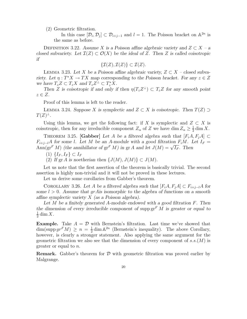(2) Geometric filtration.

In this case  $[\mathcal{D}_i, \mathcal{D}_j] \subset \mathcal{D}_{i+j-1}$  and  $l = 1$ . The Poisson bracket on  $\mathbb{A}^{2n}$  is the same as before.

DEFINITION 3.22. Assume X is a Poisson affine algebraic variety and  $Z \subset X - a$ closed subvariety. Let  $\mathcal{I}(Z) \subset \mathcal{O}(X)$  be the ideal of Z. Then Z is called coisotropic if

$$
\{\mathcal{I}(Z),\mathcal{I}(Z)\}\subset\mathcal{I}(Z).
$$

LEMMA 3.23. Let X be a Poisson affine algebraic variety,  $Z \subset X$  – closed subvariety. Let  $\eta: T^*X \to TX$  map corresponding to the Poisson bracket. For any  $z \in Z$ we have  $T_z Z \subset T_z X$  and  $T_z Z^{\perp} \subset T_z^* X$ .

Then Z is coisotropic if and only if then  $\eta(T_z Z^{\perp}) \subset T_z Z$  for any smooth point  $z \in Z$ .

Proof of this lemma is left to the reader.

LEMMA 3.24. Suppose X is symplectic and  $Z \subset X$  is coisotropic. Then  $T(Z) \supset$  $T(Z)^{\perp}.$ 

Using this lemma, we get the following fact: if X is symplectic and  $Z \subset X$  is coisotropic, then for any irreducible component  $Z_{\alpha}$  of Z we have dim  $Z_{\alpha} \ge \frac{1}{2}$  $\frac{1}{2}$  dim X.

THEOREM 3.25. [Gabber] Let A be a filtered algebra such that  $[F_iA, F_iA] \subset$  $F_{i+j-l}$ A for some l. Let M be an A-module with a good filtration  $F_iM$ . Let  $I_F =$ Ann(gr<sup>F</sup> M) (the annihillator of gr<sup>F</sup> M) in gr A and let  $J(M) = \sqrt{I_F}$ . Then

- $(1)$  { $I_F, I_F$ } ⊂  $I_F$
- (2) If gr A is noetherian then  $\{J(M), J(M)\} \subset J(M)$ .

Let us note that the first assertion of the theorem is basically trivial. The second assertion is highly non-trivial and it will not be proved in these lectures.

Let us derive some corollaries from Gabber's theorem.

COROLLARY 3.26. Let A be a filtered algebra such that  $[F_iA, F_iA] \subset F_{i+j-l}A$  for some  $l > 0$ . Assume that grAis isomorphic to the algebra of functions on a smooth affine symplectic variety  $X$  (as a Poisson algebra).

Let  $M$  be a finitely generated A-module endowed with a good filtration  $F$ . Then the dimension of every irreducible component of supp  $\operatorname{gr}^F M$  is greater or equal to 1  $\frac{1}{2}$  dim X.

**Example.** Take  $A = \mathcal{D}$  with Bernstein's filtration. Last time we've showed that  $\dim(\operatorname{supp} gr^F M) \geq n = \frac{1}{2}$  $\frac{1}{2}$  dim  $\mathbb{A}^{2n}$  (Bernstein's inequality). The above Corollary, however, is clearly a stronger statement. Also applying the same argument for the geometric filtration we also see that the dimension of every component of  $s.s.(M)$  is greater or equal to n.

**Remark.** Gabber's theorem for  $D$  with geometric filtration was proved earlier by Malgrange.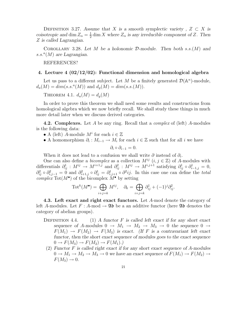DEFINITION 3.27. Assume that X is a smooth symplectic variety,  $Z \subset X$  is coisotropic and dim  $Z_{\alpha} = \frac{1}{2}$  $\frac{1}{2}$  dim X where  $Z_{\alpha}$  is any irreducible component of Z. Then Z is called Lagrangian.

COROLLARY 3.28. Let M be a holonomic  $\mathcal{D}\text{-module}$ . Then both s.s. $(M)$  and  $s.s.^{a}(M)$  are Lagrangian.

REFERENCES?

#### 4. Lecture 4 (02/12/02): Functional dimension and homological algebra

Let us pass to a different subject. Let M be a finitely generated  $\mathcal{D}(\mathbb{A}^n)$ -module,  $d_a(M) = dim(s.s.^a(M))$  and  $d_g(M) = dim(s.s.(M)).$ 

THEOREM 4.1.  $d_a(M) = d_a(M)$ 

In order to prove this theorem we shall need some results and constructions from homological algebra which we now briefly recall. We shall study these things in much more detail later when we discuss derived categories.

**4.2. Complexes.** Let A be any ring. Recall that a *complex* of (left) A-modules is the following data:

- A (left) A-module  $M^i$  for each  $i \in \mathbb{Z}$
- A homomorphism  $\partial_i : M_{i-1} \to M_i$  for each  $i \in \mathbb{Z}$  such that for all i we have

$$
\partial_i \circ \partial_{i-1} = 0.
$$

When it does not lead to a confusion we shall write  $\partial$  instead of  $\partial_i$ .

One can also define a *bicomplex* as a collection  $M^{ij}$   $(i, j \in \mathbb{Z})$  of A-modules with differentials  $\partial_{ij}^1 : M^{ij} \to M^{i+1,j}$  and  $\partial_{ij}^2 : M^{ij} \to M^{i,j+1}$  satisfying  $\partial_{ij}^1 \circ \partial_{i-1,j}^1 = 0$ ,  $\partial_{ij}^2 \circ \partial_{i,j-1}^2 = 0$  and  $\partial_{i+1,j}^2 \circ \partial_{ij}^1 = \partial_{i,j+1}^1 \circ \partial^2 ij$ . In this case one can define the *total complex* Tot( $M^{\bullet}$ ) of the bicomplex  $M^{\bullet}$  by setting

$$
\text{Tot}^k(M^{\bullet}) = \bigoplus_{i+j=k} M^{ij}, \quad \partial_k = \bigoplus_{i+j=k} \partial_{ij}^1 + (-1)^j \partial_{ij}^2.
$$

4.3. Left exact and right exact functors. Let A-mod denote the category of left A-modules. Let  $F : A$ -mod  $\rightarrow \mathfrak{Ab}$  be a an additive functor (here  $\mathfrak{Ab}$  denotes the category of abelian groups).

- DEFINITION 4.4. (1) A functor F is called left exact if for any short exact sequence of A-modules  $0 \to M_1 \to M_2 \to M_3 \to 0$  the sequence  $0 \to$  $F(M_1) \rightarrow F(M_2) \rightarrow F(M_3)$  is exact. (If F is a contravariant left exact functor, then the short exact sequence of modules goes to the exact sequence  $0 \rightarrow F(M_3) \rightarrow F(M_2) \rightarrow F(M_1)$ .
	- (2) Functor F is called right exact if for any short exact sequence of A-modules  $0 \to M_1 \to M_2 \to M_3 \to 0$  we have an exact sequence of  $F(M_1) \to F(M_2) \to$  $F(M_3) \rightarrow 0.$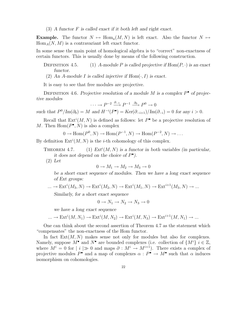$(3)$  A functor F is called exact if it both left and right exact.

**Example.** The functor  $N \mapsto \text{Hom}_{a}(M, N)$  is left exact. Also the functor  $N \mapsto$  $Hom_A(N, M)$  is a contravariant left exact functor.

In some sense the main point of homological algebra is to "correct" non-exactness of certain functors. This is usually done by means of the following construction.

- DEFINITION 4.5. (1) A-module P is called projective if  $Hom(P, \cdot)$  is an exact functor.
- (2) An A-module I is called injective if  $Hom(\cdot, I)$  is exact.

It is easy to see that free modules are projective.

DEFINITION 4.6. Projective resolution of a module M is a complex  $P^{\bullet}$  of projective modules

$$
\cdots \to P^{-2} \xrightarrow{\partial_{-1}} P^{-1} \xrightarrow{\partial_0} P^0 \to 0
$$

such that  $P^0/\text{Im}(\partial_0) = M$  and  $H^{-i}(P^{\bullet}) = \text{Ker}(\partial_{-i+1})/\text{Im}(\partial_{-i}) = 0$  for any  $i > 0$ .

Recall that  $Ext^{i}(M, N)$  is defined as follows: let  $P^{\bullet}$  be a projective resolution of M. Then  $\text{Hom}(P^{\bullet}, N)$  is also a complex

$$
0 \to \text{Hom}(P^0, N) \to \text{Hom}(P^{-1}, N) \to \text{Hom}(P^{-2}, N) \to \dots
$$

By definition  $Ext^{i}(M, N)$  is the *i*-th cohomology of this complex.

- THEOREM 4.7. (1)  $Ext<sup>i</sup>(M, N)$  is a functor in both variables (in particular, it does not depend on the choice of  $P^{\bullet}$ ).
	- (2) Let

$$
0 \to M_1 \to M_2 \to M_3 \to 0
$$

be a short exact sequence of modules. Then we have a long exact sequence of Ext groups:

$$
\dots \to \text{Ext}^i(M_3, N) \to \text{Ext}^i(M_2, N) \to \text{Ext}^i(M_1, N) \to \text{Ext}^{i+1}(M_3, N) \to \dots
$$

Similarly, for a short exact sequence

$$
0 \to N_1 \to N_2 \to N_3 \to 0
$$

we have a long exact sequence

$$
\dots \to \text{Ext}^i(M, N_1) \to \text{Ext}^i(M, N_2) \to \text{Ext}^i(M, N_3) \to \text{Ext}^{i+1}(M, N_1) \to \dots
$$

One can think about the second assertion of Theorem 4.7 as the statement which "compensates" the non-exactness of the Hom functor.

In fact  $Ext(M, N)$  makes sense not only for modules but also for complexes. Namely, suppose  $M^{\bullet}$  and  $N^{\bullet}$  are bounded complexes (i.e. collection of  $\{M^{i}\}\ i \in \mathbb{Z}$ , where  $M^i = 0$  for  $|i \rangle \gg 0$  and maps  $\partial : M^i \to M^{i+1}$ . There exists a complex of projective modules  $P^{\bullet}$  and a map of complexes  $\alpha : P^{\bullet} \to M^{\bullet}$  such that  $\alpha$  induces isomorphism on cohomologies.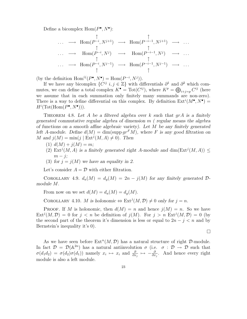Define a bicomplex  $\text{Hom}(P^{\bullet}, N^{\bullet})$ :

$$
\begin{array}{ccccccc}\n\cdots & \longrightarrow & \text{Hom}(P^{-i}, N^{j+1}) & \longrightarrow & \text{Hom}(P^{-i-1}, N^{j+1}) & \longrightarrow & \cdots \\
& & \uparrow & & \uparrow & & \uparrow \\
\cdots & \longrightarrow & \text{Hom}(P^{-i}, N^{j}) & \longrightarrow & \text{Hom}(P^{-i-1}, N^{j}) & \longrightarrow & \cdots \\
& & \uparrow & & \uparrow & & \uparrow \\
& & \uparrow & & & \uparrow & & \cdots\n\end{array}
$$

(by the definition  $Hom^{ij}(P^{\bullet}, N^{\bullet}) = Hom(P^{-i}, N^{j})).$ 

If we have any bicomplex  $\{C^{ij} \ i,j \in \mathbb{Z}\}\$  with differentials  $\partial^1$  and  $\partial^2$  which commutes, we can define a total complex  $K^{\bullet} = \text{Tot}(C^{ij})$ , where  $K^p = \bigoplus_{i+j=p} C^{ij}$  (here we assume that in each summation only finitely many summands are non-zero). There is a way to define differential on this complex. By definition  $Ext^{i}(M^{\bullet}, N^{\bullet}) =$  $H^i(\text{Tot}(\text{Hom}(P^{\bullet}, N^{\bullet}))).$ 

THEOREM 4.8. Let A be a filtered algebra over k such that  $q \tau A$  is a finitely generated commutative regular algebra of dimension  $m$  (regular means the algebra of functions on a smooth affine algebraic variety). Let M be any finitely generated left A-module. Define  $d(M) = \dim(\text{supp} gr^F M)$ , where F is any good filtration on M and  $j(M) = \min(j | \operatorname{Ext}^j(M, A) \neq 0)$ . Then

- (1)  $d(M) + j(M) = m;$
- (2) Ext<sup>j</sup>(M, A) is a finitely generated right A-module and  $\dim(\text{Ext}^j(M, A)) \leq$  $m - i$ ;
- (3) for  $j = j(M)$  we have an equality in 2.

Let's consider  $A = \mathcal{D}$  with either filtration.

COROLLARY 4.9.  $d_a(M) = d_g(M) = 2n - j(M)$  for any finitely generated  $\mathcal{D}$ module M.

From now on we set  $d(M) = d_a(M) = d_q(M)$ .

COROLLARY 4.10. M is holonomic  $\Leftrightarrow \text{Ext}^{j}(M, \mathcal{D}) \neq 0$  only for  $j = n$ .

**PROOF.** If M is holonomic, then  $d(M) = n$  and hence  $i(M) = n$ . So we have  $\text{Ext}^j(M,\mathcal{D}) = 0$  for  $j < n$  be definition of  $j(M)$ . For  $j > n$   $\text{Ext}^j(M,\mathcal{D}) = 0$  (by the second part of the theorem it's dimension is less or equal to  $2n - j < n$  and by Bernstein's inequality it's 0).

 $\Box$ 

As we have seen before  $\text{Ext}^n(M, \mathcal{D})$  has a natural structure of right  $\mathcal{D}\text{-module}$ . In fact  $\mathcal{D} = \mathcal{D}(\mathbb{A}^{2n})$  has a natural antiinvolution  $\sigma$  (i.e.  $\sigma : \mathcal{D} \to \mathcal{D}$  such that  $\sigma(d_1d_2) = \sigma(d_2)\sigma(d_1)$  namely  $x_i \mapsto x_i$  and  $\frac{\partial}{\partial x_j} \mapsto -\frac{\partial}{\partial x_i}$  $\frac{\partial}{\partial x_j}$ . And hence every right module is also a left module.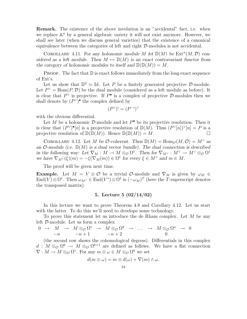Remark. The existence of the above involution is an "accidental" fact, i.e. when we replace  $\mathbb{A}^n$  by a general algebraic variety it will not exist anymore. However, we shall see later (when we discuss general varieties) that the existence of a canonical equivalence between the categories of left and right D-modules is not accidental.

COROLLARY 4.11. For any holonomic module M let  $\mathbb{D}(M)$  be  $\mathrm{Ext}^n(M, \mathcal{D})$  considered as a left module. Then  $M \mapsto \mathbb{D}(M)$  is an exact contravariant functor from the category of holonomic modules to itself and  $\mathbb{D}(\mathbb{D}(M)) = M$ .

**PROOF.** The fact that  $\mathbb{D}$  is exact follows immediately from the long exact sequence of Ext's.

Let us show that  $\mathbb{D}^2 \simeq$  Id. Let P be a finitely generated projective D-module. Let  $P^{\vee} = \text{Hom}(P, \mathcal{D})$  be the dual module (considered as a left module as before). It is clear that  $P^{\vee}$  is projective. If  $P^{\bullet}$  is a complex of projective  $D$ -modules then we shall denote by  $(P^{\vee})^{\bullet}$  the complex defined by

$$
(P^{\vee})^i = (P^{-i})^{\vee}
$$

with the obvious differential.

Let M be a holonomic D-module and let  $P^{\bullet}$  be its projective resolution. Then it is clear that  $(P^{\vee})^{\bullet}[n]$  is a projective resolution of  $\mathbb{D}(M)$ . Thus  $(P^{\vee}[n])^{\vee}[n] = P$  is a projective resolution of  $\mathbb{D}(\mathbb{D}(M))$ . Hence  $\mathbb{D}(\mathbb{D}(M)) = M$ .

COROLLARY 4.12. Let M be O-coherent. Then  $\mathbb{D}(M) = \text{Hom}_{\mathcal{O}}(M, \mathcal{O}) = M^{\vee}$  as an  $\mathcal{O}\text{-module}$  (i.e.  $\mathbb{D}(M)$  is a dual vector bundle). The dual connection is described in the following way: Let  $\nabla_M : M \to M \otimes_{\mathcal{O}} \Omega^1$ . Then for  $\nabla_{M^\vee} : M^\vee \to M^\vee \otimes_{\mathcal{O}} \Omega^1$ we have  $\nabla_{M}(\xi)(m) = -\xi(\nabla_M(m)) \in \Omega^1$  for every  $\xi \in M^\vee$  and  $m \in M$ .

The proof will be given next time.

**Example.** Let  $M = V \otimes \mathcal{O}$  be a trivial  $\mathcal{O}\text{-module}$  and  $\nabla_M$  is given by  $\omega_M \in$  $\text{End}(V) \otimes \Omega^1$ . Then  $\omega_{M^{\vee}} \in \text{End}(V^*) \otimes \Omega^1$  is  $(-\omega_M)^T$  (here the T-superscript denotes the transposed matrix).

# 5. Lecture 5 (02/14/02)

In this lecture we want to prove Theorem 4.8 and Corollary 4.12. Let us start with the latter. To do this we'll need to develope some technology.

To prove this statement let us introduce the de Rham complex. Let  $M$  be any left D-module. Let us form a complex

$$
\begin{array}{ccccccc}\n0 & \rightarrow & M & \rightarrow & M \otimes_{\mathcal{O}} \Omega^{1} & \rightarrow & M \otimes_{\mathcal{O}} \Omega^{2} & \rightarrow & \dots & \rightarrow & M \otimes_{\mathcal{O}} \Omega^{n} & \rightarrow & 0 \\
-n & & & -n+1 & & -n+2 & & & 0\n\end{array}
$$

(the second row shows the cohomological degress). Differentials in this complex  $d: M \otimes_{\mathcal{O}} \Omega^k \to M \otimes_{\mathcal{O}} \Omega^{k+1}$  are defined as follows. We have a flat connection  $\nabla: M \to M \otimes_{\mathcal{O}} \Omega^1$ . For any  $m \otimes \omega \in M \otimes_{\mathcal{O}} \Omega^k$  we set

$$
d(m\otimes\omega)=m\otimes d(\omega)+\nabla(m)\wedge\omega.
$$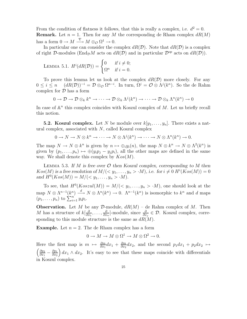From the condition of flatness it follows, that this is really a complex, i.e.  $d^2 = 0$ . **Remark.** Let  $n = 1$ . Then for any M the corresponding de Rham complex  $dR(M)$ has a form  $0 \to M \stackrel{\nabla}{\longrightarrow} M \otimes_{\mathcal{O}} \Omega^1 \to 0.$ 

In particular one can consider the complex  $dR(\mathcal{D})$ . Note that  $dR(\mathcal{D})$  is a complex of right D-modules (End<sub>D</sub>M acts on  $dR(\mathcal{D})$  and in particular  $\mathcal{D}^{op}$  acts on  $dR(\mathcal{D})$ ).

LEMMA 5.1. 
$$
H^i(dR(\mathcal{D})) = \begin{cases} 0 & \text{if } i \neq 0; \\ \Omega^n & \text{if } i = 0. \end{cases}
$$

To prove this lemma let us look at the complex  $dR(\mathcal{D})$  more closely. For any  $0 \leq i \leq n \quad (dR(\mathcal{D}))^{-i} = \mathcal{D} \otimes_{\mathcal{O}} \Omega^{n-i}$ . In turn,  $\Omega^j = \mathcal{O} \otimes \Lambda^j(k^n)$ . So the de Rahm complex for  $D$  has a form

$$
0 \to \mathcal{D} \to \mathcal{D} \otimes_k k^n \to \cdots \to \mathcal{D} \otimes_k \Lambda^j(k^n) \to \cdots \to \mathcal{D} \otimes_k \Lambda^n(k^n) \to 0
$$

In case of  $\mathbb{A}^n$  this complex coincides with Koszul complex of M. Let us briefly recall this notion.

**5.2. Koszul complex.** Let N be module over  $k[y_1, \ldots, y_n]$ . There exists a natural complex, associated with  $N$ , called Koszul complex

$$
0 \to N \to N \otimes k^n \to \cdots \to N \otimes \Lambda^j(k^n) \to \cdots \to N \otimes \Lambda^n(k^n) \to 0.
$$

The map  $N \to N \otimes k^n$  is given by  $n \mapsto \bigoplus_i y_i(n)$ , the map  $N \otimes k^n \to N \otimes \Lambda^2(k^n)$  is given by  $(p_1, \ldots, p_n) \mapsto \bigoplus (y_i p_j - y_j p_i)$ , all the other maps are defined in the same way. We shall denote this complex by  $Kos(M)$ .

LEMMA 5.3. If  $M$  is free over  $\mathcal O$  then Koszul complex, corresponding to  $M$  then  $Kos(M)$  is a free resolution of  $M/(\langle y_1, \ldots, y_n \rangle \cdot M)$ , i.e. for  $i \neq 0$   $H^i(Kos(M)) = 0$ and  $H^0(Kos(M)) = M/(< y_1, ..., y_n > M).$ 

To see, that  $H^0(Koszul(M)) = M/(\langle y_1, \ldots, y_n \rangle \cdot M)$ , one should look at the map  $N \otimes \Lambda^{n-1}(k^n) \stackrel{d}{\longrightarrow} N \otimes \Lambda^n(k^n) \to 0$ .  $\Lambda^{n-1}(k^n)$  is isomorphic to  $k^n$  and d maps  $(p_1, \ldots, p_n)$  to  $\sum_{i=1}^n y_i p_i$ .

**Observation.** Let M be any D-module,  $dR(M)$  – de Rahm complex of M. Then M has a structure of  $k\left[\frac{\partial}{\partial x}\right]$  $\frac{\partial}{\partial x_1},\ldots,\frac{\partial}{\partial x_n}$  $\frac{\partial}{\partial x_n}$ ]-module, since  $\frac{\partial}{\partial x_j} \in \mathcal{D}$ . Koszul complex, corresponding to this module structure is the same as  $dR(M)$ .

**Example.** Let  $n = 2$ . The de Rham complex has a form

$$
0 \to M \to M \otimes \Omega^1 \to M \otimes \Omega^2 \to 0.
$$

Here the first map is  $m \mapsto \frac{\partial m}{\partial x_1} dx_1 + \frac{\partial m}{\partial x_2}$ Here the first map is  $m \mapsto \frac{\partial m}{\partial x_1} dx_1 + \frac{\partial m}{\partial x_2} dx_2$ , and the second  $p_1 dx_1 + p_2 dx_2 \mapsto$ <br>  $\begin{pmatrix} \partial p_2 & \partial p_1 \end{pmatrix} dx_1 + dx_2$ . It's easy to see that these maps esimede with differentials  $\partial p_2$  $\frac{\partial p_2}{\partial x_1}-\frac{\partial p_1}{\partial x_2}$  $\partial x_2$  $\int dx_1 \wedge dx_2$ . It's easy to see that these maps coincide with differentials in Koszul complex.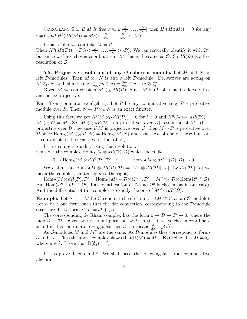COROLLARY 5.4. If M is free over  $k\left[\frac{\partial}{\partial x}\right]$  $\frac{\partial}{\partial x_1},\ldots,\frac{\partial}{\partial x_n}$  $\frac{\partial}{\partial x_n}$  then  $H^i(dR(M)) = 0$  for any  $i \neq 0$  and  $H^0(dR(M)) = M/(< \frac{\partial}{\partial x})$  $\frac{\partial}{\partial x_1},\ldots,\frac{\partial}{\partial x_n}$  $\frac{\partial}{\partial x_n} > M$ .

In particular we can take  $M = \mathcal{D}$ . Then  $H^0(dR(\mathcal{D})) = \mathcal{D}/(\langle \frac{\partial}{\partial x} \rangle)$  $\frac{\partial}{\partial x_1},\ldots,\frac{\partial}{\partial x_n}$  $\frac{\partial}{\partial x_n}$  >  $\cdot$  D). We can naturally identify it with  $\Omega^n$ , but since we have chosen coordinates in  $\mathbb{A}^n$  this is the same as  $\mathcal{O}$ . So  $dR(\mathcal{D})$  is a free resolution of O.

5.5. Projective resolution of any O-coherent module. Let M and N be left D-modules. Then  $M \otimes_{\mathcal{O}} N$  is also a left D-module. Derivatives are acting on  $M \otimes_{\mathcal{O}} N$  by Leibnitz rule:  $\frac{\partial}{\partial x_i}(m \otimes n) = \frac{\partial m}{\partial x_i}$  $\frac{\partial m}{\partial x_i}\otimes n + m\otimes \frac{\partial n}{\partial x_i}$  $\frac{\partial n}{\partial x_i}$ .

Given M we can consider  $M \otimes_{\mathcal{O}} dR(\mathcal{D})$ . Since M is  $\mathcal{O}$ -coherent, it's locally free and hence projective.

**Fact** (from commutative algebra). Let R be any commutative ring,  $P$  – projective module over R. Then  $N \mapsto P \otimes_R N$  is an exact functor.

Using this fact, we get  $H^i(M \otimes_{\mathcal{O}} dR(\mathcal{D})) = 0$  for  $i \neq 0$  and  $H^0(M \otimes_{\mathcal{O}} dR(\mathcal{D})) =$  $M \otimes_{\mathcal{O}} \mathcal{O} = M$ . So,  $M \otimes_{\mathcal{O}} dR(\mathcal{D})$  is a projective (over  $\mathcal{D}$ ) resolution of M. (It is projective over D, because if M is projective over  $\mathcal{O}$ , then  $M \otimes \mathcal{D}$  is projective over D since  $\text{Hom}_{\mathcal{D}}(M \otimes_{\mathcal{O}} \mathcal{D}, N) = \text{Hom}_{\mathcal{O}}(M, N)$  and exactness of one of these functors is equivalent to the exactness of the other.)

Let us compute duality using this resolution. Consider thr complex  $\text{Hom}_{\mathcal{D}}(M \otimes dR(\mathcal{D}), \mathcal{D})$  which looks like

 $0 \to \text{Hom}_{\mathcal{D}}(M \otimes dR^0(\mathcal{D}), \mathcal{D}) \to \cdots \to \text{Hom}_{\mathcal{D}}(M \otimes dR^{-n}(\mathcal{D}), \mathcal{D}) \to 0$ 

We claim that  $\text{Hom}_{\mathcal{D}}(M \otimes dR(\mathcal{D}), \mathcal{D}) = M^{\vee} \otimes dR(\mathcal{D})[-n]$  (by  $dR(\mathcal{D})[-n]$  we mean the complex, shifted by  $n$  to the right).

 $\text{Hom}_{\mathcal{D}}(M\otimes dR(\mathcal{D}),\mathcal{D})=\text{Hom}_{\mathcal{D}}(M\otimes_{\mathcal{O}}\mathcal{D}\otimes\Omega^{n-i},\mathcal{D})=M^\vee\otimes_{\mathcal{O}}\mathcal{D}\otimes\text{Hom}(\Omega^{n-i},\mathcal{O}).$ But  $\text{Hom}(\Omega^{n-i}, \mathcal{O}) \cong \Omega^i$ , if an identification of  $\mathcal O$  and  $\Omega^n$  is chosen (as in our case). And the differential of this complex is exactly the one of  $M^{\vee} \otimes dR(\mathcal{D})$ .

**Example.** Let  $n = 1$ , M be O-coherent sheaf of rank 1 ( $M \cong \mathcal{O}$  as an O-module). Let  $\alpha$  be a one form, such that the flat connection, corresponding to the D-module structure, has a form  $\nabla(f) = df + f\alpha$ .

The corresponding de Rham complex has the form  $0 \to \mathcal{D} \to \mathcal{D} \to 0$ , where the map  $\mathcal{D} \to \mathcal{D}$  is given by right multiplication by  $d - \alpha$  (i.e. if we've chosen coordinate x and in this coordinate  $\alpha = g(x)dx$  then  $d - \alpha$  means  $\frac{d}{dx} - g(x)$ .

As  $\mathcal{O}\text{-modules } M$  and  $M^{\vee}$  are the same. As  $\mathcal{D}\text{-modules }$  they correspond to forms  $\alpha$  and  $-\alpha$ . Thus the above complex shows that  $\mathbb{D}(M) = M^{\vee}$ . Exercise. Let  $M = \delta_a$ , where  $a \in k$ . Prove that  $\mathbb{D}(\delta_a) = \delta_a$ .

Let us prove Theorem 4.8. We shall need the following fact from commutative algebra.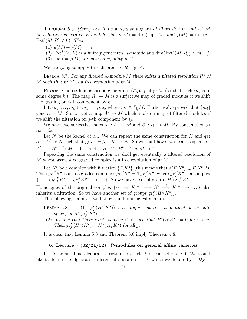THEOREM 5.6. [Serre] Let R be a regular algebra of dimension m and let M be a finitely generated R-module. Set  $d(M) = \dim(\text{supp }M)$  and  $j(M) = \min(j)$  $\text{Ext}^j(M, R) \neq 0$ ). Then

- (1)  $d(M) + i(M) = m$ ;
- (2)  $\text{Ext}^j(M, R)$  is a finitely generated R-module and dim( $\text{Ext}^j(M, R)$ )  $\leq m j$ ;
- (3) for  $j = j(M)$  we have an equality in 2.

We are going to apply this theorem to  $R = \text{gr } A$ .

LEMMA 5.7. For any filtered A-module M there exists a filtered resolution  $P^{\bullet}$  of M such that  $gr P^{\bullet}$  is a free resolution of  $gr M$ .

PROOF. Choose homogeneous generators  $(\bar{m}_i)_{i\in I}$  of gr M (so that each  $m_i$  is of some degree  $k_i$ ). The map  $R^I \to M$  is a surjective map of graded modules if we shift the grading on *i*-th component by  $k_i$ .

Lift  $\bar{m}_1, \ldots, \bar{m}_k$  to  $m_1, \ldots, m_k$ , where  $m_j \in F_{i_j}M$ . Earlier we've proved that  $\{m_i\}$ generates M. So, we get a map  $A^k \to M$  which is also a map of filtered modules if we shift the filtration on  $j$ -th component by  $i_j$ .

We have two surjective maps  $\alpha_0 : A^I \to M$  and  $\beta_0 : R^I \to M$ . By construction gr  $\alpha_0 = \beta_0$ .

Let N be the kernel of  $\alpha_0$ . We can repeat the same construction for N and get  $\alpha_1 : A^J \twoheadrightarrow N$  such that gr  $\alpha_1 = \beta_1 : R^J \twoheadrightarrow N$ . So we shall have two exact sequences  $A^l \xrightarrow{\alpha_1} A^k \xrightarrow{\alpha_0} M \to 0 \quad \text{and} \quad B^l \xrightarrow{\beta_1} B^k \xrightarrow{\beta_0} gr M \to 0.$ 

Repeating the same construction we shall get eventually a filtered resolution of M whose associated graded complex is a free resolution of  $gr M$ .

Let  $K^{\bullet}$  be a complex with filtration  $\{F_i K^{\bullet}\}\$  (this means that  $d(F_i K^p) \subset F_i K^{p+1}$ ). Then  $gr^F K^{\bullet}$  is also a graded complex:  $gr^F K^{\bullet} = \bigoplus gr_j^F K^{\bullet}$ , where  $gr_j^F K^{\bullet}$  is a complex  $\{\cdots \to gr_j^F K^p \to gr_j^F K^{p+1} \to \dots\}$ . So we have a set of groups  $H^i(\mathrm{gr}_j^F K^{\bullet})$ .

Homologies of the original complex  $\{\cdots \to K^{i-1} \stackrel{d}{\longrightarrow} K^i \stackrel{d}{\longrightarrow} K^{i+1} \to \dots \}$  also inherits a filtration. So we have another set of groups  $gr_j^F(H^i(K^{\bullet}))$ .

The following lemma is well-known in homological algebra.

- $LEMMA$  5.8.  $_j^F(H^i(K^{\bullet}))$  is a subquotient (i.e. a quotient of the subspace) of  $H^i(\operatorname{gr}^F_j K^{\bullet})$ .
	- (2) Assume that there exists some  $n \in \mathbb{Z}$  such that  $H^{i}(\text{gr } K^{\bullet}) = 0$  for  $i > n$ . Then  $gr_j^F(H^n(K^{\bullet}) = H^n(gr_j K^{\bullet})$  for all j.

It is clear that Lemma 5.8 and Theorem 5.6 imply Theorem 4.8.

#### 6. Lecture 7  $(02/21/02)$ : D-modules on general affine varieties

Let X be an affine algebraic variety over a field  $k$  of characteristic 0. We would like to define the algebra of differential operators on X which we denote by  $\mathcal{D}_X$ .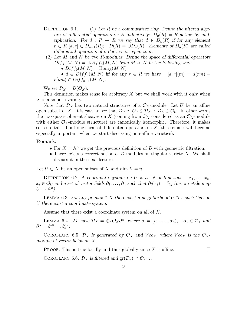- DEFINITION 6.1. (1) Let R be a commutative ring. Define the filtered algebra of differential operators on R inductively:  $D_0(R) = R$  acting by multiplication. For  $d : R \to R$  we say that  $d \in D_n(R)$  if for any element  $r \in R$  [d, r]  $\in D_{n-1}(R)$ ;  $D(R) = \cup D_n(R)$ . Elements of  $D_n(R)$  are called differential operators of order less or equal to n.
	- (2) Let  $M$  and  $N$  be two  $R$ -modules. Define the space of differential operators  $Diff(M, N) = \bigcup Diff_m(M, N)$  from M to N in the following way:
		- $Diff_0(M, N) = Hom_R(M, N)$

•  $d \in Diff_n(M, N)$  iff for any  $r \in R$  we have  $[d, r](m) = d(rm)$  $r(dm) \in Diff_{n-1}(M, N).$ 

We set  $\mathcal{D}_X = \mathcal{D}(\mathcal{O}_X)$ .

This definition makes sense for arbitrary X but we shall work with it only when X is a smooth variety.

Note that  $\mathcal{D}_X$  has two natural structures of a  $\mathcal{O}_X$ -module. Let U be an affine open subset of X. It is easy to see that  $\mathcal{D}_U \simeq \mathcal{O}_U \otimes \mathcal{D}_X \simeq \mathcal{D}_X \otimes \mathcal{O}_U$ . In other words the two quasi-coherent sheaves on X (coming from  $\mathcal{D}_X$  considered as an  $\mathcal{O}_X$ -module with either  $\mathcal{O}_X$ -module structure) are canonically isomorphic. Therefore, it makes sense to talk about one sheaf of differential operators on X (this remark will become especially important when we start discussing non-affine varieties).

#### Remark.

- For  $X = \mathbb{A}^n$  we get the previous definition of  $\mathcal D$  with geometric filtration.
- There exists a correct notion of  $\mathcal{D}$ -modules on singular variety X. We shall discuss it in the next lecture.

Let  $U \subset X$  be an open subset of X and dim  $X = n$ .

DEFINITION 6.2. A coordinate system on U is a set of functions  $x_1, \ldots, x_n$ ,  $x_i \in \mathcal{O}_U$  and a set of vector fields  $\partial_1, \ldots, \partial_n$  such that  $\partial_i(x_j) = \delta_{i,j}$  (i.e. an etale map  $U \to \mathbb{A}^n$ ).

LEMMA 6.3. For any point  $x \in X$  there exist a neighborhood  $U \ni x$  such that on U there exist a coordinate system.

Assume that there exist a coordinate system on all of X.

LEMMA 6.4. We have  $\mathcal{D}_X = \bigoplus_{\alpha} \mathcal{O}_X \partial^{\alpha}$ , where  $\alpha = (\alpha_1, \dots, \alpha_n)$ ,  $\alpha_i \in \mathbb{Z}_+$  and  $\partial^{\alpha} = \partial_1^{\alpha_1}$  $\partial_1^{\alpha_1} \ldots \partial_n^{\alpha_n}.$ 

COROLLARY 6.5.  $\mathcal{D}_X$  is generated by  $\mathcal{O}_X$  and  $Vec_X$ , where  $Vec_X$  is the  $\mathcal{O}_X$ module of vector fields on X.

**PROOF.** This is true locally and thus globally since X is affine.

COROLLARY 6.6.  $\mathcal{D}_X$  is filtered and  $gr(\mathcal{D}_x) \cong \mathcal{O}_{T^*X}$ .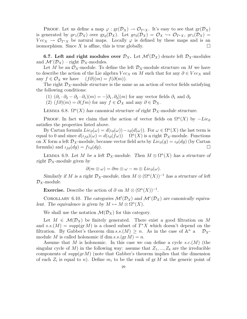**PROOF.** Let us define a map  $\varphi$  :  $gr(\mathcal{D}_X) \to \mathcal{O}_{T^*X}$ . It's easy to see that  $gr(\mathcal{D}_X)$ is generated by  $gr_1(\mathcal{D}_X)$  over  $gr_0(\mathcal{D}_X)$ . Let  $gr_0(\mathcal{D}_X) = \mathcal{O}_X \hookrightarrow \mathcal{O}_{T^*X}$ ,  $gr_1(\mathcal{D}_X) =$  $Vec_X \rightarrow \mathcal{O}_{T^*X}$  be natural maps. Locally  $\varphi$  is defined by these maps and is an isomorphism. Since X is affine this is true globally isomorphism. Since  $X$  is affine, this is true globally.

6.7. Left and right modules over  $\mathcal{D}_X$ . Let  $\mathcal{M}^l(\mathcal{D}_X)$  denote left  $\mathcal{D}_X$ -modules and  $\mathcal{M}^r(\mathcal{D}_X)$  – right  $\mathcal{D}_X$ -modules.

Let M be an  $\mathcal{O}_X$ -module. To define the left  $\mathcal{D}_X$ -module structure on M we have to describe the action of the Lie algebra  $Vec_X$  on M such that for any  $\partial \in Vec_X$  and any  $f \in \mathcal{O}_X$  we have  $(f\partial)(m) = f(\partial(m))$ .  $(f\partial)(m) = f(\partial(m)).$ 

The right  $\mathcal{D}_X$ -module structure is the same as an action of vector fields satisfying the following conditions:

(1)  $(\partial_1 \cdot \partial_2 - \partial_2 \cdot \partial_1)(m) = -[\partial_1, \partial_2](m)$  for any vector fields  $\partial_1$  and  $\partial_2$ 

 $(2)$   $(f\partial)(m) = \partial(fm)$  for any  $f \in \mathcal{O}_X$  and any  $\partial \in \mathcal{D}_X$ .

LEMMA 6.8.  $\Omega^n(X)$  has canonical structure of right  $\mathcal{D}_X$ -module structure.

PROOF. In fact we claim that the action of vector fields on  $\Omega^{n}(X)$  by  $-Lie_{\partial}$ satisfies the properties listed above.

By Cartan formula  $Lie_{\partial}(\omega) = d(\iota_{\partial}(\omega)) - \iota_{\partial}(d(\omega))$ . For  $\omega \in \Omega^n(X)$  the last term is equal to 0 and since  $d(\iota_{f\partial})(\omega) = d(\iota_{\partial}(f\omega))$   $\Omega^n(X)$  is a right  $\mathcal{D}_X$ -module. Functions on X form a left  $\mathcal{D}_X$ -module, because vector field acts by  $Lie_{\partial}(g) = \iota_{\partial}(dg)$  (by Cartan formula) and  $\iota_{\mathcal{L}}(da) = f \iota_{\partial}(da)$ . formula) and  $i_{f\partial}(dg) = f\iota_{\partial}(dg)$ .

LEMMA 6.9. Let M be a left  $\mathcal{D}_X$ -module. Then  $M \otimes \Omega^n(X)$  has a structure of right  $\mathcal{D}_X$ -module given by

$$
\partial(m\otimes\omega)=\partial m\otimes\omega-m\otimes Lie_{\partial}(\omega).
$$

Similarly if M is a right  $\mathcal{D}_X$ -module, then  $M \otimes (\Omega^n(X))^{-1}$  has a structure of left  $\mathcal{D}_X$ -module.

**Exercise.** Describe the action of  $\partial$  on  $M \otimes (\Omega^n(X))^{-1}$ .

COROLLARY 6.10. The categories  $\mathcal{M}^l(\mathcal{D}_X)$  and  $\mathcal{M}^r(\mathcal{D}_X)$  are canonically equivalent. The equivalence is given by  $M \mapsto M \otimes \Omega^n(X)$ .

We shall use the notation  $\mathcal{M}(\mathcal{D}_X)$  for this category.

Let  $M \in \mathcal{M}(\mathcal{D}_X)$  be finitely generated. There exist a good filtration on M and  $s.s.(M) = supp(\text{gr } M)$  is a closed subset of  $T^*X$  which doesn't depend on the filtration. By Gabber's theorem dim s.s. $(M) \geq n$ . As in the case of  $\mathbb{A}^n$  a  $\mathcal{D}_X$ module M is called holonomic if dim  $s.s.(gr M) = n$ .

Assume that M is holonomic. In this case we can define a cycle  $s.c.(M)$  (the singular cycle of M) in the following way: assume that  $Z_1, ..., Z_k$  are the irreducible components of  $supp(grM)$  (note that Gabber's theorem implies that the dimension of each  $Z_i$  is equal to n). Define  $m_i$  to be the rank of gr M at the generic point of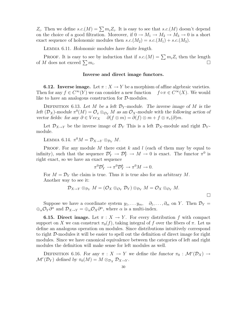$Z_i$ . Then we define  $s.c.(M) = \sum m_i Z_i$ . It is easy to see that  $s.c.(M)$  doesn't depend on the choice of a good filtration. Moreover, if  $0 \to M_1 \to M_2 \to M_3 \to 0$  is a short exact sequence of holonomic modules then  $s.c.(M_2) = s.c.(M_1) + s.c.(M_3)$ .

Lemma 6.11. Holonomic modules have finite length.

PROOF. It is easy to see by induction that if  $s.c.(M) = \sum m_i Z_i$  then the length of M does not exceed  $\sum m_i$ . .

#### Inverse and direct image functors.

**6.12. Inverse image.** Let  $\pi$  :  $X \to Y$  be a morphism of affine algebraic varieties. Then for any  $f \in C^{\infty}(Y)$  we can consider a new function  $f \circ \pi \in C^{\infty}(X)$ . We would like to have an analogous construction for  $D$ -modules.

DEFINITION 6.13. Let M be a left  $\mathcal{D}_Y$ -module. The inverse image of M is the left  $(\mathcal{D}_X)$ -module  $\pi^0(M) = \mathcal{O}_X \otimes_{\mathcal{O}_Y} M$  as an  $\mathcal{O}_X$ -module with the following action of vector fields: for any  $\partial \in Vec_X$   $\partial (f \otimes m) = \partial (f) \otimes m + f \otimes \pi_*(\partial)m$ .

Let  $\mathcal{D}_{X\to Y}$  be the inverse image of  $\mathcal{D}_Y$  This is a left  $\mathcal{D}_X$ -module and right  $\mathcal{D}_Y$ module.

LEMMA 6.14.  $\pi^0 M = \mathcal{D}_{X \to Y} \otimes_{\mathcal{D}_Y} M$ .

PROOF. For any module  $M$  there exist  $k$  and  $l$  (each of them may by equal to infinity), such that the sequence  $\mathcal{D}_Y^l \to \mathcal{D}_Y^k \to M \to 0$  is exact. The functor  $\pi^0$  is right exact, so we have an exact sequence

$$
\pi^0 \mathcal{D}_Y^l \to \pi^0 \mathcal{D}_Y^k \to \pi^0 M \to 0.
$$

For  $M = \mathcal{D}_Y$  the claim is true. Thus it is true also for an arbitrary M. Another way to see it:

$$
\mathcal{D}_{X\to Y}\otimes_{\mathcal{D}_Y}M=(\mathcal{O}_X\otimes_{\mathcal{O}_Y}\mathcal{D}_Y)\otimes_{\mathcal{D}_Y}M=\mathcal{O}_X\otimes_{\mathcal{O}_Y}M.
$$

Suppose we have a coordinate system  $y_1, \ldots, y_m$ ,  $\partial_1, \ldots, \partial_m$  on Y. Then  $\mathcal{D}_Y$  $\bigoplus_{\alpha}\mathcal{O}_Y\partial^{\alpha}$  and  $\mathcal{D}_{X\to Y}=\bigoplus_{\alpha}\mathcal{O}_X\partial^{\alpha}$ , where  $\alpha$  is a multi-index.

**6.15. Direct image.** Let  $\pi : X \to Y$ . For every distribution f with compact support on X we can construct  $\pi_0(f)$ , taking integral of f over the fibers of  $\pi$ . Let us define an analogous operation on modules. Since distributions intuitively correspond to right D-modules it will be easier to spell out the definition of direct image for right modules. Since we have canonical equivalence between the categories of left and right modules the definition will make sense for left modules as well.

DEFINITION 6.16. For any  $\pi : X \to Y$  we define the functor  $\pi_0 : \mathcal{M}^r(\mathcal{D}_X) \to$  $\mathcal{M}^r(\mathcal{D}_Y)$  defined by  $\pi_0(M) = M \otimes_{\mathcal{D}_X} \mathcal{D}_{X \to Y}$ .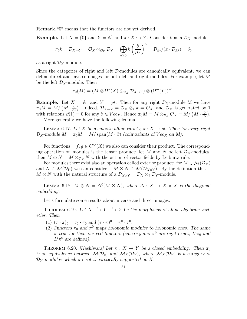Remark."0" means that the functors are not yet derived.

**Example.** Let  $X = \{0\}$  and  $Y = \mathbb{A}^1$  and  $\pi : X \hookrightarrow Y$ . Consider k as a  $\mathcal{D}_X$ -module.

$$
\pi_0 k = \mathcal{D}_{X \to Y} = \mathcal{O}_X \otimes_{\mathcal{O}_Y} \mathcal{D}_Y = \bigoplus_{n \geq 0} k \left(\frac{\partial}{\partial x}\right)^n = \mathcal{D}_{\mathbb{A}^1}/(x \cdot \mathcal{D}_{\mathbb{A}^1}) = \delta_0
$$

as a right  $\mathcal{D}_Y$ -module.

Since the categories of right and left  $D$ -modules are canonically equivalent, we can define direct and inverse images for both left and right modules. For example, let M be the left  $\mathcal{D}_X$ -module. Then

$$
\pi_0(M) = (M \otimes \Omega^n(X) \otimes_{\mathcal{D}_X} \mathcal{D}_{X \to Y}) \otimes (\Omega^m(Y))^{-1}.
$$

**Example.** Let  $X = \mathbb{A}^1$  and  $Y = pt$ . Then for any right  $\mathcal{D}_X$ -module M we have  $\pi_0 M = M / (M \cdot \frac{\partial}{\partial z})$  $\frac{\partial}{\partial x}$ . Indeed,  $\mathcal{D}_{X\to Y} = \mathcal{O}_X \otimes_k k = \mathcal{O}_X$ , and  $\mathcal{O}_X$  is generated by 1 with relations  $\partial(1) = 0$  for any  $\partial \in Vec_X$ . Hence  $\pi_0 M = M \otimes_{\mathcal{D}_X} \mathcal{O}_X = M/\left(M \cdot \frac{\partial}{\partial x}\right)$  $\frac{\partial}{\partial x}\big).$ More generally we have the following lemma.

LEMMA 6.17. Let X be a smooth affine variety,  $\pi : X \to pt$ . Then for every right  $\mathcal{D}_X$ -module  $M$   $\pi_0 M = M/\text{span}(M \cdot \partial)$  (coinvariants of  $Vec_X$  on M).  $\pi_0 M = M/\text{span}(M \cdot \partial)$  (coinvariants of  $Vec_X$  on M).

For functions  $f, g \in C^{\infty}(X)$  we also can consider their product. The corresponding operation on modules is the tensor product: let M and N be left  $\mathcal{D}_X$ -modules, then  $M \otimes N = M \otimes_{\mathcal{O}_X} N$  with the action of vector fields by Leibnitz rule.

For modules there exist also an operation called exterior product: for  $M \in \mathcal{M}(\mathcal{D}_X)$ and  $N \in \mathcal{M}(\mathcal{D}_Y)$  we can consider  $M \boxtimes N \in \mathcal{M}(\mathcal{D}_{X \times Y})$ . By the definition this is  $M \underset{k}{\otimes} N$  with the natural structure of a  $\mathcal{D}_{X \times Y} = \mathcal{D}_X \otimes_k \mathcal{D}_Y$ -module.

LEMMA 6.18.  $M \otimes N = \Delta^0(M \boxtimes N)$ , where  $\Delta : X \to X \times X$  is the diagonal embedding.

Let's formulate some results about inverse and direct images.

THEOREM 6.19. Let  $X \xrightarrow{\pi} Y \xrightarrow{\tau} Z$  be the morphisms of affine algebraic varieties. Then

- (1)  $(\tau \cdot \pi)_0 = \tau_0 \cdot \pi_0$  and  $(\tau \cdot \pi)^0 = \pi^0 \cdot \tau^0$ .
- (2) Functors  $\pi_0$  and  $\pi^0$  maps holonomic modules to holonomic ones. The same is true for their derived functors (since  $\pi_0$  and  $\pi^0$  are right exact,  $L^i\pi_0$  and  $L^i \pi^0$  are defined).

THEOREM 6.20. [Kashiwara] Let  $\pi : X \to Y$  be a closed embedding. Then  $\pi_0$ is an equivalence between  $\mathcal{M}(\mathcal{D}_x)$  and  $\mathcal{M}_X(\mathcal{D}_Y)$ , where  $\mathcal{M}_X(\mathcal{D}_Y)$  is a category of  $\mathcal{D}_Y$ -modules, which are set-theoretically supported on X.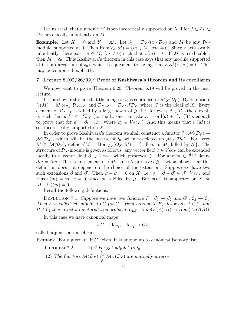Let us recall that a module M is set-theoretically supported on X if for  $f \in \mathcal{I}_X$  $\mathcal{O}_Y$  acts locally nilpotently on M.

**Example.** Let  $X = 0$  and  $Y = \mathbb{A}^1$ . Let  $\delta_0 = \mathcal{D}_Y/(x \cdot \mathcal{D}_Y)$  and M be any  $\mathcal{D}_Y$ module, supported at 0. Then  $Hom(\delta_o, M) = \{m \in M \mid xm = 0\}$ . Since x acts locally nilpotently, there exist  $m \in M$ ,  $(m \neq 0)$  such that  $x(m) = 0$ . If M is irreducible, then  $M = \delta_0$ . Thus Kashiwara's theorem in this case says that any module supported at 0 is a direct sum of  $\delta_0$ 's which is equivalent to saying that  $Ext^1(\delta_0, \delta_0) = 0$ . This may be computed explicitly.

#### 7. Lecture 8 (02/26/02): Proof of Kashiwara's theorem and its corollaries

We now want to prove Theorem 6.20. Theorem 6.19 will be proved in the next lecture.

Let us show first of all that the image of  $i_0$  is contained in  $\mathcal{M}_X(\mathcal{D}_Y)$ . By definition,  $i_0(M) = M \otimes_{\mathcal{D}_X} \mathcal{D}_{X \to Y}$ , and  $\mathcal{D}_{X \to Y} = \mathcal{D}_Y / \mathcal{J} \mathcal{D}_Y$ , where  $\mathcal J$  is the ideal of X. Every element of  $\mathcal{D}_{X\to Y}$  is killed by a large power of  $\mathcal{J}$ , i.e. for every  $d \in \mathcal{D}_Y$  there exists *n*, such that  $dJ^n \,\subset J\mathcal{D}_Y$  (actually, one can take  $n = \text{ord}(d) + 1$ ). (It's enough to prove that for  $d = \partial_1 \ldots \partial_k$ , where  $\partial_i \in Vec_Y$ .) And this means that  $i_0(M)$  is set-theoretically supported on  $X$ .

In order to prove Kashiwara's theorem we shall construct a functor  $i^!: \mathcal{M}(\mathcal{D}_Y) \rightarrow$  $\mathcal{M}(\mathcal{D}_X)$ , which will be the inverse of  $i_0$ , when restricted on  $\mathcal{M}_X(\mathcal{D}_Y)$ . For every  $M \in \mathcal{M}(\mathcal{D}_Y)$ , define  $i^!M = \text{Hom}_{\mathcal{O}_Y}(\mathcal{O}_X, M) = \{$  all m in M, killed by  $\mathcal{J}\}.$  The structure of  $\mathcal{D}_X$ -module is given as follows: any vector field  $\partial \in Vec_X$  can be extended locally to a vector field  $\tilde{\partial} \in Vec_Y$ , which preserves  $\mathcal{J}$ . For any  $m \in i^!M$  define  $\partial m = \tilde{\partial}m$ . This is an element of  $i^!M$ , since  $\tilde{\partial}$  preserves  $\mathcal{J}$ . Let us show, that this definition does not depend on the choice of the extension. Suppose we have two such extensions  $\tilde{\partial}$  and  $\tilde{\partial}'$ . Then  $\tilde{\partial} - \tilde{\partial}' = 0$  on X, i.e.  $v = \tilde{\partial} - \tilde{\partial}' \in \mathcal{J} \cdot Vec_X$  and thus  $v(m) = m \cdot v = 0$ , since m is killed by J. But  $v(m)$  is supported on X, so  $(\tilde{\partial} - \tilde{\partial}')(m) = 0.$ 

Recall the following definitions.

DEFINITION 7.1. Suppose we have two functors  $F : C_1 \to C_2$  and  $G : C_2 \to C_1$ . Then F is called left adjoint to G (or G – right adjoint to F), if for any  $A \in C_1$  and  $B \in \mathcal{C}_2$  there exist a functorial isomorphism  $\alpha_{A,B}: Hom(F(A), B) \to Hom(A, G(B)).$ 

In this case we have canonical maps

$$
FG \to \mathrm{Id}_{\mathcal{C}_1}, \quad \mathrm{Id}_{\mathcal{C}_2} \to GF,
$$

called adjunction morphisms.

**Remark.** For a given  $F$ , if G exists, it is unique up to canonical isomorphism.

THEOREM 7.2. <sup>1</sup> is right adjoint to  $i_0$ . (2) The functors  $\mathcal{M}(\mathcal{D}_X) \stackrel{i_0}{\rightleftharpoons}$  $\Rightarrow M_X(\mathcal{D}_Y)$  are mutually inverse.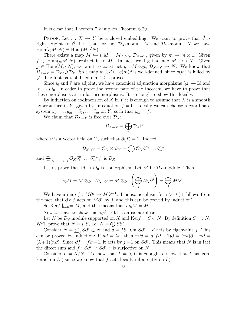It is clear that Theorem 7.2 implies Theorem 6.20.

PROOF. Let  $i : X \hookrightarrow Y$  be a closed embedding. We want to prove that  $i^!$  is right adjoint to  $i^0$ , i.e. that for any  $\mathcal{D}_X$ -module M and  $\mathcal{D}_Y$ -module N we have  $Hom(i_0M, N) \cong Hom(M, i^!N).$ 

There exists a map  $M \hookrightarrow i_0M = M \otimes_{\mathcal{D}_X} \mathcal{D}_{X \to Y}$ , given by  $m \mapsto m \otimes 1$ . Given  $f \in \text{Hom}(i_0M, N)$ , restrict it to M. In fact, we'll get a map  $M \to i^!N$ . Given  $g \in \text{Hom}(M, i^!N)$ , we want to construct  $\tilde{g}: M \otimes_{\mathcal{D}_X} \mathcal{D}_{X\to Y} \to N$ . We know that  $\mathcal{D}_{X\to Y} = \mathcal{D}_Y/\mathcal{J}\mathcal{D}_Y$ . So a map  $m \otimes d \mapsto g(m)d$  is well-defined, since  $g(m)$  is killed by  $J$ . The first part of Theorem 7.2 is proved.

Since  $i_0$  and  $i'$  are adjoint, we have canonical adjunction morphisms  $i_0i^! \rightarrow \text{Id}$  and Id  $\rightarrow i'i_0$ . In order to prove the second part of the theorem, we have to prove that these morphisms are in fact isomorphisms. It is enough to show this locally.

By induction on codimension of X in Y it is enough to assume that X is a smooth hypersurface in Y, given by an equation  $f = 0$ . Locally we can choose a coordinate system  $y_1, \ldots, y_m \quad \partial_1, \ldots, \partial_m$  on Y, such that  $y_m = f$ .

We claim that  $\mathcal{D}_{X\to Y}$  is free over  $\mathcal{D}_X$ :

$$
\mathcal{D}_{X\to Y}=\bigoplus_n \mathcal{D}_X\partial^n,
$$

where  $\partial$  is a vector field on Y, such that  $\partial(f) = 1$ . Indeed

$$
\mathcal{D}_{X\to Y}=\mathcal{O}_X\otimes\mathcal{D}_Y=\bigoplus\mathcal{O}_X\partial_1^{\alpha_1}\ldots\partial_m^{\alpha_m}
$$

and  $\bigoplus_{\alpha_1,\dots,\alpha_{m-1}} \mathcal{O}_X \partial_1^{\alpha_1}$  $\hat{\theta}_1^{\alpha_1} \dots \hat{\theta}_{m-1}^{\alpha_{m-1}}$  $\int_{m-1}^{\alpha_{m-1}}$  is  $\mathcal{D}_X$ .

Let us prove that  $\mathrm{Id} \to i^{!}i_{0}$  is isomorphism. Let M be  $\mathcal{D}_X$ -module. Then

$$
i_0M = M \otimes_{\mathcal{D}_X} \mathcal{D}_{X \to Y} = M \otimes_{\mathcal{D}_X} \left( \bigoplus_j \mathcal{D}_X \partial^j \right) = \bigoplus_j M \partial^j.
$$

We have a map  $f : M \partial^j \to M \partial^{j-1}$ . It is isomorphism for  $i > 0$  (it follows from the fact, that  $\partial \circ f$  acts on  $M\partial^j$  by j, and this can be proved by induction).

So Kerf  $|_{i_0M} = M$ , and this means that  $i^!i_0M = M$ .

Now we have to show that  $i_0i^! \rightarrow \text{Id}$  is an isomorphism.

Let N be  $\mathcal{D}_Y$  module supported on X and Ker $f = S \subset N$ . By definition  $S = i^! N$ . We'll prove that  $N = i_0 S$ , i.e.  $N = \bigoplus S \partial^j$ .

Consider  $\tilde{N} = \sum_j S\partial^j \subset N$  and  $\tilde{d} = f\partial$ . On  $S\partial^j - d$  acts by eigenvalue j. This can be proved by induction: if  $nd = \lambda n$ , then  $n\partial d = n(f\partial + 1)\partial = (nd)\partial + n\partial =$  $(\lambda + 1)(n\partial)$ . Since  $\partial f = f\partial + 1$ , it acts by  $j + 1$  on  $S\partial^{j}$ . This means that  $\tilde{N}$  is in fact the direct sum and  $f : S\partial^j \to S\partial^{j-1}$  is surjective on  $\tilde{N}$ .

Consider  $L = N/N$ . To show that  $L = 0$ , it is enough to show that f has zero kernel on  $L$  (since we know that f acts locally nilpotently on  $L$ ).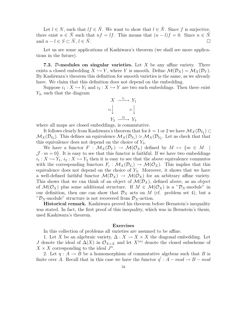Let  $l \in N$ , such that  $lf \in \tilde{N}$ . We want to show that  $l \in \tilde{N}$ . Since f is surjective, there exist  $n \in \tilde{N}$  such that  $nf = lf$ . This means that  $(n - l)f = 0$ . Since  $n \in \tilde{N}$ and  $n - l \in S \subset \tilde{N}, l \in \tilde{N}$ .

Let us see some applications of Kashiwara's theorem (we shall see more applications in the future).

7.3. D-modules on singular varieties. Let  $X$  be any affine variety. There exists a closed embedding  $X \hookrightarrow Y$ , where Y is smooth. Define  $\mathcal{M}(\mathcal{D}_X) = \mathcal{M}_X(\mathcal{D}_Y)$ . By Kashiwara's theorem this definition for smooth varieties is the same, as we already have. We claim that this definition does not depend on the embedding.

Suppose  $i_1 : X \hookrightarrow Y_1$  and  $i_2 : X \hookrightarrow Y$  are two such embeddings. Then there exist  $Y_3$ , such that the diagram

$$
X \xrightarrow{i_1} Y_1
$$
  
\n
$$
i_2 \downarrow \qquad j_1 \downarrow
$$
  
\n
$$
Y_2 \xrightarrow{j_2} Y_3
$$

where all maps are closed embeddings, is commutative.

It follows clearly from Kashiwara's theorem that for  $k = 1$  or 2 we have  $\mathcal{M}_X(\mathcal{D}_{Y_k}) \subset$  $\mathcal{M}_X(\mathcal{D}_{Y_3})$ . This defines an equivalence  $\mathcal{M}_X(\mathcal{D}_{Y_1}) \simeq \mathcal{M}_X(\mathcal{D}_{Y_2})$ . Let us check that that this equivalence does not depend on the choice of  $Y_3$ .

We have a functor  $F : \mathcal{M}_X(\mathcal{D}_Y) \to \mathcal{M}(\mathcal{O}_X)$  defined by  $M \mapsto \{m \in M\}$  $\mathcal{J} \cdot m = 0$ . It is easy to see that this functor is faithful. If we have two embeddings  $i_1: X \hookrightarrow Y_1, i_2: X \hookrightarrow Y_2$  then it is easy to see that the above equivalence commutes with the corresponding functors  $F_i: \mathcal{M}_X(\mathcal{D}_{Y_i}) \to \mathcal{M}(\mathcal{O}_X)$ . This implies that this equivalence does not depend on the choice of  $Y_3$ . Moreover, it shows that we have a well-defined faithful functor  $\mathcal{M}(\mathcal{D}_X) \to \mathcal{M}(\mathcal{O}_X)$  for an arbitrary affine variety. This shows that we can think of an object of  $\mathcal{M}(\mathcal{D}_X)$ , defined above, as an object of  $\mathcal{M}(\mathcal{O}_X)$  plus some additional structure. If  $M \in \mathcal{M}(\mathcal{O}_X)$  is a " $\mathcal{D}_X$ -module" in our definition, then one can show that  $\mathcal{D}_X$  acts on M (cf. problem set 4), but a " $\mathcal{D}_X$ -module" structure is not recovered from  $\mathcal{D}_X$ -action.

Historical remark. Kashiwara proved his theorem before Bernstein's inequality was stated. In fact, the first proof of this inequality, which was in Bernstein's thesis, used Kashiwara's theorem.

#### Exercises

In this collection of problems all varieties are assumed to be affine.

1. Let X be an algebraic variety,  $\Delta: X \to X \times X$  the diagonal embedding. Let J denote the ideal of  $\Delta(X)$  in  $\mathcal{O}_{X\times X}$  and let  $X^{(n)}$  denote the closed subscheme of  $X \times X$  corresponding to the ideal  $J^n$ .

2. Let  $\eta: A \to B$  be a homomorphism of commutative algebras such that B is finite over A. Recall that in this case we have the functor  $\eta' : A - mod \to B - mod$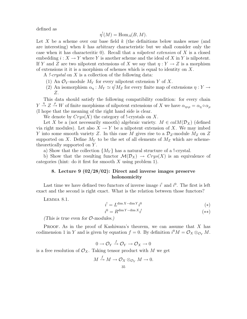defined as

$$
\eta^!(M) = \text{Hom}_A(B, M).
$$

Let X be a scheme over our base field  $k$  (the definitions below makes sense (and are interesting) when  $k$  has arbitrary characteristic but we shall consider only the case when it has characteritic  $0$ ). Recall that a *nilpotent extension* of X is a closed embedding  $i: X \to Y$  where Y is another scheme and the ideal of X in Y is nilpotent. If Y and Z are two nilpotent extensions of X we say that  $\eta: Y \to Z$  is a morphism of extensions it it is a morphism of schemes which is equal to identity on  $X$ .

A *!-crystal* on  $X$  is a collection of the following data:

- (1) An  $\mathcal{O}_Y$ -module  $M_Y$  for every nilpotent extension Y of X.
- (2) An isomorphism  $\alpha_{\eta}: M_Y \simeq \eta^! M_Z$  for every finite map of extensions  $\eta: Y \to Z$ Z.

This data should satisfy the following compatibility condition: for every chain  $Y \xrightarrow{\eta} Z \xrightarrow{\rho} W$  of finite morphisms of nilpotent extensions of X we have  $\alpha_{\eta \circ \rho} = \alpha_{\eta} \circ \alpha_{\rho}$ (I hope that the meaning of the right hand side is clear.

We denote by  $Crys(X)$  the category of !-crystals on X.

Let X be a (not necessarily smooth) algebraic variety.  $M \in calM(\mathcal{D}_X)$  (defined via right modules). Let also  $X \to Y$  be a nilpotent extension of X. We may imbed Y into some smooth variety Z. In this case M gives rise to a  $\mathcal{D}_Z$ -module  $M_Z$  on Z supported on X. Define  $M_Y$  to be the set of all elements of  $M_Z$  which are schemetheoretically supported on Y .

a) Show that the collection  $\{M_Y\}$  has a natural structure of a !-crystal.

b) Show that the resulting functor  $\mathcal{M}(\mathcal{D}_X) \to \mathcal{C}rys(X)$  is an equivalence of categories (hint: do it first for smooth  $X$  using problem 1).

# 8. Lecture 9 (02/28/02): Direct and inverse images preserve holonomicity

Last time we have defined two functors of inverse image  $i^!$  and  $i^0$ . The first is left exact and the second is right exact. What is the relation between those functors?

Lemma 8.1.

$$
i' = L^{\dim X - \dim Y} i^0 \tag{*}
$$

$$
i^0 = R^{\dim Y - \dim X} i^!
$$
\n
$$
(*)
$$

(This is true even for  $\mathcal{O}\text{-modules.}$ )

PROOF. As in the proof of Kashiwara's theorem, we can assume that  $X$  has codimension 1 in Y and is given by equation  $f = 0$ . By definition  $i^0 M = \mathcal{O}_X \otimes_{\mathcal{O}_Y} M$ .

$$
0 \to \mathcal{O}_Y \xrightarrow{f} \mathcal{O}_Y \to \mathcal{O}_X \to 0
$$

is a free resolution of  $\mathcal{O}_X$ . Taking tensor product with M we get

$$
M \xrightarrow{f} M \to \mathcal{O}_X \otimes_{\mathcal{O}_Y} M \to 0.
$$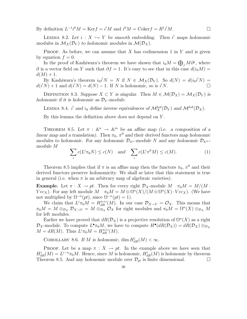By definition  $L^{-1}i^0M = \text{Ker} f = i^!M$  and  $i^0M = \text{Coker} f = R^1i^!M$ .

LEMMA 8.2. Let  $i : X \hookrightarrow Y$  be smooth embedding. Then  $i^!$  maps holonomic modules in  $\mathcal{M}_X(\mathcal{D}_Y)$  to holonomic modules in  $\mathcal{M}(\mathcal{D}_X)$ .

**PROOF.** As before, we can assume that X has codimension 1 in Y and is given by equation  $f = 0$ .

In the proof of Kashiwara's theorem we have shown that  $i_0M = \bigoplus_j M\partial^j$ , where  $\partial$  is a vector field on Y such that  $\partial f = 1$ . It's easy to see that in this case  $d(i_0M) =$  $d(M) + 1.$ 

By Kashiwara's theorem  $i_0i^!N = N$  if  $N \in \mathcal{M}_X(\mathcal{D}_Y)$ . So  $d(N) = d(i_0i^!N) =$  $d(i^!N) + 1$  and  $d(i^!N) = d(N) - 1$ . If N is holonomic, so is  $i^!N$ .

DEFINITION 8.3. Suppose  $X \subset Y$  is singular. Then  $M \in \mathcal{M}(\mathcal{D}_X) = \mathcal{M}_X(\mathcal{D}_Y)$  is holonomic if it is holonomic as  $\mathcal{D}_Y$ -module.

LEMMA 8.4. *i*<sup>1</sup> and *i*<sub>0</sub> define inverse equivalences of  $\mathcal{M}_X^{hol}(\mathcal{D}_Y)$  and  $\mathcal{M}^{hol}(\mathcal{D}_X)$ .

By this lemma the definition above does not depend on  $Y$ .

THEOREM 8.5. Let  $\pi : \mathbb{A}^n \to \mathbb{A}^m$  be an affine map (i.e. a composition of a linear map and a translation). Then  $\pi_0$ ,  $\pi^0$  and their derived functors map holonomic modules to holonomic. For any holonomic  $\mathcal{D}_{\mathbb{A}^n}$ -module N and any holonomic  $\mathcal{D}_{\mathbb{A}^m}$ module M

$$
\sum_{i} c(L^i \pi_0 N) \le c(N) \quad \text{and} \quad \sum_{i} c(L^i \pi^0 M) \le c(M). \tag{1}
$$

Theorem 8.5 implies that if  $\pi$  is an affine map then the functors  $\pi_0$ ,  $\pi^0$  and their derived functors preserve holonomicity. We shall se later that this statement is true in general (i.e. when  $\pi$  is an arbitrary map of algebraic varieties).

**Example.** Let  $\pi : X \to pt$ . Then for every right  $\mathcal{D}_X$ -module  $M \pi_0 M = M/(M \cdot$  $Vec_X$ ). For any left module  $M \quad \pi_0 M = M \otimes \Omega^n(X)/(M \otimes \Omega^n(X) \cdot Vec_X)$ . (We have not multiplied by  $\Omega^{-n}(pt)$ , since  $\Omega^{-n}(pt) = 1$ ).

We claim that  $L^i \pi_0 M = H_{dR}^{n+i}(M)$ . In our case  $\mathcal{D}_{X\to Y} = \mathcal{O}_X$ . This means that  $\pi_0 M = M \otimes_{\mathcal{D}_X} \mathcal{D}_{X \to Y} = M \otimes_{\mathcal{D}_X} \mathcal{O}_X$  for right modules and  $\pi_0 M = \Omega^n(X) \otimes_{\mathcal{D}_X} M$ for left modules.

Earlier we have proved that  $dR(\mathcal{D}_X)$  is a projective resolution of  $\Omega^n(X)$  as a right  $\mathcal{D}_X$ -module. To compute  $L^{\bullet}\pi_0M$ , we have to compute  $H^{\bullet}(dR(\mathcal{D}_X)) = dR(\mathcal{D}_X) \otimes_{\mathcal{D}_X}$  $M = dR(M)$ . Thus  $L^i \pi_0 M = H_{dR}^{n+i}(M)$ .

COROLLARY 8.6. If M is holonomic, dim  $H_{dR}^i(M) < \infty$ .

PROOF. Let be a map  $\pi : X \to pt$ . In the example above we have seen that  $H_{dR}^{i}(M) = L^{i-n}\pi_0M$ . Hence, since M is holonomic,  $H_{dR}^{i}(M)$  is holonomic by theorem Theorem 8.5. And any holonomic module over  $\mathcal{D}_{pt}$  is finite dimensional.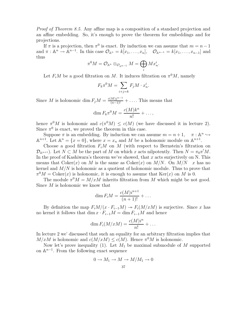Proof of Theorem 8.5. Any affine map is a composition of a standard projection and an affine embedding. So, it's enough to prove the theorem for embeddings and for projections.

If  $\pi$  is a projection, then  $\pi^0$  is exact. By induction we can assume that  $m = n - 1$ and  $\pi : \mathbb{A}^n \to \mathbb{A}^{n-1}$ . In this case  $\mathcal{O}_{\mathbb{A}^n} = k[x_1, \ldots, x_n], \quad \mathcal{O}_{\mathbb{A}^{n-1}} = k[x_1, \ldots, x_{n-1}]$  and thus

$$
\pi^0 M = \mathcal{O}_{\mathbb{A}^n} \otimes_{\mathcal{O}_{\mathbb{A}^{n-1}}} M = \bigoplus_i Mx_n^i.
$$

Let  $F_iM$  be a good filtration on M. It induces filtration on  $\pi^0M$ , namely

$$
F_k \pi^0 M = \sum_{i+j=k} F_j M \cdot x_n^i.
$$

Since M is holonomic dim  $F_j M = \frac{c(M)j^{n-1}}{(n-1)!} + \ldots$ . This means that

$$
\dim F_k \pi^0 M = \frac{c(M)k^n}{n!} + \dots,
$$

hence  $\pi^{0}M$  is holonomic and  $c(\pi^{0}M) \leq c(M)$  (we have discussed it in lecture 2). Since  $\pi^0$  is exact, we proved the theorem in this case.

Suppose  $\pi$  is an embedding. By induction we can assume  $m = n + 1$ ,  $\pi : \mathbb{A}^n \hookrightarrow$  $\mathbb{A}^{n+1}$ . Let  $\mathbb{A}^n = \{x = 0\}$ , where  $x = x_n$  and M be a holonomic module on  $\mathbb{A}^{n+1}$ .

Choose a good filtration  $F_iM$  on M (with respect to Bernstein's filtration on  $\mathcal{D}_{\mathbb{A}^{n+1}}$ ). Let  $N \subset M$  be the part of M on which x acts nilpotently. Then  $N = \pi_0 \pi^1 M$ . In the proof of Kashiwara's theorem we've showed, that  $x$  acts surjectively on N. This means that  $Coker(x)$  on M is the same as  $Coker(x)$  on  $M/N$ . On  $M/N$  x has no kernel and  $M/N$  is holonomic as a quotient of holonomic module. Thus to prove that  $\pi^0 M = \text{Coker}(x)$  is holonomic, it is enough to assume that  $\text{Ker}(x)$  on M is 0.

The module  $\pi^0 M = M/xM$  inherits filtration from M which might be not good. Since M is holonomic we know that

$$
\dim F_i M = \frac{c(M)i^{n+1}}{(n+1)!} + \dots
$$

By definition the map  $F_iM/(x \cdot F_{i-1}M) \rightarrow F_i(M/xM)$  is surjective. Since x has no kernel it follows that dim  $x \cdot F_{i-1}M = \dim F_{i-1}M$  and hence

$$
\dim F_i(M/xM) = \frac{c(M)i^n}{n!} + \dots
$$

In lecture 2 we' discussed that such an equality for an arbitrary filtration implies that  $M/xM$  is holonomic and  $c(M/xM) \leq c(M)$ . Hence  $\pi^0 M$  is holonomic.

Now let's prove inequality (1). Let  $M_1$  be maximal submodule of M supported on  $\mathbb{A}^{n-1}$ . From the following exact sequence

$$
0 \to M_1 \to M \to M/M_1 \to 0
$$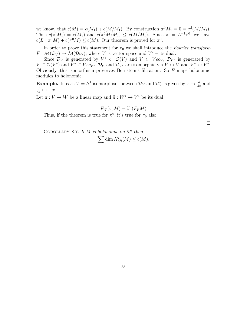we know, that  $c(M) = c(M_1) + c(M/M_1)$ . By construction  $\pi^0 M_1 = 0 = \pi^1(M/M_1)$ . Thus  $c(\pi^1 M_1) = c(M_1)$  and  $c(\pi^0 M/M_1) \leq c(M/M_1)$ . Since  $\pi^1 = L^{-1}\pi^0$ , we have  $c(L^{-1}\pi^0M) + c(\pi^0M) \leq c(M)$ . Our theorem is proved for  $\pi^0$ .

In order to prove this statement for  $\pi_0$  we shall introduce the Fourier transform  $F: \mathcal{M}(\mathcal{D}_V) \to \mathcal{M}(\mathcal{D}_{V^*})$ , where V is vector space and  $V^*$  – its dual.

Since  $\mathcal{D}_V$  is generated by  $V^* \subset \mathcal{O}(V)$  and  $V \subset Vec_V, \mathcal{D}_{V^*}$  is generated by  $V \subset \mathcal{O}(V^*)$  and  $V^* \subset Vec_{V^*}$ ,  $\mathcal{D}_V$  and  $\mathcal{D}_{V^*}$  are isomorphic via  $V \leftrightarrow V$  and  $V^* \leftrightarrow V^*$ . Obviously, this isomorthism preserves Bernstein's filtration. So  $F$  maps holonomic modules to holonomic.

**Example.** In case  $V = \mathbb{A}^1$  isomorphism between  $\mathcal{D}_V$  and  $\mathcal{D}_V^*$  is given by  $x \mapsto \frac{d}{dx}$  and  $\frac{d}{dx} \mapsto -x.$ 

Let  $\pi : V \to W$  be a linear map and  $\widetilde{\pi} : W^* \to V^*$  be its dual.

$$
F_W(\pi_0 M) = \widetilde{\pi}^0(F_V M)
$$

Thus, if the theorem is true for  $\pi^0$ , it's true for  $\pi_0$  also.

COROLLARY 8.7. If M is holonomic on  $\mathbb{A}^n$  then

$$
\sum \dim H^i_{dR}(M) \le c(M).
$$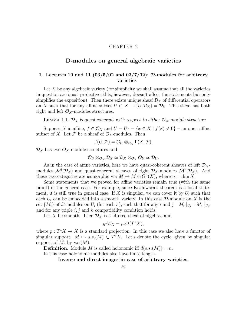### CHAPTER 2

# D-modules on general algebraic varieties

# 1. Lectures 10 and 11  $(03/5/02$  and  $03/7/02)$ : D-modules for arbitrary varieties

Let  $X$  be any algebraic variety (for simplicity we shall assume that all the varieties in question are quasi-projective; this, however, doesn't affect the statements but only simplifies the exposition). Then there exists unique sheaf  $\mathcal{D}_X$  of differential operators on X such that for any affine subset  $U \subset X$   $\Gamma(U, \mathcal{D}_X) = \mathcal{D}_U$ . This sheaf has both right and left  $\mathcal{O}_X$ -modules structures.

LEMMA 1.1.  $\mathcal{D}_X$  is quasi-coherent with respect to either  $\mathcal{O}_X$ -module structure.

Suppose X is affine,  $f \in \mathcal{O}_X$  and  $U = U_f = \{x \in X \mid f(x) \neq 0\}$  – an open affine subset of X. Let  $\mathcal F$  be a sheaf of  $\mathcal O_X$ -modules. Then

$$
\Gamma(U,\mathcal{F})=\mathcal{O}_U\otimes_{\mathcal{O}_X}\Gamma(X,\mathcal{F}).
$$

 $\mathcal{D}_X$  has two  $\mathcal{O}_X$ -module structures and

$$
\mathcal{O}_U\otimes_{\mathcal{O}_X}\mathcal{D}_X\simeq \mathcal{D}_X\otimes_{\mathcal{O}_X}\mathcal{O}_U\simeq \mathcal{D}_U.
$$

As in the case of affine varieties, here we have quasi-coherent sheaves of left  $\mathcal{D}_{X}$ modules  $\mathcal{M}^l(\mathcal{D}_X)$  and quasi-coherent sheaves of right  $\mathcal{D}_X$ -modules  $\mathcal{M}^r(\mathcal{D}_X)$ . And these two categories are isomorphic via  $M \mapsto M \otimes \Omega^{n}(X)$ , where  $n = \dim X$ .

Some statements that we proved for affine varieties remain true (with the same proof) in the general case. For example, since Kashiwara's theorem is a local statement, it is still true in general case. If X is singular, we can cover it by  $U_i$  such that each  $U_i$  can be embedded into a smooth variety. In this case  $\mathcal{D}$ -module on X is the set  $\{M_i\}$  of D-modules on  $U_i$  (for each i), such that for any i and j  $M_i|_{U_j} = M_j|_{U_i}$ , and for any triple  $i, j$  and  $k$  compatibility condition holds.

Let X be smooth. Then  $\mathcal{D}_X$  is a filtered sheaf of algebras and

$$
gr\mathcal{D}_X = p_*\mathcal{O}(T^*X),
$$

where  $p: T^*X \to X$  is a standard projection. In this case we also have a functor of singular support:  $M \mapsto s.s.(M) \subset T^*X$ . Let's denote the cycle, given by singular support of M, by  $s.c.(M)$ .

**Definition.** Module M is called holonomic iff  $d(s.s.(M)) = n$ .

In this case holonomic modules also have finite length.

Inverse and direct images in case of arbitrary varieties.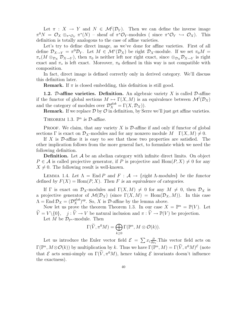Let  $\pi : X \to Y$  and  $N \in \mathcal{M}^l(\mathcal{D}_Y)$ . Then we can define the inverse image  $\pi^0 N = \mathcal{O}_X \otimes_{\pi^* \mathcal{O}_Y} \pi^*(N)$  - sheaf of  $\pi^* \mathcal{O}_Y$ -modules (since  $\pi^* \mathcal{O}_Y \hookrightarrow \mathcal{O}_X$ ). This definition is totally analogous to the case of affine varieties.

Let's try to define direct image, as we've done for affine varieties. First of all define  $\mathcal{D}_{X\to Y} = \pi^0 \mathcal{D}_Y$ . Let  $M \in \mathcal{M}^r(\mathcal{D}_X)$  be right  $\mathcal{D}_X$ -module. If we set  $\pi_0 M =$  $\pi_*(M \otimes_{\mathcal{D}_X} \mathcal{D}_{X\to Y}),$  then  $\pi_0$  is neither left nor right exact, since  $\otimes_{\mathcal{D}_X} \mathcal{D}_{X\to Y}$  is right exact and  $\pi_*$  is left exact. Moreover,  $\pi_0$  defined in this way is not compatible with composition.

In fact, direct image is defined correctly only in derived category. We'll discuss this definition later.

**Remark.** If  $\pi$  is closed embedding, this definition is still good.

**1.2.** D-affine varieties. Definition. An algebraic variety X is called D-affine if the functor of global sections  $M \mapsto \Gamma(X, M)$  is an equivalence between  $\mathcal{M}^l(\mathcal{D}_X)$ and the category of modules over  $\mathcal{D}_X^{glob} = \Gamma(X, \mathcal{D}_X)$ .

**Remark.** If we replace  $\mathcal{D}$  by  $\mathcal{O}$  in definition, by Serre we'll just get affine varieties.

THEOREM 1.3.  $\mathbb{P}^n$  is  $\mathcal{D}\text{-affine}$ .

**PROOF.** We claim, that any variety X is  $\mathcal{D}$ -affine if and only if functor of global sections  $\Gamma$  is exact on  $\mathcal{D}_X$ -modules and for any nonzero module  $M \Gamma(X, M) \neq 0$ .

If X is  $\mathcal{D}$ -affine it is easy to see that these two properties are satisfied. The other implication follows from the more general fact, to formulate which we need the following definition.

**Definition.** Let  $A$  be an abelian category with infinite direct limits. On object  $P \in \mathcal{A}$  is called projective generator, if P is projective and  $\text{Hom}(P, X) \neq 0$  for any  $X \neq 0$ . The following result is well-known.

LEMMA 1.4. Let  $\Lambda = \text{End } P$  and  $F : A \to \{ \text{right } \Lambda \text{-modules} \}$  be the functor defined by  $F(X) = \text{Hom}(P, X)$ . Then F is an equivalence of categories.

If  $\Gamma$  is exact on  $\mathcal{D}_X$ -modules and  $\Gamma(X, M) \neq 0$  for any  $M \neq 0$ , then  $\mathcal{D}_X$  is a projective generator of  $\mathcal{M}(\mathcal{D}_X)$  (since  $\Gamma(X, M) = \text{Hom}(\mathcal{D}_X, M)$ ). In this case  $\Lambda = \text{End } \mathcal{D}_X = (\mathcal{D}_X^{glob})^{op}$ . So, X is  $\mathcal{D}$ -affine by the lemma above.

Now let us prove the theorem Theorem 1.3. In our case  $X = \mathbb{P}^n = \mathbb{P}(V)$ . Let  $\widetilde{V} = V \setminus \{0\}, \quad j : \widetilde{V} \to V$  be natural inclusion and  $\pi : \widetilde{V} \to \mathbb{P}(V)$  be projection. Let M be  $\mathcal{D}_{\mathbb{P}^n}$ -module. Then

$$
\Gamma(\widetilde{V},\pi^0M)=\bigoplus_{k\geq 0}\Gamma(\mathbb{P}^n,M\otimes\mathcal{O}(k)).
$$

Let us introduce the Euler vector field  $\mathcal{E} = \sum x_i \frac{\partial}{\partial x_i}$  $\frac{\partial}{\partial x_i}$ . This vector field acts on  $\Gamma(\mathbb{P}^n, M \otimes \mathcal{O}(k))$  by multiplication by k. Thus we have  $\Gamma(\mathbb{P}^n, M) = \Gamma(\widetilde{V}, \pi^0 M)^{\mathcal{E}}$  (note that  $\mathcal E$  acts semi-simply on  $\Gamma(V, \pi^0 M)$ , hence taking  $\mathcal E$  invariants doesn't influence the exactness).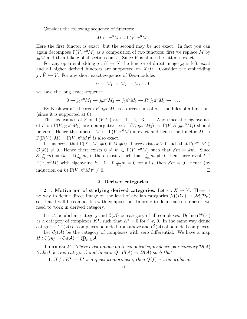Consider the following sequence of functors:

$$
M \mapsto \pi^0 M \mapsto \Gamma(\widetilde{V}, \pi^0 M).
$$

Here the first functor is exact, but the second may be not exact. In fact you can again decompose  $\Gamma(V, \pi^0 M)$  as a composition of two functors: first we replace M by  $j_0M$  and then take global sections on V. Since V is affine the latter is exact.

For any open embedding  $j: U \to X$  the functor of direct image  $j_0$  is left exact and all higher derived functors are supported on  $X\setminus U$ . Consider the embedding  $j : \widetilde{V} \hookrightarrow V$ . For any short exact sequence of  $\mathcal{D}_{\mathbb{P}^n}$ -modules

$$
0 \to M_1 \to M_2 \to M_3 \to 0
$$

we have the long exact sequence

$$
0 \to j_0 \pi^0 M_1 \to j_0 \pi^0 M_2 \to j_0 \pi^0 M_3 \to R^1 j_0 \pi^0 M_1 \to \dots
$$

By Kashiwara's theorem  $R^1 j_0 \pi^0 M_1$  is a direct sum of  $\delta_0$  – modules of  $\delta$ -functions (since it is supported at 0).

The eigenvalues of  $\mathcal E$  on  $\Gamma(V, \delta_0)$  are  $-1, -2, -3, \ldots$ . And since the eigenvalues of  $\mathcal E$  on  $\Gamma(V, j_0\pi^0 M_3)$  are nonnegative,  $\alpha : \Gamma(V, j_0\pi^0 M_3) \to \Gamma(V, R^1 j_0\pi^0 M_1)$  should be zero. Hence the functor  $M \mapsto \Gamma(V, \pi^0 M)$  is exact and hence the functor  $M \mapsto$  $\Gamma(\mathbb{P}(V), M) = \Gamma(\widetilde{V}, \pi^0 M)^{\mathcal{E}}$  is also exact.

Let us prove that  $\Gamma(\mathbb{P}^n, M) \neq 0$  if  $M \neq 0$ . There exists  $k \geq 0$  such that  $\Gamma(\mathbb{P}^n, M \otimes$  $\mathcal{O}(k) \neq 0$ . Hence there exists  $0 \neq m \in \Gamma(V, \pi^0 M)$  such that  $\mathcal{E}m = km$ . Since  $\mathcal{E}(\frac{\partial}{\partial x}% )=\frac{\partial}{\partial y^{a}}-\frac{\partial}{\partial y^{b}}$  $\frac{\partial}{\partial x_i}m$  =  $(k-1)\frac{\partial}{\partial x_i}m$ , if there exist i such that  $\frac{\partial}{\partial x_i}m \neq 0$ , then there exist  $l \in$  $\Gamma(V, \pi^0 M)$  with eigenvalue  $k-1$ . If  $\frac{\partial}{\partial x_i} m = 0$  for all i, then  $\mathcal{E}m = 0$ . Hence (by induction on k)  $\Gamma(V, \pi^0 M)$  $\varepsilon \neq 0.$ 

# 2. Derived categories.

2.1. Motivation of studying derived categories. Let  $\pi : X \to Y$ . There is no way to define direct image on the level of abelian categories  $\mathcal{M}(\mathcal{D}_X) \to \mathcal{M}(\mathcal{D}_Y)$ so, that it will be compatible with composition. In order to define such a functor, we need to work in derived category.

Let A be abelian category and  $\mathcal{C}(\mathcal{A})$  be category of all complexes. Define  $\mathcal{C}^+(\mathcal{A})$ as a category of complexes  $K^{\bullet}$ , such that  $K^i = 0$  for  $i \ll 0$ . In the same way define categories  $C^{-}(\mathcal{A})$  of complexes bounded from above and  $C^{b}(\mathcal{A})$  of bounded complexes.

Let  $C_0(\mathcal{A})$  be the category of complexes with zero differential. We have a map  $H: \mathcal{C}(\mathcal{A}) \to \mathcal{C}_0(\mathcal{A}) = \bigoplus_{i \in \mathbb{Z}} \mathcal{A}.$ 

THEOREM 2.2. There exist unique up to canonical equivalence pair category  $\mathcal{D}(\mathcal{A})$ (called derived category) and functor  $Q : C(\mathcal{A}) \to \mathcal{D}(\mathcal{A})$  such that

1. If  $f: K^{\bullet} \to L^{\bullet}$  is a quasi isomorphism, then  $Q(f)$  is isomorphism.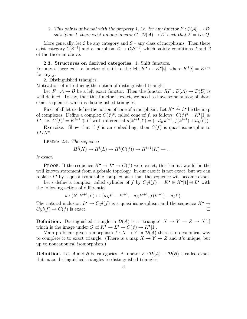2. This pair is universal with the property 1, i.e. for any functor  $F : \mathcal{C}(\mathcal{A}) \to \mathcal{D}'$ satisfying 1, there exist unique functor  $G: \mathcal{D}(\mathcal{A}) \to \mathcal{D}'$  such that  $F = G \circ Q$ .

More generally, let C be any category and  $S$  – any class of morphisms. Then there exist category  $\mathcal{C}[\mathcal{S}^{-1}]$  and a morphism  $\mathcal{C} \to \mathcal{C}[\mathcal{S}^{-1}]$  which satisfy conditions 1 and 2 of the theorem above.

## 2.3. Structures on derived categories. 1. Shift functors.

For any *i* there exist a functor of shift to the left  $K^{\bullet} \mapsto K^{\bullet}[i]$ , where  $K^{j}[i] = K^{j+i}$ for any  $i$ .

2. Distinguished triangles.

Motivation of introducing the notion of distinguished triangle:

Let  $F: \mathcal{A} \to \mathcal{B}$  be a left exact functor. Then the functor  $RF: \mathcal{D}(\mathcal{A}) \to \mathcal{D}(\mathcal{B})$  is well defined. To say, that this functor is exact, we need to have some analog of short exact sequences which is distinguished triangles.

First of all let us define the notion of cone of a morphism. Let  $K^{\bullet} \xrightarrow{f} L^{\bullet}$  be the map of complexes. Define a complex  $C(f)^{\bullet}$ , called cone of f, as follows:  $C(f)^{\bullet} = K^{\bullet}[1] \oplus$ L<sup>•</sup>, i.e.  $C(f)^i = K^{i+1} \oplus L^i$  with differential  $d(k^{i+1}, l^i) = (-d_K k^{i+1}, f(k^{i+1}) + d_L(l^i)).$ 

**Exercise.** Show that if f is an embedding, then  $C(f)$  is quasi isomorphic to  $L^{\bullet}/K^{\bullet}$ .

Lemma 2.4. The sequence

$$
H^i(K) \to H^i(L) \to H^i(C(f)) \to H^{i+1}(K) \to \dots
$$

is exact.

**PROOF.** If the sequence  $K^{\bullet} \to L^{\bullet} \to C(f)$  were exact, this lemma would be the well known statement from algebraic topology. In our case it is not exact, but we can replace  $L^{\bullet}$  by a quasi isomorphic complex such that the sequence will become exact.

Let's define a complex, called cylinder of f by  $Cyl(f) = K^{\bullet} \oplus K^{\bullet}[1] \oplus L^{\bullet}$  with the following action of differential

$$
d: (k^i, k^{i+1}, l^i) \mapsto (d_K k^i - k^{i+1}, -d_K k^{i+1}, f(k^{i+1}) - d_L l^i).
$$

The natural inclusion  $L^{\bullet} \to Cyl(f)$  is a quasi isomorphism and the sequence  $K^{\bullet} \to \tilde{K}$  $Cyl(f) \to C(f)$  is exact.

**Definition.** Distinguished triangle in  $\mathcal{D}(\mathcal{A})$  is a "triangle"  $X \to Y \to Z \to X[1]$ which is the image under  $Q$  of  $K^{\bullet} \to L^{\bullet} \to C(f) \to K^{\bullet}[1].$ 

Main problem: given a morphism  $f: X \to Y$  in  $\mathcal{D}(\mathcal{A})$  there is no canonical way to complete it to exact triangle. (There is a map  $X \to Y \to Z$  and it's unique, but up to noncanonical isomorphism.)

**Definition.** Let A and B be categories. A functor  $F : \mathcal{D}(\mathcal{A}) \to \mathcal{D}(\mathcal{B})$  is called exact, if it maps distinguished triangles to distinguished triangles.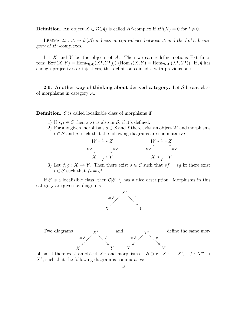**Definition.** An object  $X \in \mathcal{D}(\mathcal{A})$  is called  $H^0$ -complex if  $H^i(X) = 0$  for  $i \neq 0$ .

LEMMA 2.5.  $A \rightarrow \mathcal{D}(A)$  induces an equivalence between A and the full subcategory of  $H^0$ -complexes.

Let X and Y be the objects of  $A$ . Then we can redefine notions Ext functors:  $Ext^i(X, Y) = Hom_{\mathcal{D}(\mathcal{A})}(X^{\bullet}, Y^{\bullet}[i])$  (Hom $_{\mathcal{A}}(X, Y) = Hom_{\mathcal{D}(\mathcal{A})}(X^{\bullet}, Y^{\bullet}))$ ). If A has enough projectives or injectives, this definition coincides with previous one.

2.6. Another way of thinking about derived category. Let  $S$  be any class of morphisms in category  $\mathcal{A}$ .

**Definition.**  $S$  is called localizible class of morphisms if

- 1) If  $s, t \in S$  then  $s \circ t$  is also in S, if it's defined.
- 2) For any given morphisms  $s \in \mathcal{S}$  and f there exist an object W and morphisms  $t \in S$  and q. such that the following diagrams are commutative

$$
W - \frac{g}{K} \times Z
$$
\n
$$
H \times \frac{g}{K} - Z
$$
\n
$$
H \times \frac{g}{K} - Z
$$
\n
$$
H \times \frac{g}{K} - Z
$$
\n
$$
H \times \frac{g}{K} - Z
$$
\n
$$
H \times \frac{g}{K} - Z
$$
\n
$$
H \times \frac{g}{K} - Z
$$
\n
$$
H \times \frac{g}{K} - Z
$$
\n
$$
H \times \frac{g}{K} - Z
$$
\n
$$
H \times \frac{g}{K} - Z
$$

3) Let  $f, g: X \to Y$ . Then there exist  $s \in S$  such that  $sf = sg$  iff there exist  $t \in \mathcal{S}$  such that  $ft = qt$ .

If S is a localizible class, then  $\mathcal{C}[\mathcal{S}^{-1}]$  has a nice description. Morphisms in this category are given by diagrams





 $X''$ , such that the following diagram is commutative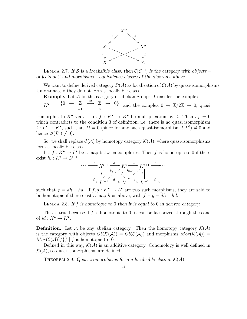

LEMMA 2.7. If S is a localizible class, then  $\mathcal{C}[\mathcal{S}^{-1}]$  is the category with objects – objects of  $\mathcal C$  and morphisms – equivalence classes of the diagrams above.

We want to define derived category  $\mathcal{D}(\mathcal{A})$  as localization of  $\mathcal{C}(\mathcal{A})$  by quasi-isomorphisms. Unfortunately they do not form a localizible class.

**Example.** Let  $\mathcal A$  be the category of abelian groups. Consider the complex

 $K^{\bullet} = \{0 \rightarrow \mathbb{Z} \stackrel{*2}{\longrightarrow} \mathbb{Z} \rightarrow 0\}$  $\mathbb{Z} \longrightarrow \mathbb{Z} \longrightarrow 0$  and the complex  $0 \longrightarrow \mathbb{Z}/2\mathbb{Z} \longrightarrow 0$ , quasi

isomorphic to  $K^{\bullet}$  via s. Let  $f: K^{\bullet} \to K^{\bullet}$  be multiplication by 2. Then  $sf = 0$ which contradicts to the condition 3 of definition, i.e. there is no quasi isomorphism  $t: L^{\bullet} \to K^{\bullet}$ , such that  $ft = 0$  (since for any such quasi-isomorphism  $t(L^0) \neq 0$  and hence  $2t(L^0) \neq 0$ .

So, we shall replace  $\mathcal{C}(\mathcal{A})$  by homotopy category  $\mathcal{K}(\mathcal{A})$ , where quasi-isomorphisms form a localizible class.

Let  $f: K^{\bullet} \to L^{\bullet}$  be a map between complexes. Then f is homotopic to 0 if there exist  $h_i: K^i \to L^{i-1}$ 

$$
\cdots \xrightarrow{d} K^{i-1} \xrightarrow{d} K^{i} \xrightarrow{d} K^{i+1} \xrightarrow{d} \cdots
$$
  

$$
f \downarrow \xrightarrow{h_i} f \downarrow \xrightarrow{h_{i+1}} f \downarrow
$$
  

$$
\cdots \xrightarrow{d} L^{i-1} \xrightarrow{d} L^{i} \xrightarrow{L^{i}} L^{i+1} \xrightarrow{d} \cdots
$$

such that  $f = dh + hd$ . If  $f, g: K^{\bullet} \to L^{\bullet}$  are two such morphisms, they are said to be homotopic if there exist a map h as above, with  $f - g = dh + hd$ .

LEMMA 2.8. If f is homotopic to 0 then it is equal to 0 in derived category.

This is true because if  $f$  is homotopic to 0, it can be factorized through the cone of  $id: K^{\bullet} \to K^{\bullet}$ .

**Definition.** Let A be any abelian category. Then the homotopy category  $\mathcal{K}(\mathcal{A})$ is the category with objects  $Ob(K(\mathcal{A})) = Ob(\mathcal{C}(\mathcal{A}))$  and morphisms  $Mor(\mathcal{K}(\mathcal{A})) =$  $Mor(\mathcal{C}(\mathcal{A})) / \{f \mid f \text{ is homotopic to } 0\}.$ 

Defined in this way,  $\mathcal{K}(\mathcal{A})$  is an additive category. Cohomology is well defined in  $\mathcal{K}(\mathcal{A})$ , so quasi-isomorphisms are defined.

THEOREM 2.9. Quasi-isomorphisms form a localizible class in  $\mathcal{K}(\mathcal{A})$ .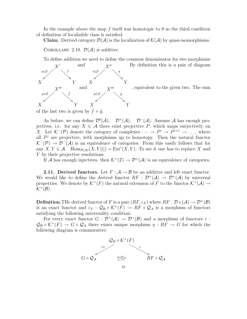In the example above the map f itself was homotopic to 0 so the third condition of definition of localizible class is satisfied.

**Claim.** Derived category  $\mathcal{D}(\mathcal{A})$  is the localization of  $\mathcal{K}(\mathcal{A})$  by quasi-isomorphisms.

COROLLARY 2.10.  $\mathcal{D}(\mathcal{A})$  is additive.

To define addition we need to define the common denominator for two morphisms



, equivalent to the given two. The sum

As before, we can define  $\mathcal{D}^b(\mathcal{A})$ ,  $\mathcal{D}^+(\mathcal{A})$ ,  $\mathcal{D}^-(\mathcal{A})$ . Assume A has enough projectives, i.e. for any  $X \in \mathcal{A}$  there exist projective P, which maps surjectively on X. Let  $\mathcal{K}^-(\mathcal{P})$  denote the category of complexes  $\cdots \rightarrow P^i \rightarrow P^{i+1} \rightarrow \ldots$ , where all  $P<sup>j</sup>$  are projective, with morphisms up to homotopy. Then the natural functor  $\mathcal{K}^-(\mathcal{P}) \to \mathcal{D}^-(\mathcal{A})$  is an equivalence of categories. From this easily follows that for any  $X, Y \in \mathcal{A}$  Hom $_{\mathcal{D}(\mathcal{A})}(X, Y[i]) = \text{Ext}^i(X, Y)$ . To see it one has to replace X and

Y by their projective resolutions.

If A has enough injectives, then  $\mathcal{K}^+(\mathcal{I}) \to \mathcal{D}^+(\mathcal{A})$  is an equivalence of categories.

**2.11. Derived functors.** Let  $F: A \rightarrow B$  be an additive and left exact functor. We would like to define the derived functor  $RF : \mathcal{D}^+(\mathcal{A}) \to \mathcal{D}^+(\mathcal{A})$  by universal properties. We denote by  $\mathcal{K}^+(F)$  the natural extension of F to the functor  $\mathcal{K}^+(\mathcal{A}) \to$  $K^+(\mathcal{B})$ .

**Definition.** The derived functor of F is a pair  $(RF, \varepsilon_F)$  where  $RF : \mathcal{D} + (\mathcal{A}) \to \mathcal{D}^+(\mathcal{B})$ is an exact functor and  $\varepsilon_F$ :  $\mathcal{Q}_B \circ \mathcal{K}^+(F) \to RF \circ \mathcal{Q}_A$  is a morphism of functors satisfying the following universality condition:

For every exact functor  $G : \mathcal{D}^+(\mathcal{A}) \to \mathcal{D}^+(\mathcal{B})$  and a morphism of functors  $\varepsilon$ :  $\mathcal{Q}_B \circ \mathcal{K}^+(F) \to G \circ \mathcal{Q}_A$  there exists unique morphism  $\eta : RF \to G$  for which the following diagram is commutative:

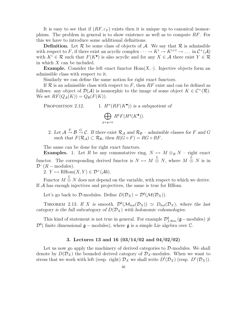It is easy to see that if  $(RF, \varepsilon_F)$  exists then it is unique up to canonical isomorphism. The problem in general is to show existence as well as to compute  $RF$ . For this we have to introduce some additional definitions.

**Definition.** Let  $\mathcal{R}$  be some class of objects of  $\mathcal{A}$ . We say that  $\mathcal{R}$  is admissible with respect to F, if there exist an acyclic complex  $\cdots \to K^i \to K^{i+1} \to \ldots$  in  $\mathcal{C}^+(\mathcal{A})$ with  $K^i \in \mathcal{R}$  such that  $F(K^{\bullet})$  is also acyclic and for any  $X \in \mathcal{A}$  there exist  $Y \in \mathcal{R}$ in which X can be included.

**Example.** Consider the left exact functor  $Hom(X, \cdot)$ . Injective objects form an admissible class with respect to it.

Similarly we can define the same notion for right exact functors.

If  $\mathcal R$  is an admissible class with respect to F, then RF exist and can be defined as follows: any object of  $\mathcal{D}(\mathcal{A})$  is isomorphic to the image of some object  $K \in \mathcal{C}^+(\mathcal{R})$ . We set  $RF(Q_{\mathcal{A}}(K)) = Q_{\mathcal{B}}(F(K)).$ 

PROPOSITION 2.12.  $(RF(K^{\bullet}))$  is a subquotient of  $R^p F(H^q(K^{\bullet}))$ .

$$
\sum_{p+q=n}
$$

2. Let  $\mathcal{A} \stackrel{F}{\rightarrow} \mathcal{B} \stackrel{G}{\rightarrow} \mathcal{C}$ . If there exist  $\mathcal{R}_{\mathcal{A}}$  and  $\mathcal{R}_{\mathcal{B}}$  – admissible classes for F and G such that  $F(\mathcal{R}_\mathcal{A}) \subset \mathcal{R}_\mathcal{B}$ , then  $R(G \circ F) = RG \circ RF$ .

The same can be done for right exact functors.

**Examples.** 1. Let R be any commutative ring,  $N \mapsto M \otimes_R N$  – right exact functor. The corresponding derived functor is  $N \mapsto M \overset{L}{\otimes} N$ , where  $M \overset{L}{\otimes} N$  is in  $\mathcal{D}^-(R-\text{modules}).$ 

2.  $Y \mapsto \text{RHom}(X, Y) \in \mathcal{D}^+(\mathcal{A}b)$ .

Functor  $M \overset{L}{\otimes} N$  does not depend on the variable, with respect to which we derive. If A has enough injectives and projectives, the same is true for RHom.

Let's go back to D-modules. Define  $D(\mathcal{D}_X) = \mathcal{D}^b(\mathcal{M}(\mathcal{D}_X))$ .

THEOREM 2.13. If X is smooth,  $\mathcal{D}^b(\mathcal{M}_{hol}(\mathcal{D}_X)) \simeq D_{hol}(\mathcal{D}_X)$ , where the last category is the full subcategory of  $D(D_X)$  with holonomic cohomologies.

This kind of statement is not true in general. For example  $\mathcal{D}_{f.dim.}^b(\mathfrak{g}-\text{modules}) \not\simeq$  $\mathcal{D}^b$  (finite dimensional  $\mathfrak{g}$  – modules), where  $\mathfrak{g}$  is a simple Lie algebra over  $\mathbb{C}$ .

# 3. Lectures 13 and 16 (03/14/02 and 04/02/02)

Let us now go apply the machinery of derived categories to  $\mathcal{D}\text{-modules}$ . We shall denote by  $D(\mathcal{D}_X)$  the bounded derived category of  $\mathcal{D}_X$ -modules. When we want to stress that we work with left (resp. right)  $\mathcal{D}_X$  we shall write  $D^l(\mathcal{D}_X)$  (resp.  $D^r(\mathcal{D}_X)$ ).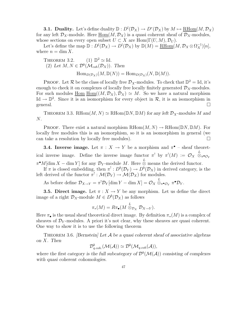**3.1.** Duality. Let's define duality  $\mathbb{D}: D^l(\mathcal{D}_X) \to D^r(\mathcal{D}_X)$  by  $M \mapsto \underline{\text{RHom}}(M, \mathcal{D}_X)$ for any left  $\mathcal{D}_X$ -module. Here  $\underline{\text{Hom}}(M, \mathcal{D}_X)$  is a quasi coherent sheaf of  $\mathcal{D}_X$ -modules, whose sections on every open subset  $U \subset X$  are  $\text{Hom}(\Gamma(U, M), \mathcal{D}_U)$ .

Let's define the map  $\mathbb{D}: D^l(\mathcal{D}_X) \to D^l(\mathcal{D}_X)$  by  $\mathbb{D}(M) = \underline{\mathrm{RHom}}(M, \mathcal{D}_X \otimes \Omega_X^{-1})[n],$ where  $n = \dim X$ .

THEOREM 3.2. (1) 
$$
\mathbb{D}^2 \simeq \text{Id}
$$
.  
\n(2) Let  $M, N \in \mathcal{D}^b(\mathcal{M}_{coh}(\mathcal{D}_X))$ . Then  
\n
$$
\text{Hom}_{D(\mathcal{D}_X)}(M, \mathbb{D}(N)) = \text{Hom}_{D(\mathcal{D}_X)}(N, \mathbb{D}(M)).
$$

**PROOF.** Let  $\mathcal{R}$  be the class of locally free  $\mathcal{D}_X$ -modules. To check that  $\mathbb{D}^2 = \text{Id}$ , it's enough to check it on complexes of locally free locally finitely generated  $\mathcal{D}_X$ -modules. For such modules  $\underline{\text{Hom}}(\underline{M}, \mathcal{D}_X), \mathcal{D}_X) \simeq M$ . So we have a natural morphism Id  $\rightarrow \mathbb{D}^2$ . Since it is an isomorphism for every object in R, it is an isomorphism in general.  $\Box$ 

THEOREM 3.3. RHom $(M, N) \simeq$  RHom $(\mathbb{D}N, \mathbb{D}M)$  for any left  $\mathcal{D}_X$ -modules M and N.

**PROOF.** There exist a natural morphism  $RHom(M, N) \to RHom(DN, DM)$ . For locally free modules this is an isomorphism, so it is an isomorphism in general (we can take a resolution by locally free modules).  $\Box$ 

**3.4. Inverse image.** Let  $\pi : X \to Y$  be a morphism and  $\pi^{\bullet}$  – sheaf theoretical inverse image. Define the inverse image functor  $\pi^!$  by  $\pi^!(M) := \mathcal{O}_X \overset{L}{\otimes}$  $\otimes_\pi\!\raisebox{1pt}{\text{\circle*{1.5}}}}$  $\pi^{\bullet}M$ [dim  $X$  – dim Y] for any  $\mathcal{D}_Y$ -module M. Here  $\stackrel{L}{\otimes}$  means the derived functor.

If  $\pi$  is closed embedding, then  $\pi^!: D^b(\mathcal{D}_Y) \to D^b(\mathcal{D}_X)$  in derived category, is the left derived of the functor  $\pi^!: \mathcal{M}(\mathcal{D}_Y) \to \mathcal{M}(\mathcal{D}_X)$  for modules.

As before define  $\mathcal{D}_{X\to Y} = \pi^! \mathcal{D}_Y[\dim Y - \dim X] = \mathcal{O}_X \overset{L}{\otimes}_{\pi^{\bullet} \mathcal{O}_Y} \pi^{\bullet} \mathcal{D}_Y.$ 

**3.5. Direct image.** Let  $\pi : X \to Y$  be any morphism. Let us define the direct image of a right  $\mathcal{D}_X$ -module  $M \in D^b(\mathcal{D}_X)$  as follows

$$
\pi_*(M) = R\pi_{\bullet}(M \stackrel{L}{\otimes}_{\mathcal{D}_X} \mathcal{D}_{X \to Y}).
$$

Here  $\pi_{\bullet}$  is the usual sheaf theoretical direct image. By definition  $\pi_{*}(M)$  is a complex of sheaves of  $\mathcal{D}_Y$ -modules. A priori it's not clear, why these sheaves are quasi coherent. One way to show it is to use the following theorem

THEOREM 3.6. [Bernstein] Let  $\mathcal A$  be a quasi coherent sheaf of associative algebras on X. Then

$$
\mathcal{D}_{q.\text{coh.}}^b(\mathcal{M}(\mathcal{A})) \simeq \mathcal{D}^b(\mathcal{M}_{q.\text{coh}}(\mathcal{A})),
$$

where the first category is the full subcategory of  $\mathcal{D}^b(\mathcal{M}(\mathcal{A}))$  consisting of complexes with quasi coherent cohomologies.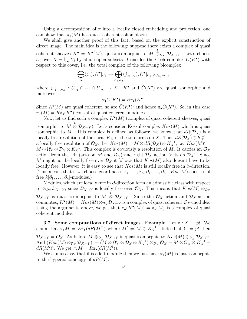Using a decomposition of  $\pi$  into a locally closed embedding and projection, one can show that  $\pi_*(M)$  has quasi coherent cohomologies.

We shall give another proof of this fact, based on the explicit construction of direct image. The main idea is the following: suppose there exists a complex of quasi coherent sheaves  $K^{\bullet} = K^{\bullet}(M)$ , quasi isomorphic to  $M \overset{L}{\otimes}_{\mathcal{D}_X} \mathcal{D}_{X \to Y}$ . Let's choose a cover  $X = \bigcup_i U_i$  by affine open subsets. Consider the Cech complex  $\check{C}(K^{\bullet})$  with respect to this cover, i.e. the total complex of the following bicomplex

$$
\bigoplus_{\alpha} (j_{\alpha})_* K^{\bullet}|_{U_{\alpha}} \to \bigoplus_{\alpha_1, \alpha_2} (j_{\alpha_1, \alpha_2})_* K^{\bullet}|_{U_{\alpha_1} \cap U_{\alpha_2} \to ...},
$$

where  $j_{\alpha_1,\dots,\alpha_k}: U_{\alpha_1} \cap \cdots \cap U_{\alpha_k} \to X$ .  $K^{\bullet}$  and  $\check{C}(K^{\bullet})$  are quasi isomorphic and moreover

$$
\pi_{\bullet}\check{C}(K^{\bullet})=R\pi_{\bullet}(K^{\bullet})
$$

Since  $K^{i}(M)$  are quasi coherent, so are  $\check{C}(K^{\bullet})^{i}$  and hence  $\pi_{\bullet}\check{C}(K^{\bullet})$ . So, in this case  $\pi_*(M) = R\pi_{\bullet}(K^{\bullet})$  consist of quasi coherent modules.

Now, let us find such a complex  $K^{\bullet}(M)$  (complex of quasi coherent sheaves, quasi isomorphic to  $M \overset{L}{\otimes} \mathcal{D}_{X\to Y}$ . Let's consider Koszul complex  $Kos(M)$  which is quasi isomorphic to M. This complex is defined as follows: we know that  $dR(\mathcal{D}_X)$  is a locally free resolution of the sheaf  $K_X$  of the top forms on X. Then  $dR(\mathcal{D}_X) \otimes K_X^{-1}$  is a locally free resolution of  $\mathcal{O}_X$ . Let  $Kos(M) = M \otimes dR(\mathcal{D}_X) \otimes K_X^{-1}$ , i.e.  $Kos(M)^i =$  $M \otimes \Omega_X^i \otimes \mathcal{D}_X \otimes K_X^{-1}$ . This complex is obviously a resolution of M. It carries an  $\mathcal{O}_X$ action from the left (acts on M and  $\mathcal{D}_X$ ) and right  $\mathcal{D}_X$  action (acts on  $\mathcal{D}_X$ ). Since M might not be locally free over  $\mathcal{D}_X$  it follows that  $Kos(M)$  also doesn't have to be locally free. However, it is easy to see that  $Kos(M)$  is still locally free in ∂-direction. (This means that if we choose coordinates  $x_1, \ldots, x_n, \partial_1, \ldots, \partial_n$  Kos(M) consists of free  $k[\partial_1,\ldots,\partial_n]$ -modules.)

Modules, which are locally free in  $\partial$ -direction form an admissible class with respect to  $\otimes_{\mathcal{D}_X} \mathcal{D}_{X\to Y}$ , since  $\mathcal{D}_{X\to Y}$  is locally free over  $\mathcal{O}_X$ . This means that  $Kos(M) \otimes_{\mathcal{D}_X}$  $\mathcal{D}_{X\to Y}$  is quasi isomorphic to  $M \overset{L}{\otimes} \mathcal{D}_{X\to Y}$ . Since the  $\mathcal{O}_X$ -action and  $\mathcal{D}_X$ -action commutes,  $K^{\bullet}(M) = Kos(M) \otimes_{\mathcal{D}_X} \mathcal{D}_{X \to Y}$  is a complex of quasi coherent  $\mathcal{O}_X$ -modules. Using the arguments above, we get that  $\pi_{\bullet}(K^{\bullet}(M)) = \pi_{*}(M)$  is a complex of quasi coherent modules.

**3.7.** Some computations of direct images. Example. Let  $\pi : X \to pt$ . We claim that  $\pi_* M = R \pi_{\bullet}(dR(M^l))$  where  $M^l = M \otimes K_X^{-1}$ . Indeed, if  $Y = pt$  then  $\mathcal{D}_{X\to Y} = \mathcal{O}_X$ . As before  $M \overset{L}{\otimes}_{\mathcal{D}_X} \mathcal{D}_{X\to Y}$  is quasi isomorphic to  $Kos(M) \otimes_{\mathcal{D}_X} \mathcal{D}_{X\to Y}$ . And  $(Kos(M) \otimes_{\mathcal{D}_X} \mathcal{D}_{X\to Y})^i = (M \otimes \Omega_X^i \otimes \mathcal{D}_X \otimes K_X^{-1}) \otimes_{\mathcal{D}_X} \mathcal{O}_X = M \otimes \Omega_X^i \otimes K_X^{-1} =$  $dR(M^l)^i$ . We get  $\pi_*M = R\pi_{\bullet}(dR(M^l))$ .

We can also say that if is a left module then we just have  $\pi_*(M)$  is just isomorphic to the hypercohomology of  $dR(M)$ .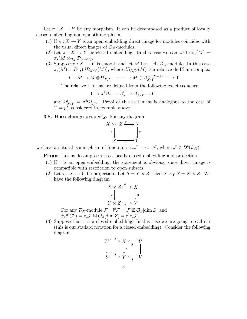Let  $\pi: X \to Y$  be any morphism. It can be decomposed as a product of locally closed embedding and smooth morphism.

- (1) If  $\pi: X \to Y$  is an open embedding direct image for modules coincides with the usual direct images of  $\mathcal{O}_X$ -modules.
- (2) Let  $\pi : X \to Y$  be closed embedding. In this case we can write  $\pi_*(M) =$  $\pi_{\bullet}(M \otimes_{\mathcal{D}_X} \mathcal{D}_{X \to Y}).$
- (3) Suppose  $\pi : X \to Y$  is smooth and let M be a left  $\mathcal{D}_X$ -module. In this case  $\pi_*(M) = R\pi_{\bullet}(dR_{X/Y}(M))$ , where  $dR_{X/Y}(M)$  is a relative de Rham complex

$$
0 \to M \to M \otimes \Omega^1_{X/Y} \to \cdots \to M \otimes \Omega^{\dim X - \dim Y}_{X/Y} \to 0.
$$

The relative 1-forms are defined from the following exact sequence

$$
0 \to \pi^*\Omega^1_Y \to \Omega^1_X \to \Omega^1_{X/Y} \to 0.
$$

and  $\Omega^i_{X/Y} = \Lambda^i \Omega^1_{X/Y}$ . Proof of this statement is analogous to the case of  $Y = pt$ , considered in example above.

## 3.8. Base change property. For any diagram



we have a natural isomorphism of functors  $\tau^! \pi_* \mathcal{F} = \tilde{\pi}_* \tilde{\tau}^! \mathcal{F}$ , where  $\mathcal{F} \in D^b(\mathcal{D}_X)$ .

**PROOF.** Let us decompose  $\tau$  as a locally closed embedding and projection.

- (1) If  $\tau$  is an open embedding, the statement is obvious, since direct image is compatible with restriction to open subsets.
- (2) Let  $\tau : X \to Y$  be projection. Let  $S = Y \times Z$ , then  $X \times_Y S = X \times Z$ . We have the following diagram

$$
\begin{array}{ccc}\nX \times Z & \xrightarrow{\tilde{\tau}} & X \\
\pi & & \pi \\
Y \times Z & \xrightarrow{\tau} & Y\n\end{array}
$$

For any  $\mathcal{D}_X$ -module  $\mathcal{F}$   $\tilde{\tau}^! \mathcal{F} = \mathcal{F} \boxtimes \mathcal{O}_Z[\dim Z]$  and  $\tilde{\pi}_*\tilde{\tau}^!(\mathcal{F}) = \pi_*\mathcal{F} \boxtimes \mathcal{O}_Z[\dim Z] = \tau^!\pi_*\mathcal{F}.$ 

(3) Suppose that  $\tau$  is a closed embedding. In this case we are going to call it i (this is our stadard notation for a closed embedding). Consider the following diagram

$$
W \xrightarrow{\tilde{i}} X \xrightarrow{\tilde{j}} U
$$
  

$$
S \xrightarrow{i} Y \xrightarrow{j} V
$$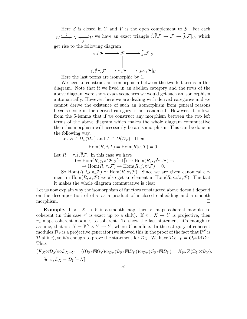Here  $S$  is closed in  $Y$  and  $V$  is the open complement to  $S$ . For each  $W \xrightarrow{\tilde{i}} X \xrightarrow{\sim} U$  $\longleftrightarrow_{\tilde{j}} U$  we have an exact triangle  $\tilde{i}_* \tilde{i}^! \mathcal{F} \to \mathcal{F} \to \tilde{j}_* \mathcal{F}|_U$ , which get rise to the following diagram

$$
\tilde{i}_*\tilde{i}^!\mathcal{F} \longrightarrow \mathcal{F} \longrightarrow \tilde{j}_*\mathcal{F}|_U
$$
\n
$$
\downarrow \qquad \qquad \downarrow \qquad \qquad \downarrow
$$
\n
$$
i_*i^!\pi_*\mathcal{F} \longrightarrow \pi_*\mathcal{F} \longrightarrow j_*\pi_*\mathcal{F}|_U
$$

Here the last terms are isomorphic by 1.

We need to construct an isomorphism between the two left terms in this diagram. Note that if we lived in an abelian category and the rows of the above diagram were short exact sequences we would get such an isomorphism automatically. However, here we are dealing with derived categories and we cannot derive the existence of such an isomorphism from general reasons because cone in the derived category is not canonical. However, it follows from the 5-lemma that if we construct any morphism between the two left terms of the above diagram which makes the whole diagram commutative then this morphism will necessarily be an isomorphism. This can be done in the following way.

Let  $R \in D_S(\mathcal{D}_Y)$  and  $T \in D(\mathcal{D}_V)$ . Then

 $Hom(R, i_*T) = Hom(R|_V, T) = 0.$ 

Let  $R = \pi_* \tilde{i}_* \tilde{i}^!\mathcal{F}$ . In this case we have

 $0 = \text{Hom}(R, j_* \pi^* \mathcal{F}|_U[-1]) \to \text{Hom}(R, i_* i^! \pi_* \mathcal{F}) \to$  $\rightarrow$  Hom $(R, \pi_*\mathcal{F}) \rightarrow$  Hom $(R, j_*\pi^*\mathcal{F}) = 0.$ 

So  $\text{Hom}(R, i_*i^!\pi_*\mathcal{F}) \simeq \text{Hom}(R, \pi_*\mathcal{F})$ . Since we are given canonical element in  $\text{Hom}(R, \pi_*\mathcal{F})$  we also get an element in  $\text{Hom}(R, i_*i^!\pi_*\mathcal{F})$ . The fact it makes the whole diagram commutative is clear.

Let us now explain why the isomorphism of functors constructed above doesn't depend on the decomposition of of  $\tau$  as a product of a closed embedding and a smooth morphism.

**Example.** If  $\pi : X \to Y$  is a smooth map, then  $\pi^!$  maps coherent modules to coherent (in this case  $\pi'$  is exact up to a shift). If  $\pi : X \to Y$  is projective, then  $\pi_*$  maps coherent modules to coherent. To show the last statement, it's enough to assume, that  $\pi: X = \mathbb{P}^N \times Y \to Y$ , where Y is affine. In the category of coherent modules  $\mathcal{D}_X$  is a projective generator (we showed this in the proof of the fact that  $\mathbb{P}^N$  is  $\mathcal{D}\text{-affine}$ , so it's enough to prove the statement for  $\mathcal{D}_X$ . We have  $\mathcal{D}_{X\to Y} = \mathcal{O}_{\mathbb{P}^N} \boxtimes \mathcal{D}_Y$ . Thus

$$
(K_X \otimes \mathcal{D}_X) \otimes \mathcal{D}_{X \to Y} = ((\Omega_{\mathbb{P}^N} \boxtimes \Omega_Y) \otimes_{\mathcal{O}_X} (\mathcal{D}_{\mathbb{P}^N} \boxtimes \mathcal{D}_Y)) \otimes_{\mathcal{D}_X} (\mathcal{O}_{\mathbb{P}^N} \boxtimes \mathcal{D}_Y) = K_{\mathbb{P}^N} \boxtimes (\Omega_Y \otimes \mathcal{D}_Y).
$$
  
So  $\pi_* \mathcal{D}_X = \mathcal{D}_Y [-N].$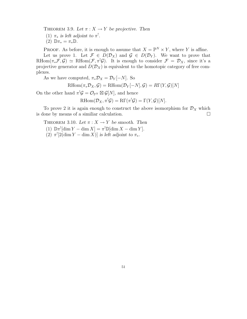THEOREM 3.9. Let  $\pi : X \to Y$  be projective. Then

(1)  $\pi_*$  is left adjoint to  $\pi^!$ .

(2)  $\mathbb{D}\pi_* = \pi_* \mathbb{D}$ .

**PROOF.** As before, it is enough to assume that  $X = \mathbb{P}^N \times Y$ , where Y is affine. Let us prove 1. Let  $\mathcal{F} \in D(\mathcal{D}_X)$  and  $\mathcal{G} \in D(\mathcal{D}_Y)$ . We want to prove that RHom $(\pi_*\mathcal{F}, \mathcal{G}) \simeq$  RHom $(\mathcal{F}, \pi^! \mathcal{G})$ . It is enough to consider  $\mathcal{F} = \mathcal{D}_X$ , since it's a projective generator and  $D(\mathcal{D}_X)$  is equivalent to the homotopic category of free complexes.

As we have computed,  $\pi_* \mathcal{D}_X = \mathcal{D}_Y[-N]$ . So

 $RHom(\pi_*\mathcal{D}_X,\mathcal{G}) = RHom(\mathcal{D}_Y[-N],\mathcal{G}) = R\Gamma(Y,\mathcal{G})[N]$ 

On the other hand  $\pi^! \mathcal{G} = \mathcal{O}_{\mathbb{P}^N} \boxtimes \mathcal{G}[N]$ , and hence

$$
\mathrm{RHom}(\mathcal{D}_X, \pi^! \mathcal{G}) = \mathrm{R}\Gamma(\pi^! \mathcal{G}) = \Gamma(Y, \mathcal{G})[N].
$$

To prove 2 it is again enough to construct the above isomorphism for  $\mathcal{D}_X$  which lone by means of a similiar calculation. is done by means of a similiar calculation.

THEOREM 3.10. Let  $\pi : X \to Y$  be smooth. Then

(1)  $\mathbb{D}\pi^![\dim Y - \dim X] = \pi^! \mathbb{D}[\dim X - \dim Y].$ (2)  $\pi$ <sup>1</sup>[2(dim Y – dim X)] is left adjoint to  $\pi_*$ .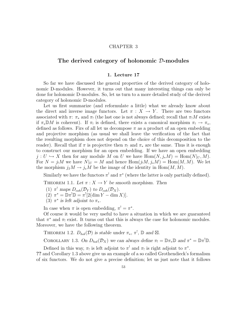### CHAPTER 3

# The derived category of holonomic D-modules

## 1. Lecture 17

So far we have discussed the general properties of the derived category of holonomic D-modules. However, it turns out that many interesting things can only be done for holonomic D-modules. So, let us turn to a more detailed study of the derived category of holonomic D-modules.

Let us first summarize (and reformulate a little) what we already know about the direct and inverse image functors. Let  $\pi : X \to Y$ . There are two functors associated with  $\pi: \pi_*$  and  $\pi_!$  (the last one is not always defined; recall that  $\pi_!M$  exists if  $\pi_* \mathbb{D}M$  is coherent). If  $\pi_!$  is defined, there exists a canonical morphism  $\pi_! \to \pi_*$ , defined as follows. Firs of all let us decompose  $\pi$  as a product of an open embedding and projective morphism (as usual we shall leave the verification of the fact that the resulting morphism does not depend on the choice of this decomposition to the reader). Recall that if  $\pi$  is projective then  $\pi_1$  and  $\pi_*$  are the same. Thus it is enough to construct our morphism for an open embedding. If we have an open embedding  $j: U \hookrightarrow X$  then for any module M on U we have  $\text{Hom}(N, j_*M) = \text{Hom}(N|_U, M)$ . For  $N = j_1 M$  we have  $N|_U = M$  and hence  $\text{Hom}(j_1M, j_*M) = \text{Hom}(M, M)$ . We let the morphism  $j_I M \to j_* M$  be the image of the identity in Hom $(M, M)$ .

Similarly we have the functors  $\pi^!$  and  $\pi^*$  (where the latter is only partially defined).

THEOREM 1.1. Let  $\pi : X \to Y$  be smooth morphism. Then

- (1)  $\pi^!$  maps  $D_{coh}(\mathcal{D}_Y)$  to  $D_{coh}(\mathcal{D}_X)$ .
- $(2)$   $\pi^* = \mathbb{D}\pi^! \mathbb{D} = \pi^! [2(\dim Y \dim X)].$
- (3)  $\pi^*$  is left adjoint to  $\pi_*$ .

In case when  $\pi$  is open embedding,  $\pi' = \pi^*$ .

Of course it would be very useful to have a situation in which we are guaranteed that  $\pi^*$  and  $\pi_!$  exist. It turns out that this is always the case for holonomic modules. Moreover, we have the following theorem.

THEOREM 1.2.  $D_{hol}(\mathcal{D})$  is stable under  $\pi_*, \pi^!, \mathcal{D}$  and  $\boxtimes$ .

COROLLARY 1.3. On  $D_{hol}(\mathcal{D}_X)$  we can always define  $\pi_! = \mathbb{D}\pi_*\mathbb{D}$  and  $\pi^* = \mathbb{D}\pi^! \mathbb{D}$ .

Defined in this way,  $\pi_!$  is left adjoint to  $\pi^!$  and  $\pi_!$  is right adjoint to  $\pi^*$ .

?? and Corollary 1.3 above give us an example of a so called Grothendieck's formalism of six functors. We do not give a precise definition; let us just note that it follows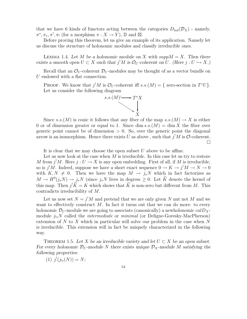that we have 6 kinds of functors acting between the categories  $D_{hol}(\mathcal{D}_X)$  - namely,  $\pi^*, \pi_*, \pi^!, \pi_!$  (for a morphism  $\pi: X \to Y$ ),  $\mathbb{D}$  and  $\boxtimes$ .

Before proving this theorem, let us give an example of its application. Namely let us discuss the structure of holonomic modules and classify irreducible ones.

LEMMA 1.4. Let M be a holonomic module on X with  $supp M = X$ . Then there exists a smooth open  $U \subset X$  such that  $j^!M$  is  $\mathcal{O}_U$ -coherent on U. (Here  $j: U \hookrightarrow X$ .)

Recall that an  $\mathcal{O}_U$ -coherent  $\mathcal{D}_U$ -modules may be thought of as a vector bundle on U endowed with a flat connection.

**PROOF.** We know that  $j^!M$  is  $\mathcal{O}_U$ -coherent iff  $s.s.(M) = \{$  zero-section in  $T^*U\}$ . Let us consider the following diagram



Since s.s.(M) is conic it follows that any fiber of the map  $s.s.(M) \to X$  is either 0 or of dimension greater or equal to 1. Since  $\dim s.s.(M) = \dim X$  the fiber over generic point cannot be of dimension  $> 0$ . So, over the generic point the diagonal arrow is an isomorphism. Hence there exists U as above, such that  $j^!M$  is  $\mathcal{O}\text{-coherent}$ .  $\Box$ 

It is clear that we may choose the open subset  $U$  above to be affine.

Let us now look at the case when  $M$  is irreducible. In this case let us try to restore M from  $j^!M$ . Here  $j: U \to X$  is any open embedding. First of all, if M is irreducible, so is  $j^!M$ . Indeed, suppose we have a short exact sequence  $0 \to K \to j^!M \to N \to 0$ with  $K, N \neq 0$ . Then we have the map  $M \to j_*N$  which in fact factorizes as  $M \to H^0(j_*N) \to j_*N$  (since  $j_*N$  lives in degress  $\geq 0$ . Let  $\tilde{K}$  denote the kernel of this map. Then  $j^{\dagger}K = K$  which shows that K is non-zero but different from M. This contradicts irreducibility of M.

Let us now set  $N = j^! M$  and pretend that we are only given N nut not M and we want to effectively construct  $M$ . In fact it turns out that we can do more: to every holonomic  $\mathcal{D}_U$ -module we are going to associate (canonically) a newholonomic  $calD_X$ module  $j_{!*}N$  called the *intermediate* or *minimal* (or Deligne-Goresky-MacPherson) extension of  $N$  to  $X$  which in particular will solve our problem in the case when  $N$ is irreducible. This extension will in fact be uniquely characterized in the following way.

THEOREM 1.5. Let X be an irreducible variety and let  $U \subset X$  be an open subset. For every holonomic  $\mathcal{D}_U$ -module N there exists unique  $\mathcal{D}_X$ -module M satisfying the following properties:

 $(1)$   $j^{!}(j_{!*}(N)) = N;$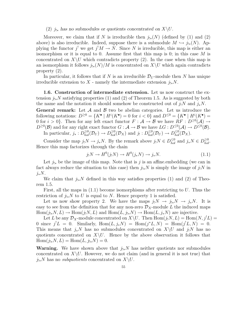## (2)  $j_{!*}$  has no submodules or quotients concentrated on  $X\setminus U$ .

Moreover, we claim that if N is irreducible then  $j_{!*}(N)$  (defined by (1) and (2) above) is also irreducible. Indeed, suppose there is a submodule  $M \hookrightarrow j_{!*}(N)$ . Applying the functor j' we get  $j!M \to N$ . Since N is irreducible, this map is either an isomorphism or it is equal to 0. Assume first that this map is 0; in this case  $M$  is concentrated on  $X\setminus U$  which contradicts property (2). In the case when this map is an isomorphism it follows  $j_{!*}(N)/M$  is concentrated on  $X\setminus U$  which again contradicts property (2).

In particular, it follows that if N is an irreducible  $\mathcal{D}_U$ -module then N has unique irreducible extension to X - namely the intermediate extension  $j_{!*}N$ .

1.6. Construction of intermediate extension. Let us now construct the extension  $j_{!*}N$  satisfying properties (1) and (2) of Theorem 1.5. As is suggested by both the name and the notation it should somehow be constructed out of  $j_!N$  and  $j_*N$ .

**General remark:** Let  $\mathcal A$  and  $\mathcal B$  two be abelian categories. Let us introduce the following notations:  $D^{\geq 0} = \{K^{\bullet} \mid H^{i}(K^{\bullet}) = 0 \text{ for } i < 0\}$  and  $D^{\leq 0} = \{K^{\bullet} \mid H^{i}(K^{\bullet}) = 0 \text{ for } i < 0\}$ 0 for  $i > 0$ . Then for any left exact functor  $F : A \to B$  we have  $RF : D^{\geq 0}(\mathcal{A}) \to \mathbb{R}^{\geq 0}(\mathcal{A})$  $D^{\geq 0}(\mathcal{B})$  and for any right exact functor  $G: \mathcal{A} \to \mathcal{B}$  we have  $LG: D^{\leq 0}(\mathcal{A}) \to D^{\leq 0}(\mathcal{B})$ . In particular,  $j_*: D_{hol}^{\geq 0}(\mathcal{D}_U) \to D_{hol}^{\geq 0}(\mathcal{D}_X)$  and  $j_!: D_{hol}^{\leq 0}(\mathcal{D}_U) \to D_{hol}^{\leq 0}(\mathcal{D}_X)$ .

Consider the map  $j_!N \to j_*N$ . By the remark above  $j_!N \in D_{hol}^{\leq 0}$  and  $j_*N \in D_{hol}^{\geq 0}$ . Hence this map factorizes through the chain

$$
j_!N \to H^0(j_!N) \to H^0(j_*N) \to j_*N. \tag{1.1}
$$

Let  $j_{!*}$  be the image of this map. Note that is j is an affine.embedding (we can in fact always reduce the situation to this case) then  $j_{!*}N$  is simply the image of  $j_!N$  in  $i_{\ast}N$ .

We claim that  $j_{!*}N$  defined in this way satisfies properties (1) and (2) of Theorem 1.5.

First, all the maps in  $(1.1)$  become isomorphisms after restricting to U. Thus the restriction of  $j_{!*}N$  to U is equal to N. Hence property 1 is satisfied.

Let us now show property 2. We have the maps  $j_!N \to j_{!*}N \to j_*N$ . It is easy to see from the definition that for any non-zero  $\mathcal{D}_X$ -module L the induced maps  $Hom(j_{!*}N, L) \to Hom(j_!N, L)$  and  $Hom(L, j_{!*}N) \to Hom(L, j_*N)$  are injective.

Let L be any  $\mathcal{D}_X$ -module concentrated on  $X\setminus U$ . Then  $\text{Hom}(j_!N, L) = \text{Hom}(N, j^!L) =$ 0 since  $j^!L = 0$ . Similarly,  $Hom(L, j_*N) = Hom(j^*L, N) = Hom(j^!L, N) = 0$ . This means that  $j_*N$  has no submodules concentrated on  $X\setminus U$  and  $j_!N$  has no quotients concentrated on  $X\setminus U$ . Hence by the above observation it follows that  $\text{Hom}(j_{!*}N, L) = \text{Hom}(L, j_{!*}N) = 0.$ 

**Warning.** We have shown above that  $j_{!*}N$  has neither quotients nor submodules concentrated on  $X\setminus U$ . However, we do not claim (and in general it is not true) that  $j_{!*}N$  has no *subquotients* concentrated on  $X\backslash U$ .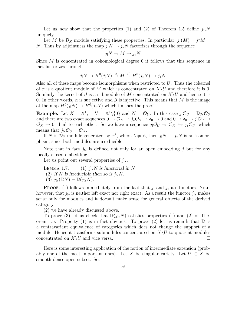Let us now show that the properties (1) and (2) of Theorem 1.5 define  $j_{!*}N$ uniquely.

Let M be  $\mathcal{D}_X$  module satisfying these properties. In particular,  $j'(M) = j^*M =$ N. Thus by adjointness the map  $j_!N \to j_*N$  factorizes through the sequence

$$
j_!N \to M \to j_*N.
$$

Since M is concentrated in cohomological degree 0 it follows that this sequence in fact factorizes through

$$
j_!N \to H^0(j_!N) \xrightarrow{\alpha} M \xrightarrow{\beta} H^0(j_*N) \to j_*N.
$$

Also all of these maps become isomorphisms when restricted to  $U$ . Thus the cokernel of  $\alpha$  is a quotient module of M which is concentrated on  $X\setminus U$  and therefore it is 0. Similarly the kernel of  $\beta$  is a submodule of M concentrated on  $X\setminus U$  and hence it is 0. In other words,  $\alpha$  is surjective and  $\beta$  is injective. This means that M is the image of the map  $H^0(j_!N) \to H^0(j_*N)$  which finishes the proof.

**Example.** Let  $X = \mathbb{A}^1$ ,  $U = \mathbb{A}^1 \setminus \{0\}$  and  $N = \mathcal{O}_U$ . In this case  $j_! \mathcal{O}_U = \mathbb{D} j_* \mathcal{O}_U$ and there are two exact sequences  $0 \to \mathcal{O}_X \to j_*\mathcal{O}_U \to \delta_0 \to 0$  and  $0 \to \delta_0 \to j_!\mathcal{O}_U \to \delta_0$  $\mathcal{O}_X \to 0$ , dual to each other. So we have a sequence  $j_!\mathcal{O}_U \twoheadrightarrow \mathcal{O}_X \hookrightarrow j_*\mathcal{O}_U$ , which means that  $j_{!*}\mathcal{O}_U=\mathcal{O}_X$ .

If N is  $\mathcal{D}_U$ -module generated by  $x^{\lambda}$ , where  $\lambda \neq \mathbb{Z}$ , then  $j_!N \to j_*N$  is an isomorphism, since both modules are irreducible.

Note that in fact  $j_{!*}$  is defined not only for an open embedding j but for any locally closed embedding.

Let us point out several properties of  $j_{!*}$ .

LEMMA 1.7. (1)  $j_{!*}N$  is functorial in N. (2) If N is irreducible then so is  $j_{!*}N$ . (3)  $j_{!*}(\mathbb{D}N) = \mathbb{D}(j_{!*}N).$ 

**PROOF.** (1) follows immediately from the fact that  $j_1$  and  $j_*$  are functors. Note, however, that  $j_{!*}$  is neither left exact nor right exact. As a result the functor  $j_{!*}$  makes sense only for modules and it doesn't make sense for general objects of the derived category.

(2) we have already discussed above.

To prove (3) let us check that  $\mathbb{D}(j_{!*}N)$  satisfies properties (1) and (2) of Theorem 1.5. Property (1) is in fact obvious. To prove (2) let us remark that  $\mathbb D$  is a contravariant equivalence of categories which does not change the support of a module. Hence it transforms submodules concentrated on  $X\setminus U$  to quotient modules concentrated on  $X\setminus U$  and vice versa. concentrated on  $X\setminus U$  and vice versa.

Here is some interesting application of the notion of intermediate extension (probably one of the most important ones). Let X be singular variety. Let  $U \subset X$  be smooth dense open subset. Set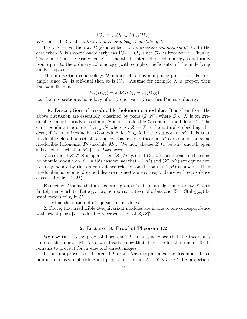$$
IC_X = j_{!*} O_U \in \mathcal{M}_{hol}(\mathcal{D}_X)
$$

We shall call  $\text{IC}_X$  the *intersection cohomology*  $\mathcal{D}\text{-module of } X$ .

If  $\pi: X \to pt$ , then  $\pi_*(IC_X)$  is called the *intersection cohomology of* X. In the case when X is smooth one clearly has  $\mathcal{IC}_X = \mathcal{O}_X$  since  $\mathcal{O}_X$  is irreducible. Thus by Theorem ?? in the case when  $X$  is smooth its intersection cohomology is naturally isomorphic to the ordinary cohomology (with complex coefficients) of the underlying analytic space.

The intersection cohomology  $\mathcal{D}$ -module of X has many nice properties. For example since  $\mathcal{O}_U$  is self-dual then so is  $\mathrm{IC}_X$ . Assume for example X is proper, then  $\mathbb{D}\pi_* = \pi_* \mathbb{D}$ . Hence

$$
\mathbb{D}\pi_*(IC_X) = \pi_*\mathbb{D}(IC_X) = \pi_*(IC_X)
$$

i.e. the intersection cohomology of an proper variety satisfies Poincare duality.

1.8. Description of irreducible holonomic modules. It is clear from the above discussion are essentially classified by pairs  $(Z, N)$ , where  $Z \subset X$  is an irreducible smooth locally closed and N is an irreducible  $\mathcal{O}\text{-coherent}$  module on Z. The corresponding module is then  $j_{!*}N$  where  $j: Z \to X$  is the natural embedding. Indeed, if M is an irreducible  $\mathcal{D}_X$ -module, let  $Y \subset X$  be the support of M. This is an irreducible closed subset of X and by Kashiwara's theorem  $M$  corresponds to some irreducible holonomic  $\mathcal{D}_Y$ -module  $M_Y$ . We now choose Z to be any smooth open subset of Y such that  $M_Y|_Z$  is  $\mathcal{O}$ =coherent.

Moreover, if  $Z' \subset Z$  is open, then  $(Z', M|_{Z'})$  and  $(Z, M)$  correspond to the same holonomic module on X. In this case we say that  $(Z, M)$  and  $(Z', M')$  are equivalent. Let us generate by this an equivalence relation on the pairs  $(Z, M)$  as above. Then irreducible holonomic  $\mathcal{D}_X$ -modules are in one-to-one correspondence with equivalence classes of pairs  $(Z, M)$ .

**Exercise:** Assume that an algebraic group  $G$  acts on an algebraic variety  $X$  with finitely many orbits. Let  $x_1, \ldots x_k$  be representatives of orbits and  $Z_i = \text{Stab}_G(x_i)$  be stabilizators of  $x_i$  in  $G$ .

1. Define the notion of G-equivariant modules.

2. Prove, that irreducible G-equivariant modules are in one to one correspondence with set of pairs  $\{i, \text{ irreducible representation of } Z_i/Z_i^0\}.$ 

## 2. Lecture 18: Proof of Theorem 1.2

We now turn to the proof of Theorem 1.2. It is easy to see that the theorem is true for the functor  $\boxtimes$ . Also, we already know that it is true for the functor  $\mathbb D$ . It remains to prove it for inverse and direct images.

Let us first prove this Theorem 1.2 for  $\pi^!$ . Any morphism can be decomposed as a product of closed embedding and projection. Let  $\pi: X = Y \times Z \rightarrow Y$  be projection.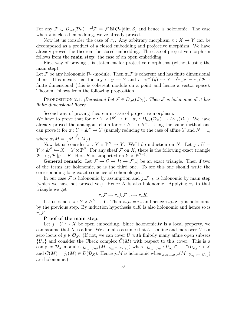For any  $\mathcal{F} \in D_{hol}(\mathcal{D}_Y)$   $\pi^!\mathcal{F} = \mathcal{F} \boxtimes \mathcal{O}_Z[\dim Z]$  and hence is holonomic. The case when  $\pi$  is closed embedding, we've already proved.

Now let us consider the case of  $\pi_*$ . Any arbitrary morphism  $\pi : X \to Y$  can be decomposed as a product of a closed embedding and projective morphism. We have already proved the theorem for closed embedding. The case of projective morphism follows from the **main step**: the case of an open embedding.

First way of proving this statement for projective morphisms (without using the main step).

Let F be any holonomic  $\mathcal{D}_Y$ -module. Then  $\pi_*\mathcal{F}$  is coherent and has finite dimensional fibers. This means that for any  $i : y \hookrightarrow Y$  and  $\tilde{i} : \pi^{-1}(y) \hookrightarrow Y$   $i^! \pi_* \mathcal{F} = \pi_* \tilde{i}^! \mathcal{F}$  is finite dimensional (this is coherent module on a point and hence a vector space). Theorem follows from the following proposition.

PROPOSITION 2.1. [Bernstein] Let  $\mathcal{F} \in D_{coh}(\mathcal{D}_X)$ . Then  $\mathcal F$  is holonomic iff it has finite dimensional fibers.

Second way of proving theorem in case of projective morphism.

We have to prove that for  $\pi : Y \times \mathbb{P}^N \to Y \quad \pi_* : D_{hol}(\mathcal{D}_X) \to D_{hol}(\mathcal{D}_Y)$ . We have already proved the analogous claim for  $\pi : \mathbb{A}^n \to \mathbb{A}^m$ . Using the same method one can prove it for  $\pi: Y \times \mathbb{A}^N \to Y$  (namely reducing to the case of affine Y and  $N = 1$ , where  $\pi_* M = \{ M \stackrel{\frac{\partial}{\partial x}}{\rightarrow} M \}.$ 

Now let us consider  $\pi : Y \times \mathbb{P}^N \to Y$ . We'll do induction on N. Let  $j : U =$  $Y \times \mathbb{A}^N \hookrightarrow X = Y \times \mathbb{P}^N$ . For any sheaf  $\mathcal F$  on X, there is the following exact triangle  $\mathcal{F} \to j_* \mathcal{F} \mid_U \to K$ . Here K is supported on  $Y \times \mathbb{P}^{N-1}$ .

**General remark:** Let  $\mathcal{F} \to \mathcal{G} \to \mathcal{H} \to \mathcal{F}[1]$  be an exact triangle. Then if two of the terms are holonomic, so is the third one. To see this one should write the corresponding long exact sequence of cohomologies.

In our case F is holonomic by assumption and  $j_*\mathcal{F}|_U$  is holonomic by main step (which we have not proved yet). Hence K is also holonomic. Applying  $\pi_*$  to that triangle we get

$$
\pi_*\mathcal{F}\to \pi_*j_*\mathcal{F}|_U\to \pi_*K.
$$

Let us denote  $\tilde{\pi}: Y \times \mathbb{A}^N \to Y$ . Then  $\pi_* j_* = \tilde{\pi}_*$  and hence  $\pi_* j_* \mathcal{F}|_U$  is holonomic by the previous step. By induction hypothesis  $\pi_* K$  is also holonomic and hence so is  $\pi_*\mathcal{F}.$ 

#### Proof of the main step:

Let  $j: U \hookrightarrow X$  be open embedding. Since holonomicity is a local property, we can assume that  $X$  is affine. We can also assume that  $U$  is affine and moreover  $U$  is a zero locus of  $p \in \mathcal{O}_X$ . (If not, we can cover U with finitely many affine open subsets  ${U_\alpha}$  and consider the Check complex  $C(M)$  with respect to this cover. This is a complex  $\mathcal{D}_X$ -modules  $j_{\alpha_1,\dots,\alpha_k*}(M|_{U_{\alpha_1}\cap\dots\cap U_{\alpha_k}})$  where  $j_{\alpha_1,\dots,\alpha_k}: U_{\alpha_1}\cap\dots\cap U_{\alpha_k} \hookrightarrow X$ and  $\check{C}(M) = j_*(M) \in D(\mathcal{D}_X)$ . Hence  $j_*M$  is holonomic when  $j_{\alpha_1,\dots,\alpha_k}$  (M  $|_{U_{\alpha_1} \cap \dots \cap U_{\alpha_k}}$ ) are holonomic.)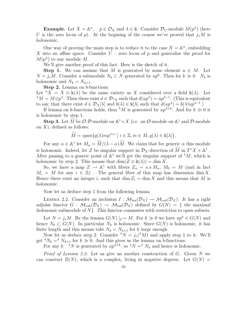**Example.** Let  $X = \mathbb{A}^n$ ,  $p \in \mathcal{O}_X$  and  $\lambda \in \mathbb{k}$ . Consider  $\mathcal{D}_U$ -module  $M(p^{\lambda})$  (here U is the zero locus of p). At the begining of the course we've proved that  $j_*M$  is holonomic.

One way of proving the main step is to reduce it to the case  $X = \mathbb{A}^n$ , embedding X into an affine space. Consider  $U$  – zero locus of p and generalize the proof for  $M(p^{\lambda})$  to any module M.

We'll give another proof of this fact. Here is the sketch of it.

**Step 1.** We can assume that M is generated by some element  $u \in M$ . Let  $N = j_*M$ . Consider a submodule  $N_k \subset N$  generated by  $up^k$ . Then for  $k \gg 0$   $N_k$  is holonomic and  $N_k = N_{k+1}$ .

Step 2. Lemma on b-functions.

Let  $\lambda X = X \otimes \mathbb{k}(\lambda)$  be the same variety as X considered over a field  $\mathbb{k}(\lambda)$ . Let  $\lambda M = M \otimes p^{\lambda}$ . Then there exist  $d \in \mathcal{D}_{\lambda}$  such that  $d(up^{\lambda}) = up^{\lambda-1}$ . (This is equivalent to say, that there exist  $d \in \mathcal{D}_X[\lambda]$  and  $b(\lambda) \in \mathbb{k}[\lambda]$  such that  $d(up^{\lambda}) = b(\lambda)up^{\lambda-1}$ .

If lemma on b-functions holds, then  $^{\lambda}M$  is generated by  $up^{\lambda+k}$ . And for  $k \gg 0$  it is holonomic by step 1.

**Step 3.** Let  $\widetilde{M}$  be  $\mathcal{O}\text{-}\mathcal{D}\text{-module on }\mathbb{A}^1 \times X$  (i.e. an  $\mathcal{O}\text{-module on }\mathbb{A}^1$  and  $\mathcal{D}\text{-module}$ on  $X$ ), defined as follows:

$$
\widetilde{M} = span\{q(\lambda)mp^{\lambda+i} \mid i \in \mathbb{Z}, m \in M, q(\lambda) \in \mathbb{k}[\lambda] \}.
$$

For any  $\alpha \in \mathbb{A}^1$  let  $M_{\alpha} = \widetilde{M}/(\lambda - \alpha)\widetilde{M}$ . We claim that for generic  $\alpha$  this module is holonomic. Indeed, let Z be singular support in  $\mathcal{D}_X$ -direction of  $\widetilde{M}$  in  $T^*X \times \mathbb{A}^1$ . After passing to a generic point of  $\mathbb{A}^1$  we'll get the singular support of  $^{\lambda}M$ , which is holonomic by step 2. This means that  $\dim(Z \otimes \mathbb{k}(\lambda)) = \dim X$ .

So, we have a map  $Z \to \mathbb{A}^1$  with fibers  $Z_\alpha = s.s.M_\alpha$ ,  $M_0 = M$  (and in fact  $M_i = M$  for any  $i \in \mathbb{Z}$ ). The general fiber of this map has dimension dim X. Hence there exist an integer i, such that  $\dim Z_i = \dim X$  and this means that M is holonomic.

Now let us deduce step 1 from the following lemma

LEMMA 2.2. Consider an inclusion  $I : \mathcal{M}_{hol}(\mathcal{D}_X) \to \mathcal{M}_{coh}(\mathcal{D}_X)$ . It has a right adjoint functor  $G : \mathcal{M}_{coh}(\mathcal{D}_X) \to \mathcal{M}_{hol}(\mathcal{D}_X)$  defined by  $G(N) = \{$  the maximal holonomic submodule of  $N$ . This functor commutes with restriction to open subsets.

Let  $N = j_*M$ . By the lemma  $G(N) \mid_{U} = M$ . For  $k \gg 0$  we have  $up^k \in G(N)$  and hence  $N_k \subset G(N)$ . In particular  $N_k$  is holonomic. Since  $G(N)$  is holonomic, it has finite length and this means taht  $N_k = N_{k+1}$  for k large enough.

Now let us deduce step 2. Consider  $\lambda N = j_*(\lambda M)$  and apply step 1 to it. We'll get  $\lambda N_k = \lambda N_{k+1}$  for  $k \gg 0$ . And this gives us the lemma on b-functions.

For any  $k \lambda N$  is generated by  $up^{\lambda+k}$ , so  $\lambda N = \lambda N_k$  and hence is holonomic.

*Proof of Lemma 2.2:* Let us give an another construction of  $G$ . Given  $N$  we can constuct  $\mathbb{D}(N)$ , which is a complex, living in negative degrees. Let  $G(N)$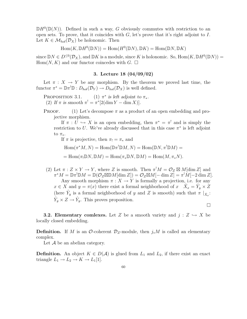$\mathbb{D}H^0(\mathbb{D}(N))$ . Defined in such a way, G obviously commutes with restriction to an open sets. To prove, that it coincides with  $G$ , let's prove that it's right adjoint to  $I$ . Let  $K \in \mathcal{M}_{hol}(\mathcal{D}_X)$  be holonomic. Then

$$
\operatorname{Hom}(K, \mathbb{D}H^0(\mathbb{D}N)) = \operatorname{Hom}(H^0(\mathbb{D}N), \mathbb{D}K) = \operatorname{Hom}(\mathbb{D}N, \mathbb{D}K)
$$

since  $\mathbb{D}N \in D^{\leq 0}(\mathcal{D}_X)$ , and  $\mathbb{D}K$  is a module, since K is holonomic. So,  $\text{Hom}(K, \mathbb{D}H^0(\mathbb{D}N))$  = Hom $(N, K)$  and our functor coincedes with G.  $\Box$ 

# 3. Lecture 18 (04/09/02)

Let  $\pi : X \to Y$  be any morphism. By the theorem we proved last time, the functor  $\pi^* = \mathbb{D}\pi^!\mathbb{D} : D_{hol}(\mathcal{D}_Y) \to D_{hol}(\mathcal{D}_X)$  is well defined.

PROPOSITION 3.1. (1)  $\pi^*$  is left adjoint to  $\pi_*$ . (2) If  $\pi$  is smooth  $\pi' = \pi^*[2(\dim Y - \dim X)]$ .

**PROOF.** (1) Let's decompose  $\pi$  as a product of an open embedding and projective morphism.

If  $\pi : U \hookrightarrow X$  is an open embedding, then  $\pi^* = \pi^!$  and is simply the restriction to U. We've already discussed that in this case  $\pi^*$  is left adjoint to  $\pi_*$ .

If  $\pi$  is projective, then  $\pi_! = \pi_*$  and

$$
\operatorname{Hom}(\pi^*M, N) = \operatorname{Hom}(\mathbb{D}\pi^!\mathbb{D} M, N) = \operatorname{Hom}(\mathbb{D} N, \pi^!\mathbb{D} M) =
$$

 $= \text{Hom}(\pi_! \mathbb{D}N, \mathbb{D}M) = \text{Hom}(\pi_* \mathbb{D}N, \mathbb{D}M) = \text{Hom}(M, \pi_* N).$ 

(2) Let  $\pi: Z \times Y \to Y$ , where Z is smooth. Then  $\pi^! M = \mathcal{O}_Z \boxtimes M[\dim Z]$  and  $\pi^* M = \mathbb{D} \pi^! \mathbb{D}M = \mathbb{D}(\mathcal{O}_Z \boxtimes \mathbb{D}M[\dim Z]) = \mathcal{O}_Z \boxtimes M[-\dim Z] = \pi^! M[-2\dim Z].$ Any smooth morphism  $\pi : X \to Y$  is formally a projection, i.e. for any  $x \in X$  and  $y = \pi(x)$  there exist a formal neighborhood of  $x \quad \hat{X}_x = \hat{Y}_y \times \hat{Z}$ (here  $\hat{Y}_y$  is a formal neighborhood of y and Z is smooth) such that  $\pi |_{\hat{X}_x}$ :  $\hat{Y}_y \times Z \to \hat{Y}_y$ . This proves proposition.

 $\Box$ 

**3.2. Elementary comlexes.** Let Z be a smooth variety and  $j: Z \hookrightarrow X$  be locally closed embedding.

**Definition.** If M is an  $\mathcal{O}$ -coherent  $\mathcal{D}_z$ -module, then  $j_*M$  is called an elementary complex.

Let  $A$  be an abelian category.

**Definition.** An object  $K \in D(\mathcal{A})$  is glued from  $L_1$  and  $L_2$ , if there exist an exact triangle  $L_1 \rightarrow L_2 \rightarrow K \rightarrow L_1[1]$ .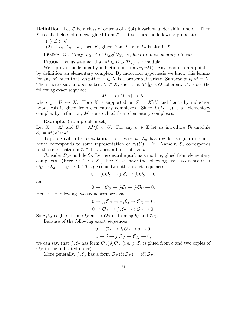**Definition.** Let  $\mathcal{L}$  be a class of objects of  $D(\mathcal{A})$  invariant under shift functor. Then  $\mathcal K$  is called class of objects glued from  $\mathcal L$ , if it satisfies the following properties

- (1)  $\mathcal{L} \subset \mathcal{K}$
- (2) If  $L_1, L_2 \in \mathcal{K}$ , then K, glued from  $L_1$  and  $L_2$  is also in K.

LEMMA 3.3. Every object of  $D_{hol}(\mathcal{D}_X)$  is glued from elementary objects.

PROOF. Let us assume, that  $M \in D_{hol}(\mathcal{D}_X)$  is a module.

We'll prove this lemma by induction on  $\dim(suppM)$ . Any module on a point is by definition an elementary complex. By induction hypothesis we know this lemma for any M, such that  $suppM = Z \subset X$  is a proper subvariety. Suppose  $suppM = X$ . Then there exist an open subset  $U \subset X$ , such that M |U is O-coherent. Consider the following exact sequence

$$
M \to j_*(M|_U) \to K,
$$

where  $j: U \hookrightarrow X$ . Here K is supported on  $Z = X\setminus U$  and hence by induction hypothesis is glued from elementary complexes. Since  $j_*(M \mid_U)$  is an elementary complex by definition. M is also glued from elementary complexes. complex by definition, M is also glued from elementary complexes.

Example. (from problem set)

Let  $X = \mathbb{A}^1$  and  $U = \mathbb{A}^1 \setminus 0 \subset U$ . For any  $n \in \mathbb{Z}$  let us introduce  $\mathcal{D}_U$ -module  $\mathcal{E}_n = M(x^{\lambda})/\lambda^n$ .

**Topological interpretation.** For every  $n \in \mathcal{E}_n$  has regular singularities and hence corresponds to some representation of  $\pi_1(U) = \mathbb{Z}$ . Namely,  $\mathcal{E}_n$  corresponds to the representation  $\mathbb{Z} \ni 1 \mapsto \text{Jordan block of size } n$ .

Consider  $\mathcal{D}_U$ -module  $\mathcal{E}_2$ . Let us describe  $j_{!*}\mathcal{E}_2$  as a module, glued from elementary complexes. (Here  $j: U \hookrightarrow X$ .) For  $\mathcal{E}_2$  we have the following exact sequence  $0 \to$  $\mathcal{O}_U \rightarrow \mathcal{E}_2 \rightarrow \mathcal{O}_U \rightarrow 0$ . This gives us two other exact sequences

$$
0 \to j_* \mathcal{O}_U \to j_* \mathcal{E}_2 \to j_* \mathcal{O}_U \to 0
$$

and

$$
0 \to j_! \mathcal{O}_U \to j_! \mathcal{E}_2 \to j_! \mathcal{O}_U \to 0.
$$

Hence the following two sequences are exact

$$
0 \to j_*\mathcal{O}_U \to j_{!*}\mathcal{E}_2 \to \mathcal{O}_X \to 0;
$$
  

$$
0 \to \mathcal{O}_X \to j_{!*}\mathcal{E}_2 \to j_! \mathcal{O}_U \to 0.
$$

So  $j_{!*}\mathcal{E}_2$  is glued from  $\mathcal{O}_X$  and  $j_{*}\mathcal{O}_U$  or from  $j_!\mathcal{O}_U$  and  $\mathcal{O}_X$ .

Because of the following exact sequences

$$
0 \to \mathcal{O}_X \to j_*\mathcal{O}_U \to \delta \to 0,
$$
  

$$
0 \to \delta \to j_!\mathcal{O}_U \to \mathcal{O}_X \to 0,
$$

we can say, that  $j_{!*}\mathcal{E}_2$  has form  $\mathcal{O}_X$  $\delta$  $\mathcal{O}_X$  (i.e.  $j_{!*}\mathcal{E}_2$  is glued from  $\delta$  and two copies of  $\mathcal{O}_X$  in the indicated order).

More generally,  $j_{!*} \mathcal{E}_n$  has a form  $\mathcal{O}_X$  $\delta \mathcal{O}_X$ ... $\delta \mathcal{O}_X$ .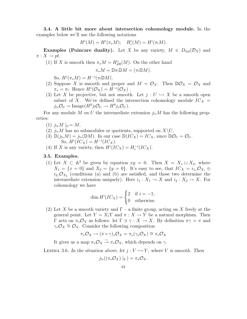3.4. A little bit more about intersection cohomology module. In the examples below we'll use the following notations

$$
H^{i}(M) = H^{i}(\pi_{*}M); \quad H^{i}_{c}(M) = H^{i}(\pi_{!}M).
$$

**Examples (Poincare duality).** Let X be any variety,  $M \in D_{hol}(\mathcal{D}_X)$  and  $\pi: X \to pt$ .

(1) If X is smooth then  $\pi_* M = H_{dR}^*(M)$ . On the other hand

$$
\pi_* M = \mathbb{D}\pi_! \mathbb{D}M = (\pi_! \mathbb{D}M).
$$

So,  $H^i(\pi_*M) = H^{-i}(\pi_! \mathbb{D}M)$ .

- (2) Suppose X is smooth and proper and  $M = \mathcal{O}_X$ . Then  $\mathbb{D}\mathcal{O}_X = \mathcal{O}_X$  and  $\pi_* = \pi_!$ . Hence  $H^i(\mathcal{O}_X) = H^{-i}(\mathcal{O}_X)$ .
- (3) Let X be projective, but not smooth. Let  $j: U \hookrightarrow X$  be a smooth open subset of X. We've defined the intersection cohomology module  $IC_X =$  $j_{!*}\mathcal{O}_U = \text{Image}(H^0 j_! \mathcal{O}_U \to H^0 j_* \mathcal{O}_U).$

For any module M on U the intermediate extension  $j_{!*}M$  has the following properties:

- (1)  $j_{!*}M|_U=M,$
- (2)  $j_{!*}M$  has no submodules or quotients, supported on  $X\setminus U$ ,
- (3)  $\mathbb{D}(j_{!*}M) = j_{!*}(\mathbb{D}M)$ . In our case  $\mathbb{D}(IC_X) = IC_X$ , since  $\mathbb{D}O_U = O_U$ . So,  $H^{i}(IC_X) = H^{-i}(IC_X)$ .
- (4) If X is any variety, then  $H^i({IC}_X) = H_c^{-i}(IC_X)$ .

#### 3.5. Examples.

(1) Let  $X \text{ }\subset \mathbb{A}^2$  be given by equation  $xy = 0$ . Then  $X = X_1 \sqcup X_2$ , where  $X_1 = \{x = 0\}$  and  $X_2 = \{y = 0\}$ . It's easy to see, that  $IC_X = i_{1*}\mathcal{O}_{X_1} \oplus$  $i_{2*}\mathcal{O}_{X_2}$  (conditions (a) and (b) are satisfied, and those two determine the intermediate extension uniquely). Here  $i_1 : X_1 \to X$  and  $i_2 : X_2 \to X$ . For cohomology we have

$$
\dim H^i(IC_X) = \begin{cases} 2 & \text{if } i = -1; \\ 0 & \text{otherwise.} \end{cases}
$$

(2) Let X be a smooth variety and  $\Gamma$  – a finite group, acting on X freely at the general point. Let  $Y = X/\Gamma$  and  $\pi : X \to Y$  be a natural morphism. Then Γ acts on  $\pi_* \mathcal{O}_X$  as follows: let Γ ∋  $\gamma : X \to X$ . By definition  $\pi \gamma = \pi$  and  $\gamma_* \mathcal{O}_X \cong \mathcal{O}_X$ . Consider the following composition

$$
\pi_* \mathcal{O}_X \to (\pi \circ \gamma)_* \mathcal{O}_X = \pi_* (\gamma_* \mathcal{O}_X) \cong \pi_* \mathcal{O}_X
$$

It gives us a map  $\pi_* \mathcal{O}_X \overset{\sim}{\rightarrow} \pi_* \mathcal{O}_X$ , which depends on  $\gamma$ .

LEMMA 3.6. In the situation above, let  $j : V \hookrightarrow Y$ , where V is smooth. Then

$$
j_{!*}((\pi_*\mathcal{O}_X)\mid_V)=\pi_*\mathcal{O}_X.
$$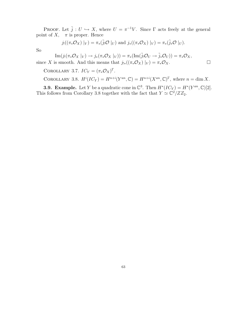PROOF. Let  $\tilde{j}: U \hookrightarrow X$ , where  $U = \pi^{-1}V$ . Since  $\Gamma$  acts freely at the general point of X,  $\pi$  is proper. Hence

$$
j_!((\pi_*\mathcal{O}_X)\mid_V)=\pi_*({\tilde{j}_!}\mathcal{O}\mid_U) \text{ and } j_*((\pi_*\mathcal{O}_X)\mid_V)=\pi_*({\tilde{j}_*}\mathcal{O}\mid_U).
$$

So

 $\text{Im}(j_!(\pi_*\mathcal{O}_X|_V) \to j_*(\pi_*\mathcal{O}_X|_V)) = \pi_*(\text{Im}(\tilde{j}_!\mathcal{O}_U \to \tilde{j}_*\mathcal{O}_U)) = \pi_*\mathcal{O}_X,$ since X is smooth. And this means that  $j_{!*}((\pi_*\mathcal{O}_X)|_V) = \pi_*\mathcal{O}_X$ .

COROLLARY 3.7.  $IC_Y = (\pi_* \mathcal{O}_X)^{\Gamma}$ .

COROLLARY 3.8.  $H^i({IC}_Y) = H^{n+i}(Y^{an}, \mathbb{C}) = H^{n+i}(X^{an}, \mathbb{C})^{\Gamma}$ , where  $n = \dim X$ .

**3.9. Example.** Let Y be a quadratic cone in  $\mathbb{C}^3$ . Then  $H^*(IC_Y) = H^*(Y^{an}, \mathbb{C})[2]$ . This follows from Corollary 3.8 together with the fact that  $Y \simeq \mathbb{C}^2 / Z Z_2$ .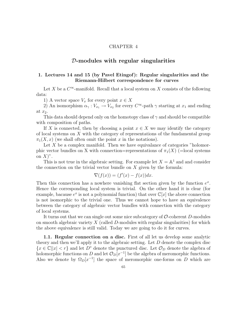## CHAPTER 4

# $D$ -modules with regular singularities

# 1. Lectures 14 and 15 (by Pavel Etingof): Regular singularities and the Riemann-Hilbert correspondence for curves

Let X be a  $C^{\infty}$ -manifold. Recall that a local system on X consists of the following data:

1) A vector space  $V_x$  for every point  $x \in X$ 

2) An isomorphism  $\alpha_{\gamma}: V_{x_1} \to V_{x_2}$  for every  $C^{\infty}$ -path  $\gamma$  starting at  $x_1$  and ending at  $x_2$ .

This data should depend only on the homotopy class of  $\gamma$  and should be compatible with composition of paths.

If X is connected, then by choosing a point  $x \in X$  we may identify the category of local systems on X with the category of representations of the fundamental group  $\pi_1(X, x)$  (we shall often omit the point x in the notations).

Let  $X$  be a complex manifold. Then we have equivalance of categories "holomorphic vector bundles on X with connection=representations of  $\pi_1(X)$  (=local systems on  $X$ <sup>"</sup>.

This is not true in the algebraic setting. For example let  $X = \mathbb{A}^1$  and and consider the connection on the trivial vector bundle on  $X$  given by the formula:

$$
\nabla(f(x)) = (f'(x) - f(x))dx.
$$

Then this connection has a nowhere vanishing flat section given by the function  $e^x$ . Hence the corresponding local system is trivial. On the other hand it is clear (for example, bacause  $e^x$  is not a polynomial function) that over  $\mathbb{C}[x]$  the above connection is not isomorphic to the trivial one. Thus we cannot hope to have an equivalence between the category of algebraic vector bundles with connection with the category of local systems.

It turns out that we can single out some nice subcategory of  $\mathcal{O}\text{-coherent }D\text{-modules}$ on smooth algebraic variety  $X$  (called  $D$ -modules with regular singularities) for which the above equivalence is still valid. Today we are going to do it for curves.

1.1. Regular connection on a disc. First of all let us develop some analytic theory and then we'll apply it to the algebraic setting. Let D denote the complex disc  ${x \in \mathbb{C} | |x| < r}$  and let D<sup>\*</sup> denote the punctured disc. Let  $\mathcal{O}_D$  denote the algebra of holomorphic functions on D and let  $\mathcal{O}_D[x^{-1}]$  be the algebra of meromorphic functions. Also we denote by  $\Omega_D[x^{-1}]$  the space of meromorphic one-forms on D which are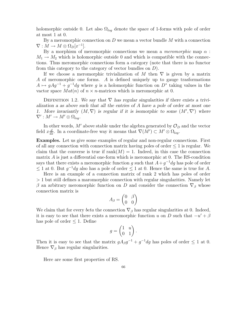holomorphic outside 0. Let also  $\Omega_{log}$  denote the space of 1-forms with pole of order at most 1 at 0.

By a meromorphic connection on  $D$  we mean a vector bundle  $M$  with a connection  $\nabla: M \to M \otimes \Omega_D[x^{-1}].$ 

By a morphism of meromorphic connections we mean a *meromorphic* map  $\alpha$ :  $M_1 \rightarrow M_2$  which is holomorphic outside 0 and which is compatible with the connections. Thus meromorphic connections form a category (note that there is no functor from this category to the category of vector bundles on D).

If we choose a meromorphic trivialization of M then  $\nabla$  is given by a matrix A of meromorphic one forms. A is defined uniquely up to gauge trasformations  $A \mapsto gAg^{-1} + g^{-1}dg$  where g is a holomorphic function on  $D^*$  taking values in the vactor space  $Mat(n)$  of  $n \times n$ -matrices which is meromorphic at 0.

DEFINITION 1.2. We say that  $\nabla$  has regular singularities if there exists a trivialization a as above such that all the entries of A have a pole of order at most one 1. More invariantly  $(M, \nabla)$  is regular if it is isomorphic to some  $(M', \nabla')$  where  $\nabla' : M' \to M' \otimes \Omega_{log}.$ 

In other words,  $M'$  above stable under the algebra generated by  $\mathcal{O}_D$  and the vector field  $x \frac{d}{dx}$ . In a coordinate-free way it means that  $\nabla(M') \subset M' \otimes \Omega_{log}$ .

Examples. Let us give some examples of regular and non-regular connections. First of all any connection with connection matrix having poles of order  $\leq 1$  is regular. We claim that the converse is true if  $rank(M) = 1$ . Indeed, in this case the connection matrix A is just a differential one-form which is meromorphic at 0. The RS-condition says that there exists a meromorphic function g such that  $A+g^{-1}dg$  has pole of order  $\leq 1$  at 0. But  $g^{-1}dg$  also has a pole of order  $\leq 1$  at 0. Hence the same is true for A.

Here is an example of a connection matrix of rank 2 which has poles of order > 1 but still defines a maromorphic connection with regular singularities. Namely let β an arbitrary meromorphic function on D and consider the connection  $\nabla$ <sub>β</sub> whose connection matrix is  $\overline{ }$ 

$$
A_{\beta} = \begin{pmatrix} 0 & \beta \\ 0 & 0 \end{pmatrix}
$$

We claim that for every *beta* the connection  $\nabla_{\beta}$  has regular singularities at 0. Indeed, it is easy to see that there exists a meromorphic function u on D such that  $-u' + \beta$ has pole of order  $\leq 1$ . Define

$$
g = \begin{pmatrix} 1 & u \\ 0 & 1 \end{pmatrix}.
$$

Then it is easy to see that the matrix  $g A_{\beta} g^{-1} + g^{-1} dg$  has poles of order  $\leq 1$  at 0. Hence  $\nabla_{\beta}$  has regular singularities.

Here are some first properties of RS.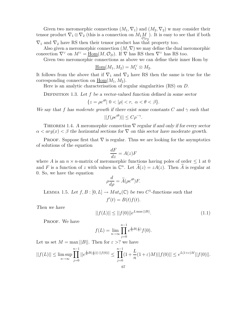Given two meromorphic connections  $(M_1, \nabla_1)$  and  $(M_2, \nabla_2)$  w may consider their tensor product  $\nabla_1 \otimes \nabla_2$  (this is a connection on  $M_1 M$ <br>  $\downarrow \qquad \qquad \circ_{D_2}$ ). It is easy to see that if both

 $\nabla_1$  and  $\nabla_2$  have RS then their tensor product has that property too.

Also given a meromorphic connection  $(M, \nabla)$  we may define the dual meromorphic coneection  $\nabla^{\vee}$  on  $M^{\vee} = \underline{\text{Hom}}(M, \mathcal{O}_D)$ . If  $\nabla$  has RS then  $\nabla^{\vee}$  has RS too.

Given two meromorphic connections as above we can define their inner Hom by

$$
\underline{\mathrm{Hom}}(M_1, M_2) = M_1^{\vee} \otimes M_2.
$$

It follows from the above that if  $\nabla_1$  and  $\nabla_2$  have RS then the same is true for the corresponding connection on  $\text{Hom}(M_1, M_2)$ .

Here is an analytic characterisation of regular singularities (RS) on D.

DEFINITION 1.3. Let f be a vector-valued function defined in some sector

$$
\{z = \rho e^{i\theta} \mid 0 < |\rho| < r, \ \alpha < \theta < \beta\}.
$$

We say that f has moderate growth if there exist some constants C and  $\gamma$  such that

$$
||f(\rho e^{i\theta})|| \le C\rho^{-\gamma}.
$$

THEOREM 1.4. A meromorphic connection  $\nabla$  regular if and only if for every sector  $\alpha < arg(x) < \beta$  the horizontal sections for  $\nabla$  on this sector have moderate growth.

**PROOF.** Suppose first that  $\nabla$  is regular. Thus we are looking for the asymptotics of solutions of the equation

$$
\frac{dF}{dz} = A(z)F
$$

where A is an  $n \times n$ -matrix of meromorphic functions having poles of order  $\leq 1$  at 0 and F is a function of z with values in  $\mathbb{C}^n$ . Let  $\widetilde{A}(z) = zA(z)$ . Then  $\widetilde{A}$  is regular at 0. So, we have the equation

$$
\rho \frac{d}{d\rho} = \widetilde{A}(\rho e^{i\theta}) F.
$$

LEMMA 1.5. Let  $f, B : [0, L] \to Mat_n(\mathbb{C})$  be two  $C^1$ -functions such that  $f'(t) = B(t)f(t).$ 

Then we have

$$
||f(L)|| \le ||f(0)||e^{L \max ||B||}.
$$
\n(1.1)

PROOF. We have

$$
f(L) = \lim_{n \to \infty} \prod_{j=0}^{n-1} e^{\frac{L}{n}B(\frac{j}{n})} f(0).
$$

Let us set  $M = \max ||B||$ . Then for  $\varepsilon > ?$  we have

$$
||f(L)|| \le \limsup_{n \to \infty} \prod_{j=0}^{n-1} ||e^{\frac{L}{n}B(\frac{j}{n})||\cdot||f(0)||} \le \prod_{j=0}^{n-1} (1+\frac{L}{n}(1+\varepsilon)M)||f(0)|| \le e^{L(1+\varepsilon)M}||f(0)||.
$$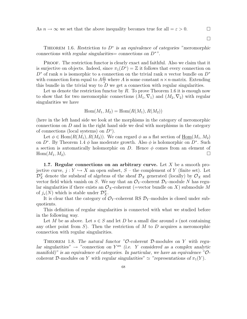As  $n \to \infty$  we set that the above inequality becomes true for all  $=\varepsilon > 0$ .

 $\Box$ 

THEOREM 1.6. Restriction to  $D^*$  is an equivalence of categories "meromorphic connections with regular singularities= connections on  $D^*$ ".

PROOF. The restriction functor is clearly exact and faithful. Also we claim that it is surjective on objects. Indeed, since  $\pi_1(D^*) = \mathbb{Z}$  it follows that every connection on  $D^*$  of rank n is isomorphic to a connection on the trivial rank n vector bundle on  $D^*$ with connection form equal to  $A\frac{dz}{z}$  $\frac{dz}{z_{\perp}}$  where A is some constant  $n \times n$ -matrix. Extending this bundle in the trivial way to  $D$  we get a connection with regular singularities.

Let us denote the restriction functor by  $R$ . To prove Theorem 1.6 it is enough now to show that for two meromorphic connections  $(M_1, \nabla_1)$  and  $(M_2, \nabla_2)$  with regular singularities we have

$$
\operatorname{Hom}(M_1, M_2) = \operatorname{Hom}(R(M_1), R(M_2))
$$

(here in the left hand side we look at the morphisms in the category of meromorphic connections on  $D$  and in the right hand side we deal with morphisms in the category of connections (local systems) on  $D^*$ ).

Let  $\phi \in \text{Hom}(R(M_1), R(M_2))$ . We can regard  $\phi$  as a flat section of  $\underline{\text{Hom}}(M_1, M_2)$ on  $D^*$ . By Theorem 1.4  $\phi$  has moderate growth. Also  $\phi$  is holomorphic on  $D^*$ . Such a section is automatically holomorphic on D. Hence  $\phi$  comes from an element of  $\text{Hom}(M_1, M_2).$ 

1.7. Regular connections on an arbitrary curve. Let X be a smooth projective curve,  $j: Y \hookrightarrow X$  an open subset,  $S$  – the complement of Y (finite set). Let  $\mathcal{D}_X^S$  denote the subsheaf of algebras of the sheaf  $\mathcal{D}_X$  generated (locally) by  $\mathcal{O}_X$  and vector field which vanish on S. We say that an  $\mathcal{O}_Y$ -coherent  $\mathcal{D}_Y$ -module N has regular singularities if there exists an  $\mathcal{O}_X$ -coherent (=vector bundle on X) submodule M of  $j_*(N)$  which is stable under  $\mathcal{D}_X^S$ .

It is clear that the category of  $\mathcal{O}_Y$ -coherent RS  $\mathcal{D}_Y$ -modules is closed under subquotients.

This definition of regular singularities is connected with what we studied before in the following way.

Let M be as above. Let  $s \in S$  and let D be a small disc around s (not containing any other point from  $S$ ). Then the restriction of  $M$  to  $D$  acquires a meromorphic connection with regular singularities.

THEOREM 1.8. The natural functor "O-coherent D-modules on Y with regular singularities"  $\rightarrow$  "connection on  $Y^{an}$  (i.e. Y considered as a complex analytic manifold)" is an equivalence of categories. In particular, we have an equivalence " $\mathcal{O}$ coherent D-modules on Y with regular singularities"  $\simeq$  "representations of  $\pi_1(Y)$ .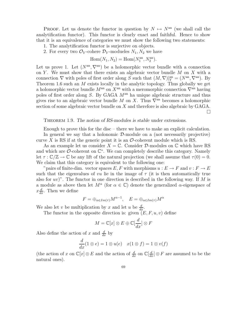PROOF. Let us denote the functor in question by  $N \mapsto N^{\text{an}}$  (we shall call the analytification functor). This functor is clearly exact and faithful. Hence to show that it is an equivalence of categories we must show the following two statements:

- 1. The analytification functor is surjective on objects.
- 2. For every two  $\mathcal{O}_Y$ -cohere  $\mathcal{D}_Y$ -modueles  $N_1, N_2$  we have

Hom
$$
(N_1, N_2)
$$
 = Hom $(N_1^{\text{an}}, N_2^{\text{an}})$ .

Let us prove 1. Let  $(N^{\text{an}}, \nabla^{\text{an}})$  be a holomorphic vector bundle with a connection on Y. We must show that there exists an algebraic vector bundle  $M$  on  $X$  with a connection  $\nabla$  with poles of first order along S such that  $(M, \nabla)|_Y^{\text{an}} = (N^{\text{an}}, \nabla^{\text{an}})$ . By Theorem 1.6 such an  $M$  exists locally in the analytic topology. Thus globally we get a holomorphic vector bundle  $M^{\text{an}}$  on  $X^{\text{an}}$  with a meromorphic connection  $\nabla^{\text{an}}$  having poles of first order along  $S$ . By GAGA  $M<sup>an</sup>$  ha unique algebraic structure and thus gives rise to an algebraic vector bundle M on X. Thus  $\nabla^{\text{an}}$  becomes a holomorphic section of some algebraic vector bundle on X and therefore is also algebraic by GAGA.  $\Box$ 

## THEOREM 1.9. The notion of RS-modules is stable under extensions.

Enough to prove this for the disc – there we have to make an explicit calculation. In general we say that a holonomic D-module on a (not necessarily projective) curve X is RS if at the generic point it is an  $\mathcal{O}\text{-coherent}$  module which is RS.

As an example let us consider  $X = \mathbb{C}$ . Consider  $\mathcal{D}$ -modules on  $\mathbb{C}$  which have RS and which are  $\mathcal{O}$ -coherent on  $\mathbb{C}^*$ . We can completely describe this category. Namely let  $\tau : \mathbb{C}/\mathbb{Z} \to \mathbb{C}$  be any lift of the natural projection (we shall assume that  $\tau(0) = 0$ . We claim that this category is equivalent to the following one:

"pairs of finite-dim. vector spaces E, F with morphisms  $u : E \to F$  and  $v : F \to E$ such that the eigenvalues of vu lie in the image of  $\tau$  (it is then automatically true also for  $uv$ ". The functor in one direction is described in the following way. If M is a module as above then let  $M^{\alpha}$  (for  $\alpha \in \mathbb{C}$ ) denote the generalized  $\alpha$ -eigenspace of  $x\frac{d}{dx}$ . Then we define

$$
F = \bigoplus_{\alpha \in Im(\tau)} M^{\alpha - 1}, \quad E = \bigoplus_{\alpha \in Im(\tau)} M^{\alpha}
$$

We also let v be multiplication by x and let u be  $\frac{d}{dx}$ .

The functor in the opposite direction is: given  $(E, F, u, v)$  define

$$
M=\mathbb{C}[x]\otimes E\oplus\mathbb{C}[\frac{d}{dx}]\otimes F
$$

Also define the action of x and  $\frac{d}{dx}$  by

$$
\frac{d}{dx}(1\otimes e) = 1\otimes u(e) \quad x(1\otimes f) = 1\otimes v(f)
$$

(the action of x on  $\mathbb{C}[x] \otimes E$  and the action of  $\frac{d}{dx}$  on  $\mathbb{C}[\frac{d}{dx}] \otimes F$  are assumed to be the natural ones).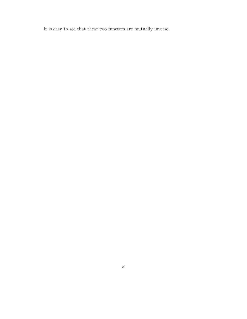It is easy to see that these two functors are mutually inverse.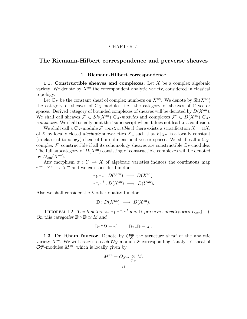### CHAPTER 5

# The Riemann-Hilbert correspondence and perverse sheaves

### 1. Riemann-Hilbert correspondence

1.1. Constructible sheaves and complexes. Let  $X$  be a complex algebraic variety. We denote by  $X^{an}$  the correspondent analytic variety, considered in classical topology.

Let  $\mathbb{C}_X$  be the constant sheaf of complex numbers on  $X^{an}$ . We denote by  $\text{Sh}(X^{an})$ the category of sheaves of  $\mathbb{C}_X$ -modules, i.e., the category of sheaves of  $\mathbb{C}$ -vector spaces. Derived category of bounded complexes of sheaves will be denoted by  $D(X^{an})$ . We shall call sheaves  $\mathcal{F} \in Sh(X^{an}) \mathbb{C}_X$ -modules and complexes  $\mathcal{F} \in D(X^{an}) \mathbb{C}_X$ complexes. We shall usually omit the 'superscript when it does not lead to a confusion.

We shall call a  $\mathbb{C}_X$ -module F constructible if there exists a stratification  $X = \cup X_i$ of X by locally closed *algebraic* subvarieties  $X_i$ , such that  $F|_{X_i^{\text{an}}}$  is a locally constant (in classical topology) sheaf of finite-dimensional vector spaces. We shall call a  $\mathbb{C}_X$ complex  $\mathcal F$  constructible if all its cohomology sheaves are constructible  $\mathbb C_X$ -modules. The full subcategory of  $D(X<sup>an</sup>)$  consisting of constructible complexes will be denoted by  $D_{\text{con}}(X^{\text{an}})$ .

Any morphism  $\pi : Y \to X$  of algebraic varieties induces the continuous map  $\pi^{\text{an}}: Y^{\text{an}} \to X^{\text{an}}$  and we can consider functors

$$
\pi_!, \pi_*: D(Y^{\mathrm{an}}) \longrightarrow D(X^{\mathrm{an}})
$$
  

$$
\pi^*, \pi^!: D(X^{\mathrm{an}}) \longrightarrow D(Y^{\mathrm{an}}).
$$

Also we shall consider the Verdier duality functor

$$
\mathbb{D}: D(X^{\mathrm{an}}) \longrightarrow D(X^{\mathrm{an}}).
$$

THEOREM 1.2. The functors  $\pi_*, \pi_!, \pi^*, \pi^!$  and  $\mathbb D$  preserve subcategories  $D_{con}(\ )$ . On this categories  $\mathbb{D} \circ \mathbb{D} \simeq \mathrm{Id}$  and

$$
\mathbb{D}\pi^*D=\pi^!,\qquad \mathbb{D}\pi_*\mathbb{D}=\pi_!.
$$

1.3. De Rham functor. Denote by  $\mathcal{O}_X^{\text{an}}$  the structure sheaf of the analytic variety  $X^{\text{an}}$ . We will assign to each  $\mathcal{O}_X$ -module  $\mathcal F$  corresponding "analytic" sheaf of  $\mathcal{O}_X^{an}$ -modules  $M^{an}$ , which is locally given by

$$
M^{an} = \mathcal{O}_{X^{an}} \underset{\mathcal{O}_X}{\otimes} M.
$$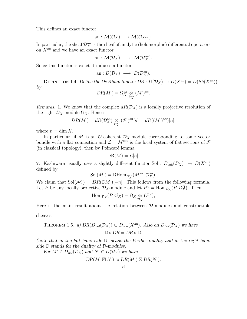This defines an exact functor

an : 
$$
\mathcal{M}(\mathcal{O}_X) \longrightarrow \mathcal{M}(\mathcal{O}_{X^{an}})
$$
.

In particular, the sheaf  $\mathcal{D}_X^{an}$  is the sheaf of analytic (holomorphic) differential operators on  $X^{an}$  and we have an exact functor

an :  $\mathcal{M}(\mathcal{D}_X) \longrightarrow \mathcal{M}(\mathcal{D}_X^{\text{an}})$ .

Since this functor is exact it induces a functor

an : 
$$
D(\mathcal{D}_X) \longrightarrow D(\mathcal{D}_X^{\text{an}})
$$
.

DEFINITION 1.4. Define the De Rham functor  $DR : D(\mathcal{D}_X) \to D(X^{an}) = D(Sh(X^{an}))$ by

$$
DR(M^{\cdot}) = \Omega_X^{\rm an} \underset{\mathcal{D}_X^{\rm an}}{\otimes} (M^{\cdot})^{\rm an}.
$$

Remarks. 1. We know that the complex  $dR(\mathcal{D}_X)$  is a locally projective resolution of the right  $\mathcal{D}_X$ -module  $\Omega_X$ . Hence

$$
DR(M^{\cdot}) = dR(\mathcal{D}_X^{\mathrm{an}}) \underset{\mathcal{D}_X^{\mathrm{an}}} {\otimes} (\mathcal{F}^{\cdot})^{\mathrm{an}}[n] = dR((M^{\cdot})^{an})[n],
$$

where  $n = \dim X$ .

In particular, if M is an  $\mathcal{O}\text{-coherent }\mathcal{D}_X\text{-module corresponding to some vector}$ bundle with a flat connection and  $\mathcal{L} = M^{\text{flat}}$  is the local system of flat sections of  $\mathcal F$  $(in$  classical topology), then by Poincaré lemma

$$
DR(M) = \mathcal{L}[n].
$$

2. Kashiwara usually uses a slightly different functor Sol :  $D_{\text{coh}}(\mathcal{D}_X)^o \to D(X^{\text{an}})$ defined by

$$
\mathrm{Sol}(M^\cdot) = \underline{\mathrm{RHom}}_{D^{\mathrm{an}}_X}(M^{\mathrm{an}}, \mathcal{O}_X^{\mathrm{an}}).
$$

We claim that  $Sol(\mathcal{M}) = DR(\mathbb{D}M)[-n]$ . This follows from the following formula. Let P be any locally projective  $\mathcal{D}_X$ -module and let  $P^{\vee} = \text{Hom}_{\mathcal{D}_X}(P, \mathcal{D}_X^{\Omega})$ . Then

$$
\operatorname{Hom}_{\mathcal{D}_X}(P,\mathcal{O}_X)=\Omega_X\underset{\mathcal{D}_X}{\otimes}(P^{\vee}),
$$

Here is the main result about the relation between  $D$ -modules and constructible sheaves.

THEOREM 1.5. a) 
$$
DR(D_{hol}(\mathcal{D}_X)) \subset D_{con}(X^{an})
$$
. Also on  $D_{hol}(\mathcal{D}_X)$  we have  
\n $\mathbb{D} \circ DR = DR \circ \mathbb{D}$ .

(note that in the laft hand side  $D$  means the Verdier duality and in the right hand side  $\mathbb D$  stands for the duality of  $\mathcal D$ -modules).

For 
$$
M \in D_{hol}(\mathcal{D}_X)
$$
 and  $N \in D(\mathcal{D}_Y)$  we have  
\n $DR(M \otimes N') \approx DR(M') \otimes DR(N').$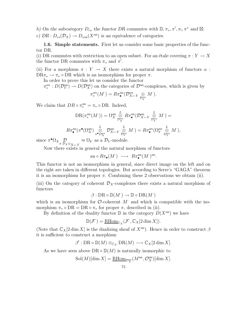b) On the subcategory  $D_{rs}$  the functor DR commutes with  $\mathbb{D}, \pi_*, \pi^!, \pi^*, \pi^*$  and  $\mathbb{Z}$ . c)  $DR : D_{rs}(\mathcal{D}_X) \to D_{con}(X^{an})$  is an equivalence of categories.

1.6. Simple statements. First let us consider some basic properties of the functor DR.

(i) DR commutes with restriction to an open subset. For an étale covering  $\pi : Y \to X$ the functor DR commutes with  $\pi_*$  and  $\pi^!$ .

(ii) For a morphism  $\pi : Y \to X$  there exists a natural morphism of functors  $\alpha$ :  $DR\pi_* \to \pi_* \circ DR$  which is an isomorphism for proper  $\pi$ .

In order to prove this let us consider the functor

 $\pi_*^{an}: D(\mathcal{D}_Y^{\text{an}}) \to D(\mathcal{D}_X^{\text{an}})$  on the categories of  $\mathcal{D}^{\text{an}}$ -complexes, which is given by

$$
\pi_*^{an}(M^{\cdot}) = R\pi_{\bullet}^{\text{an}}(\mathcal{D}_{X \leftarrow Y}^{an} \underset{\mathcal{D}_Y^{an}}{\otimes} M^{\cdot}).
$$

We claim that  $DR \circ \pi_*^{\text{an}} = \pi_* \circ DR$ . Indeed,

$$
DR(\pi_*^{\text{an}}(M')) = \Omega_X^{\text{an}} \underset{\mathcal{D}_X^{\text{an}}}{\otimes} R\pi_{\bullet}^{\text{an}}(\mathcal{D}_{X \leftarrow Y}^{\text{an}} \underset{\mathcal{D}_Y^{\text{an}}}{\otimes} M') =
$$
  

$$
R\pi_{\bullet}^{\text{an}}(\pi^{\bullet}(\Omega_X^{\text{an}}) \underset{\pi^{\bullet}D_X^{\text{an}}}{\otimes} \mathcal{D}_{X \leftarrow Y}^{\text{an}} \underset{\mathcal{D}_Y^{\text{an}}}{\otimes} M') = R\pi_{\bullet}^{\text{an}}(\Omega_Y^{\text{an}} \underset{\mathcal{D}_Y^{\text{an}}}{\otimes} M'),
$$

since  $\pi^{\bullet} \Omega_X \mathcal{D}_{X \otimes_{X \leftarrow Y}} \approx \Omega_Y$  as a  $\mathcal{D}_Y$ -module.

Now there exists in general the natural morphism of functors

$$
\text{an} \circ R\pi_{\bullet}(M^{\cdot}) \longrightarrow R\pi_{\bullet}^{\text{an}}(M^{\cdot})^{\text{an}}.
$$

This functor is not an isomorphism in general, since direct image on the left and on the right are taken in different topologies. But according to Serre's "GAGA" theorem it is an isomorphism for proper  $\pi$ . Combining these 2 observations we obtain (ii).

(iii) On the category of coherent  $\mathcal{D}_X$ -complexes there exists a natural morphism of functors

$$
\beta: \mathrm{DR} \circ \mathbb{D}(M^{\cdot}) \to \mathbb{D} \circ \mathrm{DR}(M^{\cdot})
$$

which is an isomorphism for  $\mathcal{O}\text{-coherent }M$  and which is compatible with the isomorphism  $\pi_* \circ \text{DR} = \text{DR} \circ \pi_*$  for proper  $\pi$ , described in (ii).

By definition of the duality functor  $\mathbb D$  in the category  $D(X^{\text{an}})$  we have

$$
\mathbb{D}(\mathcal{F}) = \underline{\mathrm{RHom}}_{\mathbb{C}_X}(\mathcal{F}, \mathbb{C}_X[2 \dim X]).
$$

(Note that  $\mathbb{C}_X[2 \dim X]$  is the dualizing sheaf of  $X^{\text{an}}$ ). Hence in order to construct  $\beta$ it is sufficient to construct a morphism

$$
\beta':\mathrm{DR}\circ\mathbb{D}(M)\otimes_{\mathbb{C}_X}\mathrm{DR}(M)\longrightarrow \mathbb{C}_X[2\dim X].
$$

As we have seen above DR  $\circ \mathbb{D}(M)$  is naturally isomorphic to

$$
Sol(M)[\dim X] = \underline{\mathrm{RHom}}_{\mathcal{D}_X^{\mathrm{an}}}(M^{\mathrm{an}}, \mathcal{O}_X^{\mathrm{an}})[\dim X].
$$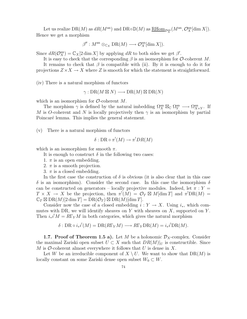Let us realize  $DR(M)$  as  $dR(M^{an})$  and  $DR \circ \mathbb{D}(M)$  as  $\underline{RHom}_{\mathcal{D}_X^{\rm an}}(M^{an}, \mathcal{O}_X^{\rm an}[\dim X]).$ Hence we get a morphism

$$
\beta'': M^{\text{an}} \otimes_{\mathbb{C}_X} \text{DR}(M) \longrightarrow \mathcal{O}_X^{\text{an}}[\dim X]).
$$

Since  $dR(\mathcal{O}_X^{\text{an}}) = \mathbb{C}_X[2 \dim X]$  by applying  $dR$  to both sides we get  $\beta'$ .

It is easy to check that the corresponding  $\beta$  is an isomorphism for  $\mathcal{O}\text{-coherent }M$ . It remains to check that  $\beta$  is compatible with (ii). By it is enough to do it for projections  $Z \times X \to X$  where Z is smooth for which the statement is straightforward.

(iv) There is a natural morphism of functors

 $\gamma: \mathrm{DR}(M \boxtimes N) \longrightarrow \mathrm{DR}(M) \boxtimes \mathrm{DR}(N)$ 

which is an isomorphism for  $\mathcal{O}\text{-coherent }M$ .

The morphism  $\gamma$  is defined by the natural imbedding  $\Omega_X^{\text{an}} \boxtimes_{\mathbb{C}} \Omega_Y^{\text{an}} \longrightarrow \Omega_{X \times Y}^{\text{an}}$ . If M is O-coherent and N is locally projectively then  $\gamma$  is an isomorphism by partial Poincaré lemma. This implies the general statement.

(v) There is a natural morphism of functors

$$
\delta: \mathrm{DR} \circ \pi^! (M) \to \pi^! DR(M)
$$

which is an isomorphism for smooth  $\pi$ .

It is enough to construct  $\delta$  in the following two cases:

- 1.  $\pi$  is an open embedding.
- 2.  $\pi$  is a smooth projection.
- 3.  $\pi$  is a closed embedding.

In the first case the construction of  $\delta$  is obvious (it is also clear that in this case  $\delta$  is an isomorphism). Consider the second case. In this case the isomorphism  $\delta$ can be constructed on generators – locally projective modules. Indeed, let  $\pi: Y =$  $T \times X \to X$  be the projection, then  $\pi^!(M) = \mathcal{O}_T \boxtimes M[\dim T]$  and  $\pi^! \text{DR}(M) =$  $\mathbb{C}_T \boxtimes \mathrm{DR}(M)[2 \dim T] = \mathrm{DR}(\mathcal{O}_T) \boxtimes \mathrm{DR}(M)[\dim T].$ 

Consider now the case of a closed embedding  $i: Y \to X$ . Using  $i_*$ , which commutes with DR, we will identify sheaves on Y with sheaves on X, supported on Y. Then  $i_*i^!M = R\Gamma_Y M$  in both categories, which gives the natural morphism

$$
\delta: \mathrm{DR} \circ i_*i^!(M) = \mathrm{DR}(R\Gamma_Y M) \longrightarrow R\Gamma_Y \mathrm{DR}(M) = i_*i^! \mathrm{DR}(M).
$$

**1.7. Proof of Theorem 1.5 a).** Let M be a holonomic  $\mathcal{D}_X$ -complex. Consider the maximal Zariski open subset  $U \subset X$  such that  $DR(M)|_U$  is constructible. Since M is O-coherent almost everywhere it follows that U is dense in X.

Let W be an irreducible component of  $X \setminus U$ . We want to show that  $DR(M)$  is locally constant on some Zariski dense open subset  $W_0 \subset W$ .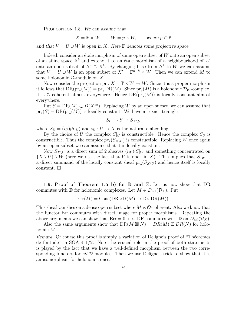PROPOSITION 1.8. We can assume that

 $X = \mathbb{P} \times W$ ,  $W = p \times W$ , where  $p \in \mathbb{P}$ 

and that  $V = U \cup W$  is open in X. Here  $\mathbb P$  denotes some projective space.

Indeed, consider an étale morphism of some open subset of  $W$  onto an open subset of an affine space  $\mathbb{A}^k$  and extend it to an étale morphism of a neighbourhood of W onto an open subset of  $\mathbb{A}^n \supset \mathbb{A}^k$ . By changing base from  $\mathbb{A}^k$  to W we can assume that  $V = U \cup W$  is an open subset of  $X' = \mathbb{P}^{n-k} \times W$ . Then we can extend M to some holonomic  $\mathcal{D}$ -module on  $X'$ .

Now consider the projection pr :  $X = \mathbb{P} \times W \to W$ . Since it is a proper morphism it follows that  $DR(pr_*(M)) = pr_* DR(M)$ . Since  $pr_*(M)$  is a holonomic  $\mathcal{D}_W$ -complex, it is  $\mathcal{O}\text{-coherent almost everywhere. Hence } DR(pr_*(M))$  is locally constant almost everywhere.

Put  $S = DR(M) \subset D(X<sup>an</sup>)$ . Replacing W by an open subset, we can assume that  $pr_*(S) = DR(pr_*(M))$  is locally constant. We have an exact triangle

$$
S_U \to S \to S_{X \setminus U}
$$

where  $S_U = (i_U)_!S|_U$  and  $i_U: U \to X$  is the natural embedding.

By the choice of U the complex  $S|_U$  is constructible. Hence the complex  $S_U$  is constructible. Thus the complex  $pr_*(S_{X\setminus U})$  is constructible. Replacing W once again by an open subset we can assume that it is locally constant.

Now  $S_{X\setminus U}$  is a direct sum of 2 sheaves  $(i_W)_!S|_W$  and something concentrated on  $\{X \setminus U\} \setminus W$  (here we use the fact that V is open in X). This implies that  $S|_W$  is a direct summand of the locally constant sheaf  $pr_*(S_{X\setminus U})$  and hence itself is locally constant.  $\square$ 

1.9. Proof of Theorem 1.5 b) for  $D$  and  $\boxtimes$ . Let us now show that DR commutes with D for holonomic complexes. Let  $M \in D_{hol}(\mathcal{D}_X)$ . Put

$$
Err(M) = Cone(DR \circ \mathbb{D}(M) \to \mathbb{D} \circ DR(M)).
$$

This sheaf vanishes on a dense open subset where  $M$  is  $\mathcal O$ -coherent. Also we know that the functor Err commutes with direct image for proper morphisms. Repeating the above arguments we can show that Err = 0, i.e., DR commutes with  $\mathbb D$  on  $D_{hol}(\mathcal D_X)$ .

Also the same arguments show that  $DR(M \boxtimes N) = DR(M) \boxtimes DR(N)$  for holonomic M.

Remark. Of course this proof is simply a variation of Deligne's proof of "Théorèmes" de finitude" in SGA  $4\frac{1}{2}$ . Note the crucial role in the proof of both statements is played by the fact that we have a well-defined morphism between the two corresponding functors for all  $\mathcal{D}$ -modules. Then we use Deligne's trick to show that it is an isomorphism for holonomic ones.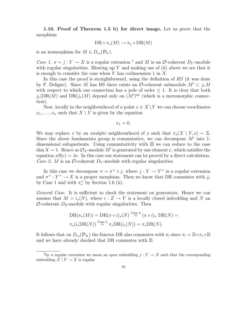1.10. Proof of Theorem 1.5 b) for direct image. Let us prove that the morphism

$$
\mathrm{DR} \circ \pi_*(M) \to \pi_* \circ \mathrm{DR}(M)
$$

is an isomorphism for  $M \in D_{rs}(\mathcal{D}_Y)$ .

Case 1.  $\pi = j : Y \to X$  is a regular extension <sup>1</sup> and M is an *O*-coherent D<sub>Y</sub>-module with regular singularities. Blowing up  $Y$  and making use of (ii) above we see that it is enough to consider the case when  $Y$  has codimension 1 in  $X$ .

In this case the proof is straightforward, using the definition of RS (it was done by P. Deligne). Since M has RS there exists an O-coherent submodule  $M' \subset i_*M$ with respect to which our connection has a pole of order  $\leq 1$ . It is clear that both  $j_*(DR(M)$  and  $DR(j_*(M)$  depend only on  $(M')<sup>an</sup>$  (which is a meromorphic connection).

Now, locally in the neighbourhood of a point  $x \in X \backslash Y$  we can choose coordinates  $x_1, \ldots, x_n$  such that  $X \setminus Y$  is given by the equation

$$
x_1=0.
$$

We may replace x by an *analytic* neighbourhood of x such that  $\pi_1(X \setminus Y, x) = \mathbb{Z}$ . Since the above fundamenta group is commutative, we can decompose  $M'$  into 1dimensional subquotients. Using commutativity with  $\boxtimes$  we can reduce to the case  $\dim X = 1$ . Hence as  $\mathcal{O}_X$ -module M' is generated by one element e, which satisfies the equation  $x\partial(e) = \lambda e$ . In this case our statement can be proved by a direct calculation. Case 2. M is an O-coherent  $D<sub>Y</sub>$ -module with regular singularities.

In this case we decompose  $\pi = \pi^+ \circ j$ , where  $j : Y \to Y^+$  is a regular extension and  $\pi^+ : Y^+ \to X$  is a proper morphism. Then we know that DR commutes with  $j_*$ by Case 1 and with  $\pi^+$  by Section 1.6 (ii).

General Case. It is sufficient to check the statement on generators. Hence we can assume that  $M = i_*(N)$ , where  $i : Z \to Y$  is a locally closed imbedding and N an  $\mathcal{O}$ -coherent  $D_Z$ -module with regular singularities. Then

$$
DR(\pi_*(M)) = DR(\pi \circ i)_*(N) \stackrel{\text{Case 2}}{=} (\pi \circ i)_* DR(N) =
$$
  

$$
\pi_*(i_* DR(N)) \stackrel{\text{Case 2}}{=} \pi_* DR(i_*(N)) = \pi_* DR(N).
$$

It follows that on  $D_{rs}(\mathcal{D}_X)$  the functor DR also commutes with  $\pi_1$  since  $\pi_1 = \mathbb{D} \circ \pi_* \circ \mathbb{D}$ and we have already checked that DR commutes with D.

<sup>&</sup>lt;sup>1</sup>by a regular extension we mean an open embedding  $j: Y \to X$  such that the corresponding embedding  $X \ Y \rightarrow X$  is regular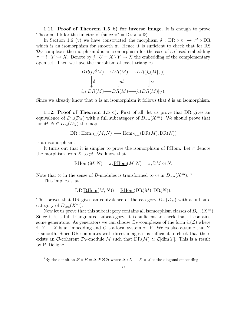1.11. Proof of Theorem 1.5 b) for inverse image. It is enough to prove Theorem 1.5 for the functor  $\pi^!$  (since  $\pi^* = \mathbb{D} \circ \pi^! \circ \mathbb{D}$ ).

In Section 1.6 (v) we have constructed the morphism  $\delta : \text{DR} \circ \pi^! \to \pi^! \circ \text{DR}$ which is an isomorphism for smooth  $\pi$ . Hence it is sufficient to check that for RS  $\mathcal{D}_Y$ -complexes the morphism  $\delta$  is an isomorphism for the case of a closed embedding  $\pi = i : Y \hookrightarrow X$ . Denote by  $j : U = X \ Y \rightarrow X$  the embedding of the complementary open set. Then we have the morphism of exact triangles

$$
DR(i_*i^!M) \longrightarrow DR(M) \longrightarrow DR(j_*(M|_V))
$$

$$
\downarrow \delta \qquad \qquad |id \qquad \qquad \downarrow \alpha
$$

$$
i_*i^! DR(M) \longrightarrow DR(M) \longrightarrow j_*(DR(M)|_V).
$$

Since we already know that  $\alpha$  is an isomorphism it follows that  $\delta$  is an isomorphism.

**1.12. Proof of Theorem 1.5 c).** First of all, let us prove that DR gives an equivalence of  $D_{rs}(\mathcal{D}_X)$  with a full subcategory of  $D_{con}(X^{an})$ . We should prove that for  $M, N \in D_{rs}(\mathcal{D}_X)$  the map

$$
\mathrm{DR}: \mathrm{Hom}_{D_{rs}}(M, N) \longrightarrow \mathrm{Hom}_{D_{con}}(\mathrm{DR}(M), \mathrm{DR}(N))
$$

is an isomorphism.

It turns out that it is simpler to prove the isomorphism of RHom. Let  $\pi$  denote the morphism from  $X$  to  $pt$ . We know that

$$
\mathrm{RHom}(M, N) = \pi_* \underline{\mathrm{RHom}}(M, N) = \pi_* \mathbb{D}M \otimes N.
$$

Note that  $\otimes$  in the sense of D-modules is transformed to  $\stackrel{!}{\otimes}$  in  $D_{\text{con}}(X^{\text{an}})$ . <sup>2</sup>

This implies that

$$
DR(\underline{RHom}(M, N)) = \underline{RHom}(DR(M), DR(N)).
$$

This proves that DR gives an equivalence of the category  $D_{rs}(\mathcal{D}_X)$  with a full subcategory of  $D_{\text{con}}(X^{\text{an}})$ .

Now let us prove that this subcategory contains all isomorphism classes of  $D_{con}(X^{\text{an}})$ . Since it is a full triangulated subcategory, it is sufficient to check that it contains some generators. As generators we can choose  $\mathbb{C}_X$ -complexes of the form  $i_*(\mathcal{L})$  where  $i: Y \to X$  is an imbedding and  $\mathcal L$  is a local system on Y. We ca also assume that Y is smooth. Since DR commutes with direct images it is sufficient to check that there exists an O-coherent  $\mathcal{D}_Y$ -module M such that  $DR(M) \simeq \mathcal{L}[\dim Y]$ . This is a result by P. Deligne.

<sup>&</sup>lt;sup>2</sup>By the definition  $\mathcal{F} \overset{!}{\otimes} \mathcal{H} = \Delta^! \mathcal{F} \boxtimes \mathcal{H}$  where  $\Delta: X \to X \times X$  is the diagonal embedding.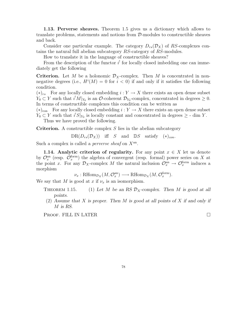1.13. Perverse sheaves. Theorem 1.5 gives us a dictionary which allows to translate problems, statements and notions from  $\mathcal{D}\text{-modules}$  to constructible sheaves and back.

Consider one particular example. The category  $D_{rs}(\mathcal{D}_X)$  of RS-complexes contains the natural full abelian subcategory RS-category of RS-modules.

How to translate it in the language of constructible sheaves?

From the description of the functor  $i^!$  for locally closed imbedding one can immediately get the following

**Criterion.** Let M be a holonomic  $\mathcal{D}_X$ -complex. Then M is concentrated in nonnegative degrees (i.e.,  $H^{i}(M) = 0$  for  $i < 0$ ) if and only if it satisfies the following condition.

 $(*)_{rs}$  For any locally closed embedding  $i: Y \to X$  there exists an open dense subset  $Y_0 \subset Y$  such that  $i^!M|_{Y_0}$  is an  $\mathcal{O}$ -coherent  $\mathcal{D}_{Y_0}$ -complex, concentrated in degrees  $\geq 0$ . In terms of constructible complexes this condition can be written as

 $(*)_{\text{con}}$  For any locally closed embedding  $i: Y \to X$  there exists an open dense subset  $Y_0 \subset Y$  such that  $i^!S|_{Y_0}$  is locally constant and concentrated in degrees  $\geq$  - dim Y.

Thus we have proved the following.

**Criterion.** A constructible complex  $S$  lies in the abelian subcategory

 $DR(D_{rs}(\mathcal{D}_X))$  iff S and  $DS$  satisfy  $(*)_{con}$ .

Such a complex is called a *perverse sheaf* on  $X^{\text{an}}$ .

**1.14. Analytic criterion of regularity.** For any point  $x \in X$  let us denote by  $\mathcal{O}_x^{\text{an}}$  (resp.  $\mathcal{O}_x^{\text{form}}$ ) the algebra of convergent (resp. formal) power series on X at the point x. For any  $\mathcal{D}_X$ -complex M the natural inclusion  $\mathcal{O}_x^{\text{an}} \to \mathcal{O}_x^{\text{form}}$  induces a morphism

 $\nu_x : \text{RHom}_{\mathcal{D}_X}(M, \mathcal{O}_x^{\text{an}}) \longrightarrow \text{RHom}_{\mathcal{D}_X}(M, \mathcal{O}_x^{\text{form}}).$ 

We say that M is good at x if  $\nu_x$  is an isomorphism.

- THEOREM 1.15. (1) Let M be an RS  $\mathcal{D}_X$ -complex. Then M is good at all points.
- (2) Assume that X is proper. Then M is good at all points of X if and only if M is RS.

PROOF. FILL IN LATER